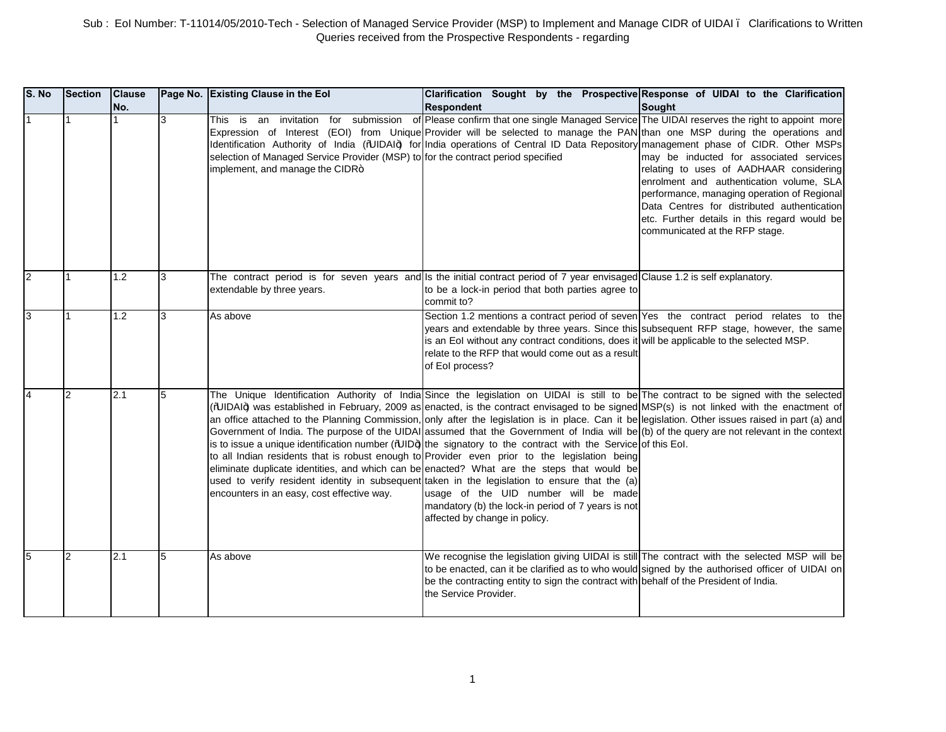| S. No | <b>Section</b> | <b>Clause</b><br>No. |    | Page No. Existing Clause in the Eol                                                                                 | Clarification Sought by the Prospective Response of UIDAI to the Clarification<br><b>Respondent</b>                                                                                                                                                                                                                                                                                                                                                                                                                                                                                                                                                                                                                                                                                                                                                                                                                                                                                                                                                                                                                                                                   | <b>Sought</b>                                                                                                                                                                                                                                                                                                  |
|-------|----------------|----------------------|----|---------------------------------------------------------------------------------------------------------------------|-----------------------------------------------------------------------------------------------------------------------------------------------------------------------------------------------------------------------------------------------------------------------------------------------------------------------------------------------------------------------------------------------------------------------------------------------------------------------------------------------------------------------------------------------------------------------------------------------------------------------------------------------------------------------------------------------------------------------------------------------------------------------------------------------------------------------------------------------------------------------------------------------------------------------------------------------------------------------------------------------------------------------------------------------------------------------------------------------------------------------------------------------------------------------|----------------------------------------------------------------------------------------------------------------------------------------------------------------------------------------------------------------------------------------------------------------------------------------------------------------|
|       |                |                      | 3  | selection of Managed Service Provider (MSP) to for the contract period specified<br>implement, and manage the CIDR+ | This is an invitation for submission of Please confirm that one single Managed Service The UIDAI reserves the right to appoint more<br>Expression of Interest (EOI) from Unique Provider will be selected to manage the PAN than one MSP during the operations and<br>Identification Authority of India (%JIDAI+) for India operations of Central ID Data Repository management phase of CIDR. Other MSPs                                                                                                                                                                                                                                                                                                                                                                                                                                                                                                                                                                                                                                                                                                                                                             | may be inducted for associated services<br>relating to uses of AADHAAR considering<br>enrolment and authentication volume, SLA<br>performance, managing operation of Regional<br>Data Centres for distributed authentication<br>etc. Further details in this regard would be<br>communicated at the RFP stage. |
|       | 1              | 1.2                  | 3  | extendable by three years.                                                                                          | The contract period is for seven years and Is the initial contract period of 7 year envisaged Clause 1.2 is self explanatory.<br>to be a lock-in period that both parties agree to<br>commit to?                                                                                                                                                                                                                                                                                                                                                                                                                                                                                                                                                                                                                                                                                                                                                                                                                                                                                                                                                                      |                                                                                                                                                                                                                                                                                                                |
|       |                | 1.2                  | l3 | As above                                                                                                            | Section 1.2 mentions a contract period of seven Yes the contract period relates to the<br>years and extendable by three years. Since this subsequent RFP stage, however, the same<br>is an EoI without any contract conditions, does it will be applicable to the selected MSP.<br>relate to the RFP that would come out as a result<br>of Eol process?                                                                                                                                                                                                                                                                                                                                                                                                                                                                                                                                                                                                                                                                                                                                                                                                               |                                                                                                                                                                                                                                                                                                                |
|       | 2              | 2.1                  | 5  | encounters in an easy, cost effective way.                                                                          | The Unique Identification Authority of India Since the legislation on UIDAI is still to be The contract to be signed with the selected<br>(%JIDAI+) was established in February, 2009 as enacted, is the contract envisaged to be signed MSP(s) is not linked with the enactment of<br>an office attached to the Planning Commission, only after the legislation is in place. Can it be legislation. Other issues raised in part (a) and<br>Government of India. The purpose of the UIDAI assumed that the Government of India will be (b) of the query are not relevant in the context<br>is to issue a unique identification number $(\mathbb{W} \parallel D\mathbf{)}$ the signatory to the contract with the Service of this Eol.<br>to all Indian residents that is robust enough to Provider even prior to the legislation being<br>eliminate duplicate identities, and which can be enacted? What are the steps that would be<br>used to verify resident identity in subsequent taken in the legislation to ensure that the (a)<br>usage of the UID number will be made<br>mandatory (b) the lock-in period of 7 years is not<br>affected by change in policy. |                                                                                                                                                                                                                                                                                                                |
|       | 2              | 2.1                  | 5  | As above                                                                                                            | We recognise the legislation giving UIDAI is still The contract with the selected MSP will be<br>to be enacted, can it be clarified as to who would signed by the authorised officer of UIDAI on<br>be the contracting entity to sign the contract with behalf of the President of India.<br>the Service Provider.                                                                                                                                                                                                                                                                                                                                                                                                                                                                                                                                                                                                                                                                                                                                                                                                                                                    |                                                                                                                                                                                                                                                                                                                |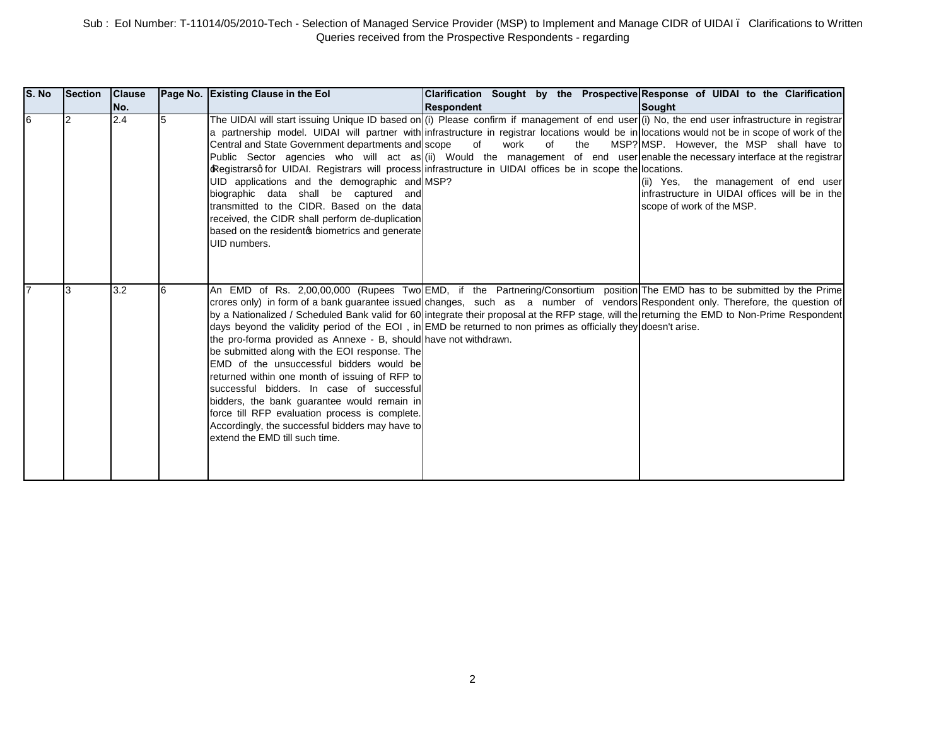| S. No | Section Clause | INo. |   | Page No. Existing Clause in the Eol                                                                                                                                                                                                                                                                                                                                                                                                                                                                                                                                                                                                                                                                                                                                                                                                                                                                                                                                                    | <b>Respondent</b> |            |     | Clarification Sought by the Prospective Response of UIDAI to the Clarification<br><b>Sought</b>                                                                 |
|-------|----------------|------|---|----------------------------------------------------------------------------------------------------------------------------------------------------------------------------------------------------------------------------------------------------------------------------------------------------------------------------------------------------------------------------------------------------------------------------------------------------------------------------------------------------------------------------------------------------------------------------------------------------------------------------------------------------------------------------------------------------------------------------------------------------------------------------------------------------------------------------------------------------------------------------------------------------------------------------------------------------------------------------------------|-------------------|------------|-----|-----------------------------------------------------------------------------------------------------------------------------------------------------------------|
| 6     |                | 2.4  | 5 | The UIDAI will start issuing Unique ID based on (i) Please confirm if management of end user (i) No, the end user infrastructure in registrar<br>a partnership model. UIDAI will partner with infrastructure in registrar locations would be in locations would not be in scope of work of the<br>Central and State Government departments and scope<br>Public Sector agencies who will act as (ii) Would the management of end user enable the necessary interface at the registrar<br>Registrarsq for UIDAI. Registrars will process infrastructure in UIDAI offices be in scope the locations.<br>UID applications and the demographic and MSP?<br>biographic data shall be captured and<br>transmitted to the CIDR. Based on the data<br>received, the CIDR shall perform de-duplication<br>based on the residentos biometrics and generate<br>UID numbers.                                                                                                                        | of                | work<br>of | the | MSP? MSP. However, the MSP shall have to<br>(ii) Yes, the management of end user<br>infrastructure in UIDAI offices will be in the<br>scope of work of the MSP. |
|       |                | 3.2  |   | An EMD of Rs. 2,00,00,000 (Rupees Two EMD, if the Partnering/Consortium position The EMD has to be submitted by the Prime<br>crores only) in form of a bank guarantee issued changes, such as a number of vendors Respondent only. Therefore, the question of<br>by a Nationalized / Scheduled Bank valid for 60 integrate their proposal at the RFP stage, will the returning the EMD to Non-Prime Respondent<br>days beyond the validity period of the EOI, in EMD be returned to non primes as officially they doesn't arise.<br>the pro-forma provided as Annexe - B, should have not withdrawn.<br>be submitted along with the EOI response. The<br>EMD of the unsuccessful bidders would be<br>returned within one month of issuing of RFP to<br>successful bidders. In case of successful<br>bidders, the bank guarantee would remain in<br>force till RFP evaluation process is complete.<br>Accordingly, the successful bidders may have to<br>extend the EMD till such time. |                   |            |     |                                                                                                                                                                 |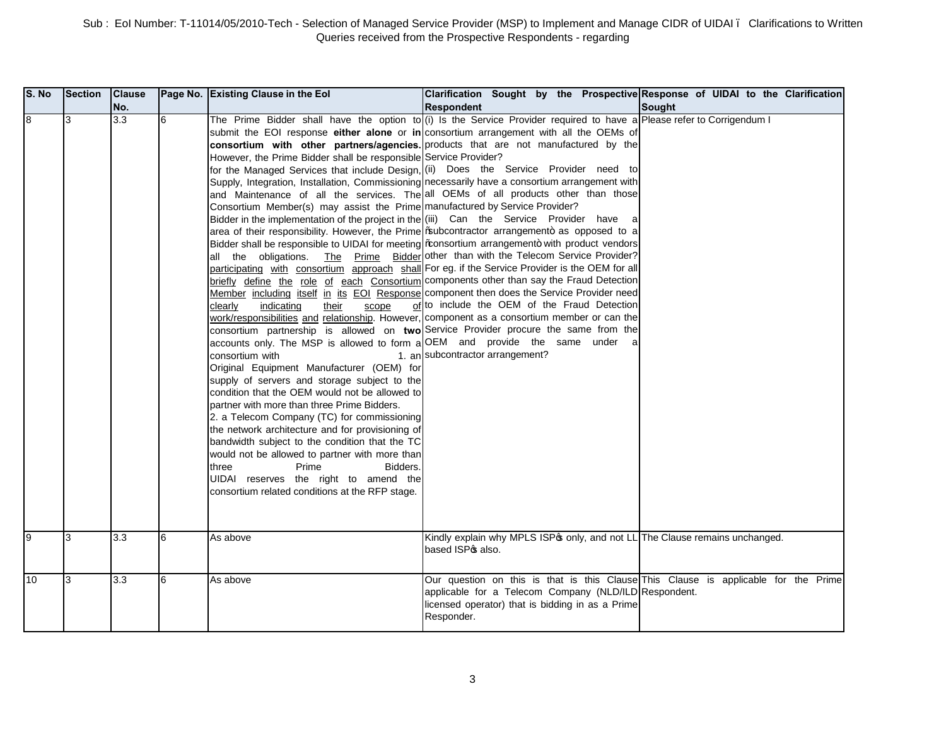| S. No | <b>Section</b> | <b>Clause</b><br>No. |   | Page No. Existing Clause in the Eol                                                                                                                                                                                                                                                                                                                                                                                                                                                                                                                                                                                                                                                                                                                                                                                                                                                                                  | Clarification Sought by the Prospective Response of UIDAI to the Clarification<br><b>Respondent</b>                                                                                                                                                                                                                                                                                                                                                                                                                                                                                                                                                                                                                                                                                                                                                                                                                                                                                                                                                                                                                                                                                                                                                                                                                                                                                                                                                       | <b>Sought</b> |
|-------|----------------|----------------------|---|----------------------------------------------------------------------------------------------------------------------------------------------------------------------------------------------------------------------------------------------------------------------------------------------------------------------------------------------------------------------------------------------------------------------------------------------------------------------------------------------------------------------------------------------------------------------------------------------------------------------------------------------------------------------------------------------------------------------------------------------------------------------------------------------------------------------------------------------------------------------------------------------------------------------|-----------------------------------------------------------------------------------------------------------------------------------------------------------------------------------------------------------------------------------------------------------------------------------------------------------------------------------------------------------------------------------------------------------------------------------------------------------------------------------------------------------------------------------------------------------------------------------------------------------------------------------------------------------------------------------------------------------------------------------------------------------------------------------------------------------------------------------------------------------------------------------------------------------------------------------------------------------------------------------------------------------------------------------------------------------------------------------------------------------------------------------------------------------------------------------------------------------------------------------------------------------------------------------------------------------------------------------------------------------------------------------------------------------------------------------------------------------|---------------|
| 8     | 3              | 3.3                  | 6 | However, the Prime Bidder shall be responsible Service Provider?<br>Consortium Member(s) may assist the Prime manufactured by Service Provider?<br>Bidder in the implementation of the project in the (iii) Can the Service Provider have<br>indicating<br>scope<br>clearly<br>their<br>accounts only. The MSP is allowed to form a OEM and provide the same under<br>consortium with<br>Original Equipment Manufacturer (OEM) for<br>supply of servers and storage subject to the<br>condition that the OEM would not be allowed to<br>partner with more than three Prime Bidders.<br>2. a Telecom Company (TC) for commissioning<br>the network architecture and for provisioning of<br>bandwidth subject to the condition that the TC<br>would not be allowed to partner with more than<br>three<br>Prime<br>Bidders.<br>UIDAI reserves the right to amend the<br>consortium related conditions at the RFP stage. | The Prime Bidder shall have the option to (i) Is the Service Provider required to have a Please refer to Corrigendum I<br>submit the EOI response either alone or in consortium arrangement with all the OEMs of<br>consortium with other partners/agencies. products that are not manufactured by the<br>for the Managed Services that include Design, (ii) Does the Service Provider need to<br>Supply, Integration, Installation, Commissioning necessarily have a consortium arrangement with<br>and Maintenance of all the services. The all OEMs of all products other than those<br>area of their responsibility. However, the Prime   % ubcontractor arrangement+ as opposed to a<br>Bidder shall be responsible to UIDAI for meeting \%onsortium arrangement+ with product vendors<br>all the obligations. The Prime Bidder other than with the Telecom Service Provider?<br>participating with consortium approach shall For eg. if the Service Provider is the OEM for all<br>briefly define the role of each Consortium components other than say the Fraud Detection<br>Member including itself in its EOI Response component then does the Service Provider need<br>of to include the OEM of the Fraud Detection<br>work/responsibilities and relationship. However, component as a consortium member or can the<br>consortium partnership is allowed on two Service Provider procure the same from the<br>1. an subcontractor arrangement? |               |
| 9     | 3              | 3.3                  | 6 | As above                                                                                                                                                                                                                                                                                                                                                                                                                                                                                                                                                                                                                                                                                                                                                                                                                                                                                                             | Kindly explain why MPLS ISP only, and not LL The Clause remains unchanged.<br>based ISP <sub>\$</sub> also.                                                                                                                                                                                                                                                                                                                                                                                                                                                                                                                                                                                                                                                                                                                                                                                                                                                                                                                                                                                                                                                                                                                                                                                                                                                                                                                                               |               |
| 10    | 3              | 3.3                  | 6 | As above                                                                                                                                                                                                                                                                                                                                                                                                                                                                                                                                                                                                                                                                                                                                                                                                                                                                                                             | Our question on this is that is this Clause This Clause is applicable for the Prime<br>applicable for a Telecom Company (NLD/ILD Respondent.<br>licensed operator) that is bidding in as a Prime<br>Responder.                                                                                                                                                                                                                                                                                                                                                                                                                                                                                                                                                                                                                                                                                                                                                                                                                                                                                                                                                                                                                                                                                                                                                                                                                                            |               |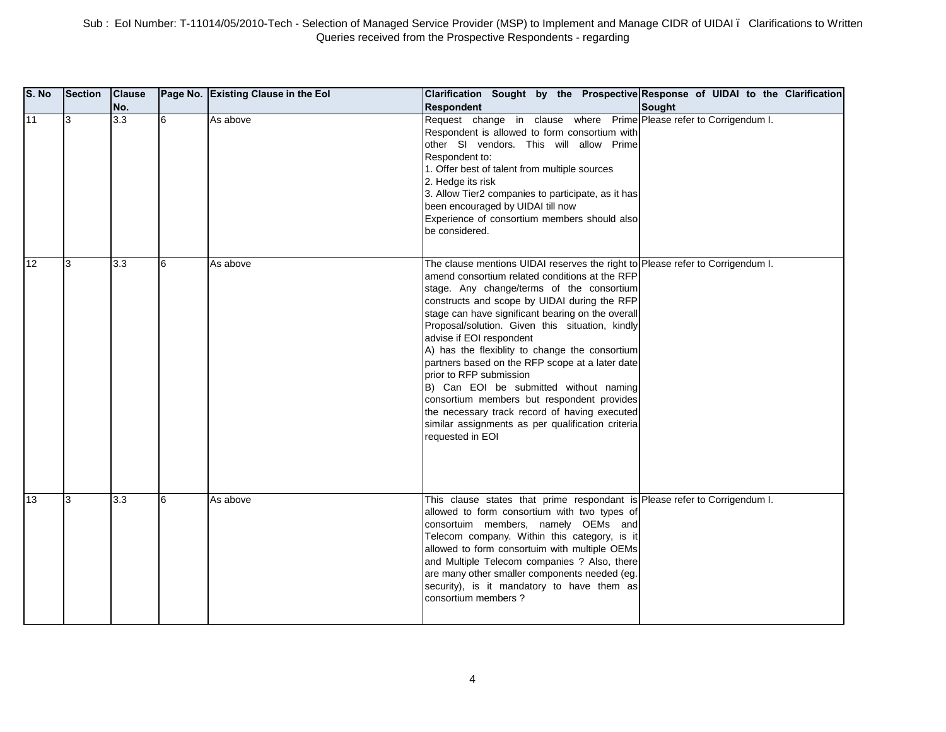| S. No | <b>Section</b> | <b>Clause</b><br>No. |   | Page No. Existing Clause in the Eol | Clarification Sought by the Prospective Response of UIDAI to the Clarification<br><b>Respondent</b>                                                                                                                                                                                                                                                                                                                                                                                                                                                                                                                                                                                                                 | Sought |
|-------|----------------|----------------------|---|-------------------------------------|---------------------------------------------------------------------------------------------------------------------------------------------------------------------------------------------------------------------------------------------------------------------------------------------------------------------------------------------------------------------------------------------------------------------------------------------------------------------------------------------------------------------------------------------------------------------------------------------------------------------------------------------------------------------------------------------------------------------|--------|
| 11    | 3              | $\overline{3.3}$     | 6 | As above                            | Request change in clause where Prime Please refer to Corrigendum I.<br>Respondent is allowed to form consortium with<br>other SI vendors. This will allow Prime<br>Respondent to:<br>1. Offer best of talent from multiple sources<br>2. Hedge its risk<br>3. Allow Tier2 companies to participate, as it has<br>been encouraged by UIDAI till now<br>Experience of consortium members should also<br>be considered.                                                                                                                                                                                                                                                                                                |        |
| 12    | 3              | 3.3                  | 6 | As above                            | The clause mentions UIDAI reserves the right to Please refer to Corrigendum I.<br>amend consortium related conditions at the RFP<br>stage. Any change/terms of the consortium<br>constructs and scope by UIDAI during the RFP<br>stage can have significant bearing on the overall<br>Proposal/solution. Given this situation, kindly<br>advise if EOI respondent<br>A) has the flexiblity to change the consortium<br>partners based on the RFP scope at a later date<br>prior to RFP submission<br>B) Can EOI be submitted without naming<br>consortium members but respondent provides<br>the necessary track record of having executed<br>similar assignments as per qualification criteria<br>requested in EOI |        |
| 13    | 3              | 3.3                  | 6 | As above                            | This clause states that prime respondant is Please refer to Corrigendum I.<br>allowed to form consortium with two types of<br>consortuim members, namely OEMs and<br>Telecom company. Within this category, is it<br>allowed to form consortuim with multiple OEMs<br>and Multiple Telecom companies ? Also, there<br>are many other smaller components needed (eg.<br>security), is it mandatory to have them as<br>consortium members?                                                                                                                                                                                                                                                                            |        |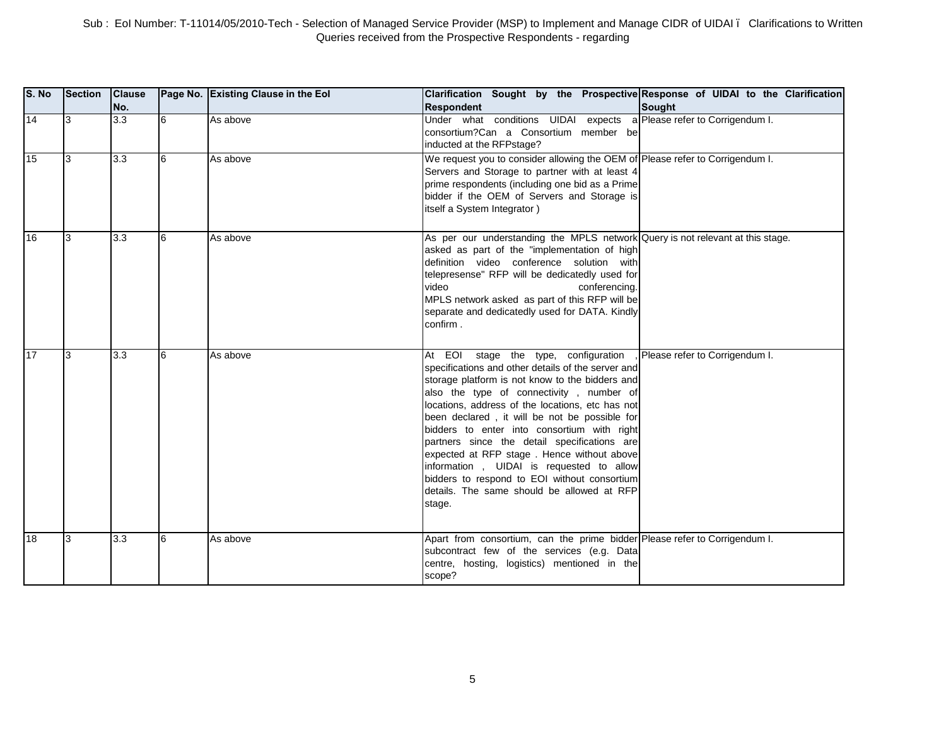| S. No | <b>Section</b> | <b>Clause</b><br>No. |    | Page No. Existing Clause in the Eol | Clarification Sought by the Prospective Response of UIDAI to the Clarification<br><b>Respondent</b>                                                                                                                                                                                                                                                                                                                                                                                                                                                                                             | <b>Sought</b>                  |
|-------|----------------|----------------------|----|-------------------------------------|-------------------------------------------------------------------------------------------------------------------------------------------------------------------------------------------------------------------------------------------------------------------------------------------------------------------------------------------------------------------------------------------------------------------------------------------------------------------------------------------------------------------------------------------------------------------------------------------------|--------------------------------|
| 14    | 3              | 3.3                  | l6 | As above                            | Under what conditions UIDAI expects a Please refer to Corrigendum I.<br>consortium?Can a Consortium member be<br>inducted at the RFPstage?                                                                                                                                                                                                                                                                                                                                                                                                                                                      |                                |
| 15    | 3              | 3.3                  | 6  | As above                            | We request you to consider allowing the OEM of Please refer to Corrigendum I.<br>Servers and Storage to partner with at least 4<br>prime respondents (including one bid as a Prime<br>bidder if the OEM of Servers and Storage is<br>itself a System Integrator)                                                                                                                                                                                                                                                                                                                                |                                |
| 16    | 3              | 3.3                  | 6  | As above                            | As per our understanding the MPLS network Query is not relevant at this stage.<br>asked as part of the "implementation of high<br>definition video conference solution with<br>telepresense" RFP will be dedicatedly used for<br>video<br>conferencing.<br>MPLS network asked as part of this RFP will be<br>separate and dedicatedly used for DATA. Kindly<br>confirm.                                                                                                                                                                                                                         |                                |
| 17    | l3             | 3.3                  | 6  | As above                            | At EOI stage the type, configuration<br>specifications and other details of the server and<br>storage platform is not know to the bidders and<br>also the type of connectivity, number of<br>locations, address of the locations, etc has not<br>been declared, it will be not be possible for<br>bidders to enter into consortium with right<br>partners since the detail specifications are<br>expected at RFP stage. Hence without above<br>information, UIDAI is requested to allow<br>bidders to respond to EOI without consortium<br>details. The same should be allowed at RFP<br>stage. | Please refer to Corrigendum I. |
| 18    | 13             | 3.3                  | 6  | As above                            | Apart from consortium, can the prime bidder Please refer to Corrigendum I.<br>subcontract few of the services (e.g. Data<br>centre, hosting, logistics) mentioned in the<br>scope?                                                                                                                                                                                                                                                                                                                                                                                                              |                                |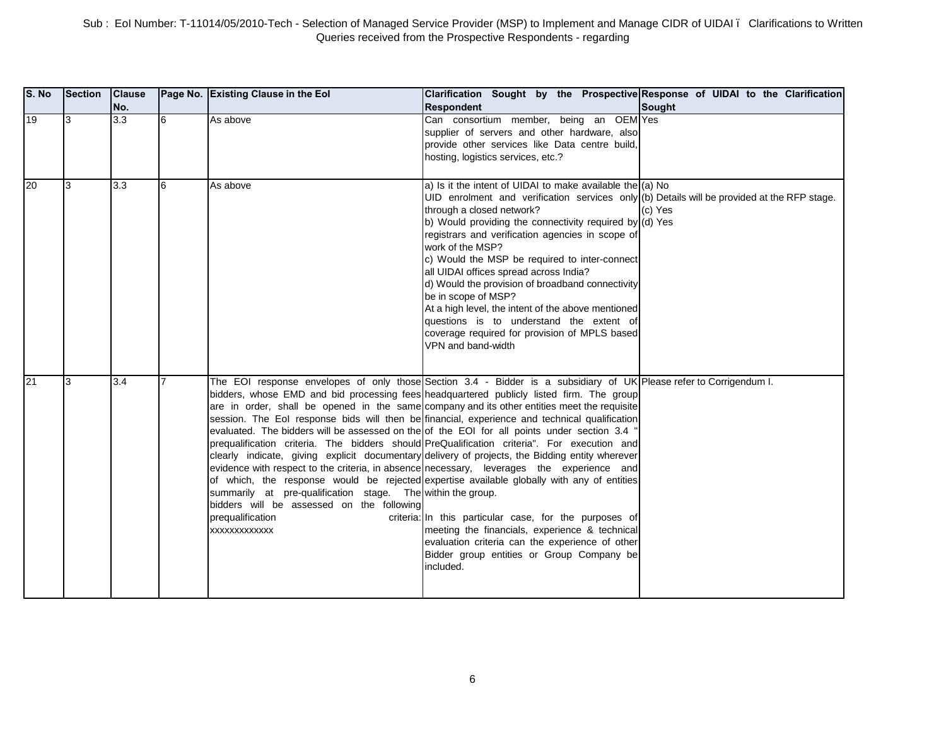| <b>S. No</b> | Section | <b>Clause</b><br>No. |   | Page No. Existing Clause in the Eol                                                                                                          | Clarification Sought by the Prospective Response of UIDAI to the Clarification<br><b>Respondent</b>                                                                                                                                                                                                                                                                                                                                                                                                                                                                                                                                                                                                                                                                                                                                                                                                                                                                                                                                                                                                                                  | Sought  |
|--------------|---------|----------------------|---|----------------------------------------------------------------------------------------------------------------------------------------------|--------------------------------------------------------------------------------------------------------------------------------------------------------------------------------------------------------------------------------------------------------------------------------------------------------------------------------------------------------------------------------------------------------------------------------------------------------------------------------------------------------------------------------------------------------------------------------------------------------------------------------------------------------------------------------------------------------------------------------------------------------------------------------------------------------------------------------------------------------------------------------------------------------------------------------------------------------------------------------------------------------------------------------------------------------------------------------------------------------------------------------------|---------|
| 19           | 3       | $\overline{3.3}$     | 6 | As above                                                                                                                                     | Can consortium member, being an OEM Yes<br>supplier of servers and other hardware, also<br>provide other services like Data centre build,<br>hosting, logistics services, etc.?                                                                                                                                                                                                                                                                                                                                                                                                                                                                                                                                                                                                                                                                                                                                                                                                                                                                                                                                                      |         |
| 20           | 3       | 3.3                  | 6 | As above                                                                                                                                     | a) Is it the intent of UIDAI to make available the $(a)$ No<br>UID enrolment and verification services only (b) Details will be provided at the RFP stage.<br>through a closed network?<br>b) Would providing the connectivity required by (d) Yes<br>registrars and verification agencies in scope of<br>work of the MSP?<br>c) Would the MSP be required to inter-connect<br>all UIDAI offices spread across India?<br>d) Would the provision of broadband connectivity<br>be in scope of MSP?<br>At a high level, the intent of the above mentioned<br>questions is to understand the extent of<br>coverage required for provision of MPLS based<br>VPN and band-width                                                                                                                                                                                                                                                                                                                                                                                                                                                            | (c) Yes |
| 21           | 3       | 3.4                  |   | summarily at pre-qualification stage. The within the group.<br>bidders will be assessed on the following<br>prequalification<br>XXXXXXXXXXXX | The EOI response envelopes of only those Section 3.4 - Bidder is a subsidiary of UK Please refer to Corrigendum I.<br>bidders, whose EMD and bid processing fees headquartered publicly listed firm. The group<br>are in order, shall be opened in the same company and its other entities meet the requisite<br>session. The Eol response bids will then be financial, experience and technical qualification<br>evaluated. The bidders will be assessed on the of the EOI for all points under section 3.4 '<br>prequalification criteria. The bidders should PreQualification criteria". For execution and<br>clearly indicate, giving explicit documentary delivery of projects, the Bidding entity wherever<br>evidence with respect to the criteria, in absence necessary, leverages the experience and<br>of which, the response would be rejected expertise available globally with any of entities<br>criteria: In this particular case, for the purposes of<br>meeting the financials, experience & technical<br>evaluation criteria can the experience of other<br>Bidder group entities or Group Company be<br>included. |         |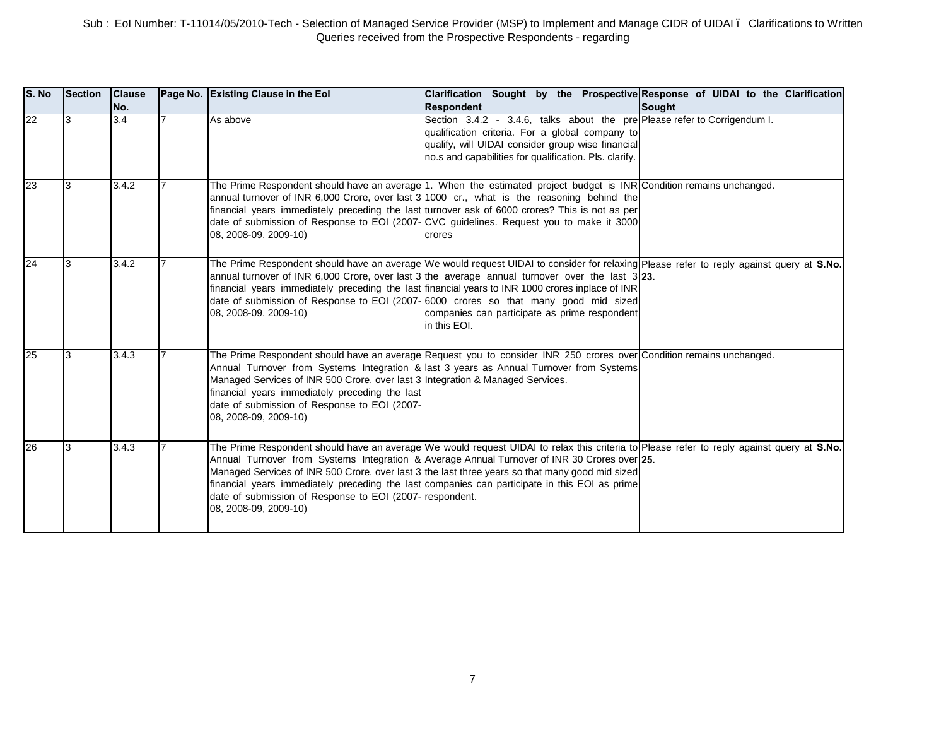| S. No | <b>Section</b> | <b>Clause</b><br>No. | Page No. Existing Clause in the Eol                                                                                                                                                                       | Clarification Sought by the Prospective Response of UIDAI to the Clarification<br><b>Respondent</b>                                                                                                                                                                                                                                                                                                                                                                                                         | <b>Sought</b> |
|-------|----------------|----------------------|-----------------------------------------------------------------------------------------------------------------------------------------------------------------------------------------------------------|-------------------------------------------------------------------------------------------------------------------------------------------------------------------------------------------------------------------------------------------------------------------------------------------------------------------------------------------------------------------------------------------------------------------------------------------------------------------------------------------------------------|---------------|
| 22    | 13             | 3.4                  | As above                                                                                                                                                                                                  | Section 3.4.2 - 3.4.6, talks about the pre Please refer to Corrigendum I.<br>qualification criteria. For a global company to<br>qualify, will UIDAI consider group wise financial<br>no.s and capabilities for qualification. Pls. clarify.                                                                                                                                                                                                                                                                 |               |
| 23    | 3              | 3.4.2                | 08, 2008-09, 2009-10)                                                                                                                                                                                     | The Prime Respondent should have an average 1. When the estimated project budget is INR Condition remains unchanged.<br>annual turnover of INR 6,000 Crore, over last 3 1000 cr., what is the reasoning behind the<br>financial years immediately preceding the last turnover ask of 6000 crores? This is not as per<br>date of submission of Response to EOI (2007- CVC guidelines. Request you to make it 3000<br>crores                                                                                  |               |
| 24    | l3             | 3.4.2                | 08, 2008-09, 2009-10)                                                                                                                                                                                     | The Prime Respondent should have an average We would request UIDAI to consider for relaxing Please refer to reply against query at S.No.<br>annual turnover of INR 6,000 Crore, over last 3 the average annual turnover over the last $3 23$ .<br>financial years immediately preceding the last financial years to INR 1000 crores inplace of INR<br>date of submission of Response to EOI (2007-16000 crores so that many good mid sized<br>companies can participate as prime respondent<br>in this EOI. |               |
| 25    | l3             | 3.4.3                | Managed Services of INR 500 Crore, over last 3 Integration & Managed Services.<br>financial years immediately preceding the last<br>date of submission of Response to EOI (2007-<br>08, 2008-09, 2009-10) | The Prime Respondent should have an average Request you to consider INR 250 crores over Condition remains unchanged.<br>Annual Turnover from Systems Integration & last 3 years as Annual Turnover from Systems                                                                                                                                                                                                                                                                                             |               |
| 26    | 3              | 3.4.3                | date of submission of Response to EOI (2007- respondent.<br>08, 2008-09, 2009-10)                                                                                                                         | The Prime Respondent should have an average We would request UIDAI to relax this criteria to Please refer to reply against query at S.No.<br>Annual Turnover from Systems Integration & Average Annual Turnover of INR 30 Crores over 25.<br>Managed Services of INR 500 Crore, over last 3 the last three years so that many good mid sized<br>financial years immediately preceding the last companies can participate in this EOI as prime                                                               |               |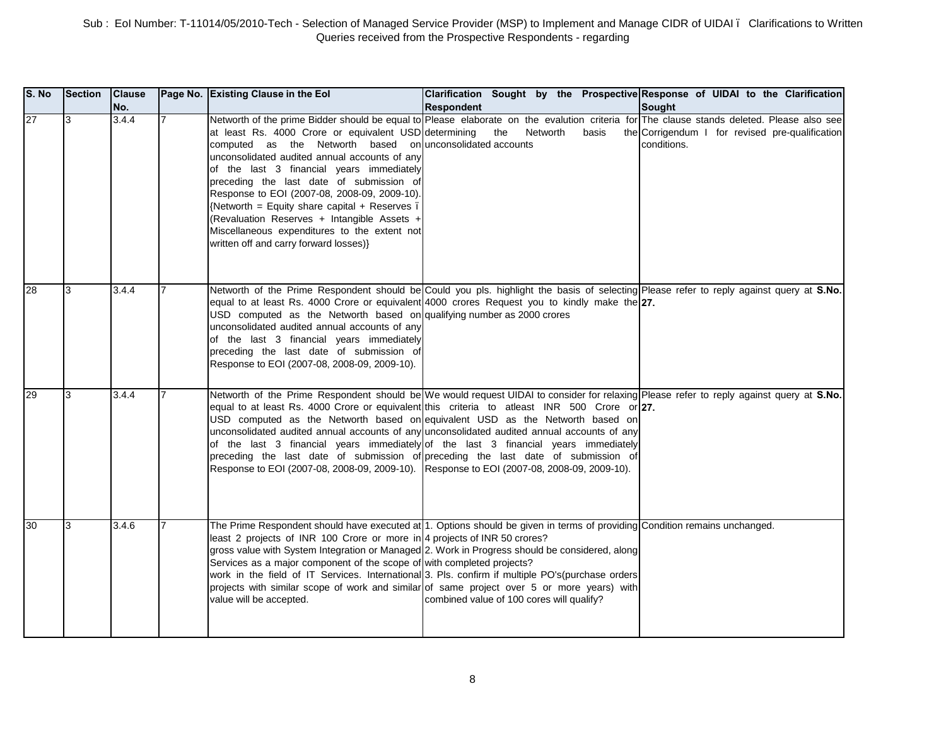| S. No | Section | <b>Clause</b><br>No. | Page No. Existing Clause in the Eol                                                                                                                                                                                                                                                                                                                                                                                                                                                                   | Clarification Sought by the Prospective Response of UIDAI to the Clarification<br><b>Respondent</b>                                                                                                                                                                                                                                                                                                                                                                                                                                                                                                 | Sought                                                         |
|-------|---------|----------------------|-------------------------------------------------------------------------------------------------------------------------------------------------------------------------------------------------------------------------------------------------------------------------------------------------------------------------------------------------------------------------------------------------------------------------------------------------------------------------------------------------------|-----------------------------------------------------------------------------------------------------------------------------------------------------------------------------------------------------------------------------------------------------------------------------------------------------------------------------------------------------------------------------------------------------------------------------------------------------------------------------------------------------------------------------------------------------------------------------------------------------|----------------------------------------------------------------|
| 27    | 3       | 3.4.4                | at least Rs. 4000 Crore or equivalent USD determining<br>computed as the Networth based on unconsolidated accounts<br>unconsolidated audited annual accounts of any<br>of the last 3 financial years immediately<br>preceding the last date of submission of<br>Response to EOI (2007-08, 2008-09, 2009-10).<br>{Networth = Equity share capital + Reserves.<br>(Revaluation Reserves + Intangible Assets +<br>Miscellaneous expenditures to the extent not<br>written off and carry forward losses)} | Networth of the prime Bidder should be equal to Please elaborate on the evalution criteria for The clause stands deleted. Please also see<br>the<br>Networth<br>basis                                                                                                                                                                                                                                                                                                                                                                                                                               | the Corrigendum I for revised pre-qualification<br>conditions. |
| 28    | 3       | 3.4.4                | USD computed as the Networth based on qualifying number as 2000 crores<br>unconsolidated audited annual accounts of any<br>of the last 3 financial years immediately<br>preceding the last date of submission of<br>Response to EOI (2007-08, 2008-09, 2009-10).                                                                                                                                                                                                                                      | Networth of the Prime Respondent should be Could you pls. highlight the basis of selecting Please refer to reply against query at S.No.<br>equal to at least Rs. 4000 Crore or equivalent 4000 crores Request you to kindly make the 27.                                                                                                                                                                                                                                                                                                                                                            |                                                                |
| 29    | 3       | 3.4.4                | Response to EOI (2007-08, 2008-09, 2009-10). Response to EOI (2007-08, 2008-09, 2009-10).                                                                                                                                                                                                                                                                                                                                                                                                             | Networth of the Prime Respondent should be We would request UIDAI to consider for relaxing Please refer to reply against query at S.No.<br>equal to at least Rs. 4000 Crore or equivalent this criteria to atleast INR 500 Crore or 27.<br>USD computed as the Networth based on equivalent USD as the Networth based on<br>unconsolidated audited annual accounts of any unconsolidated audited annual accounts of any<br>of the last 3 financial years immediately of the last 3 financial years immediately<br>preceding the last date of submission of preceding the last date of submission of |                                                                |
| 30    | l3      | 3.4.6                | least 2 projects of INR 100 Crore or more in 4 projects of INR 50 crores?<br>Services as a major component of the scope of with completed projects?<br>value will be accepted.                                                                                                                                                                                                                                                                                                                        | The Prime Respondent should have executed at 1. Options should be given in terms of providing Condition remains unchanged.<br>gross value with System Integration or Managed 2. Work in Progress should be considered, along<br>work in the field of IT Services. International 3. Pls. confirm if multiple PO's(purchase orders<br>projects with similar scope of work and similar of same project over 5 or more years) with<br>combined value of 100 cores will qualify?                                                                                                                         |                                                                |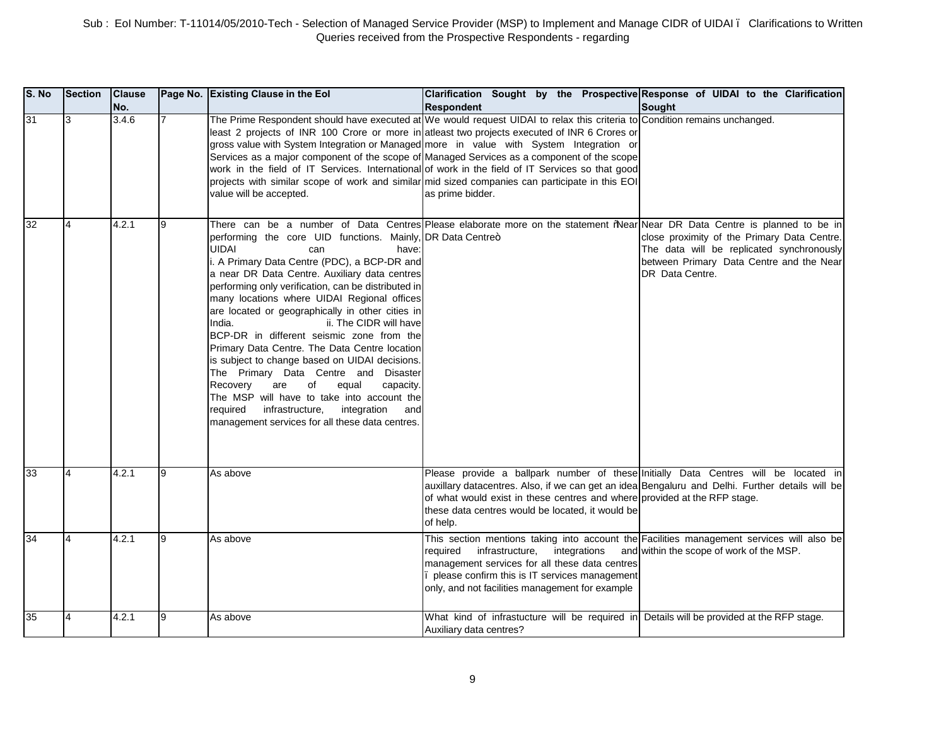| S. No | <b>Section</b> | <b>Clause</b><br>No. |                | Page No. Existing Clause in the Eol                                                                                                                                                                                                                                                                                                                                                                                                                                                                                                                                                                                                                                                                                                                                                    | Clarification Sought by the Prospective Response of UIDAI to the Clarification<br><b>Respondent</b>                                                                                                                                                                                                                                                                                                                                                                                                                                                                                                                                             | <b>Sought</b>                                                                                                                                           |
|-------|----------------|----------------------|----------------|----------------------------------------------------------------------------------------------------------------------------------------------------------------------------------------------------------------------------------------------------------------------------------------------------------------------------------------------------------------------------------------------------------------------------------------------------------------------------------------------------------------------------------------------------------------------------------------------------------------------------------------------------------------------------------------------------------------------------------------------------------------------------------------|-------------------------------------------------------------------------------------------------------------------------------------------------------------------------------------------------------------------------------------------------------------------------------------------------------------------------------------------------------------------------------------------------------------------------------------------------------------------------------------------------------------------------------------------------------------------------------------------------------------------------------------------------|---------------------------------------------------------------------------------------------------------------------------------------------------------|
| 31    | 3              | 3.4.6                | $\overline{7}$ | value will be accepted.                                                                                                                                                                                                                                                                                                                                                                                                                                                                                                                                                                                                                                                                                                                                                                | The Prime Respondent should have executed at We would request UIDAI to relax this criteria to Condition remains unchanged.<br>least 2 projects of INR 100 Crore or more in atleast two projects executed of INR 6 Crores or<br>gross value with System Integration or Managed more in value with System Integration or<br>Services as a major component of the scope of Managed Services as a component of the scope<br>work in the field of IT Services. International of work in the field of IT Services so that good<br>projects with similar scope of work and similar mid sized companies can participate in this EOI<br>as prime bidder. |                                                                                                                                                         |
| 32    | $\overline{4}$ | 4.2.1                | 9              | performing the core UID functions. Mainly, DR Data Centre+<br><b>UIDAI</b><br>can<br>have:<br>i. A Primary Data Centre (PDC), a BCP-DR and<br>a near DR Data Centre. Auxiliary data centres<br>performing only verification, can be distributed in<br>many locations where UIDAI Regional offices<br>are located or geographically in other cities in<br>India.<br>ii. The CIDR will have<br>BCP-DR in different seismic zone from the<br>Primary Data Centre. The Data Centre location<br>is subject to change based on UIDAI decisions.<br>The Primary Data Centre and Disaster<br>Recovery<br>are<br>of<br>equal<br>capacity.<br>The MSP will have to take into account the<br>infrastructure,<br>required<br>integration<br>and<br>management services for all these data centres. | There can be a number of Data Centres Please elaborate more on the statement "Near Near DR Data Centre is planned to be in                                                                                                                                                                                                                                                                                                                                                                                                                                                                                                                      | close proximity of the Primary Data Centre.<br>The data will be replicated synchronously<br>between Primary Data Centre and the Near<br>DR Data Centre. |
| 33    |                | 4.2.1                | 9              | As above                                                                                                                                                                                                                                                                                                                                                                                                                                                                                                                                                                                                                                                                                                                                                                               | Please provide a ballpark number of these Initially Data Centres will be located in<br>auxillary datacentres. Also, if we can get an idea Bengaluru and Delhi. Further details will be<br>of what would exist in these centres and where provided at the RFP stage.<br>these data centres would be located, it would be<br>of help.                                                                                                                                                                                                                                                                                                             |                                                                                                                                                         |
| 34    | $\overline{4}$ | 4.2.1                | 9              | As above                                                                                                                                                                                                                                                                                                                                                                                                                                                                                                                                                                                                                                                                                                                                                                               | This section mentions taking into account the Facilities management services will also be<br>integrations<br>reauired<br>infrastructure,<br>management services for all these data centres<br>please confirm this is IT services management<br>only, and not facilities management for example                                                                                                                                                                                                                                                                                                                                                  | and within the scope of work of the MSP.                                                                                                                |
| 35    | $\overline{4}$ | 4.2.1                | 9              | As above                                                                                                                                                                                                                                                                                                                                                                                                                                                                                                                                                                                                                                                                                                                                                                               | What kind of infrastucture will be required in Details will be provided at the RFP stage.<br>Auxiliary data centres?                                                                                                                                                                                                                                                                                                                                                                                                                                                                                                                            |                                                                                                                                                         |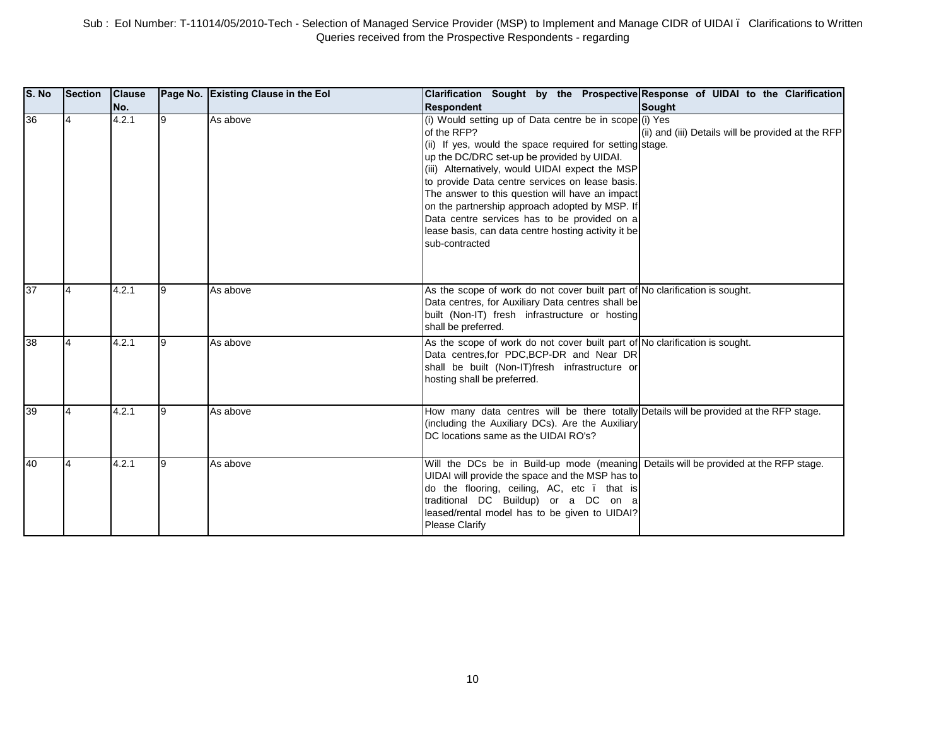| S. No | Section | <b>Clause</b><br>INo. |   | Page No. Existing Clause in the Eol | Clarification Sought by the Prospective Response of UIDAI to the Clarification<br><b>Respondent</b>                                                                                                                                                                                                                                                                                                                                                                                                                  | Sought                                             |
|-------|---------|-----------------------|---|-------------------------------------|----------------------------------------------------------------------------------------------------------------------------------------------------------------------------------------------------------------------------------------------------------------------------------------------------------------------------------------------------------------------------------------------------------------------------------------------------------------------------------------------------------------------|----------------------------------------------------|
| 36    |         | 4.2.1                 | 9 | As above                            | (i) Would setting up of Data centre be in scope (i) Yes<br>of the RFP?<br>(ii) If yes, would the space required for setting stage.<br>up the DC/DRC set-up be provided by UIDAI.<br>(iii) Alternatively, would UIDAI expect the MSP<br>to provide Data centre services on lease basis.<br>The answer to this question will have an impact<br>on the partnership approach adopted by MSP. If<br>Data centre services has to be provided on a<br>lease basis, can data centre hosting activity it be<br>sub-contracted | (ii) and (iii) Details will be provided at the RFP |
| 37    |         | 4.2.1                 | 9 | As above                            | As the scope of work do not cover built part of No clarification is sought.<br>Data centres, for Auxiliary Data centres shall be<br>built (Non-IT) fresh infrastructure or hosting<br>shall be preferred.                                                                                                                                                                                                                                                                                                            |                                                    |
| 38    |         | 4.2.1                 |   | As above                            | As the scope of work do not cover built part of No clarification is sought.<br>Data centres, for PDC, BCP-DR and Near DR<br>shall be built (Non-IT)fresh infrastructure or<br>hosting shall be preferred.                                                                                                                                                                                                                                                                                                            |                                                    |
| 39    |         | 4.2.1                 | 9 | As above                            | How many data centres will be there totally Details will be provided at the RFP stage.<br>(including the Auxiliary DCs). Are the Auxiliary<br>DC locations same as the UIDAI RO's?                                                                                                                                                                                                                                                                                                                                   |                                                    |
| 40    |         | 4.2.1                 |   | As above                            | Will the DCs be in Build-up mode (meaning Details will be provided at the RFP stage.<br>UIDAI will provide the space and the MSP has to<br>do the flooring, ceiling, AC, etc . that is<br>traditional DC Buildup) or a DC on a<br>leased/rental model has to be given to UIDAI?<br>Please Clarify                                                                                                                                                                                                                    |                                                    |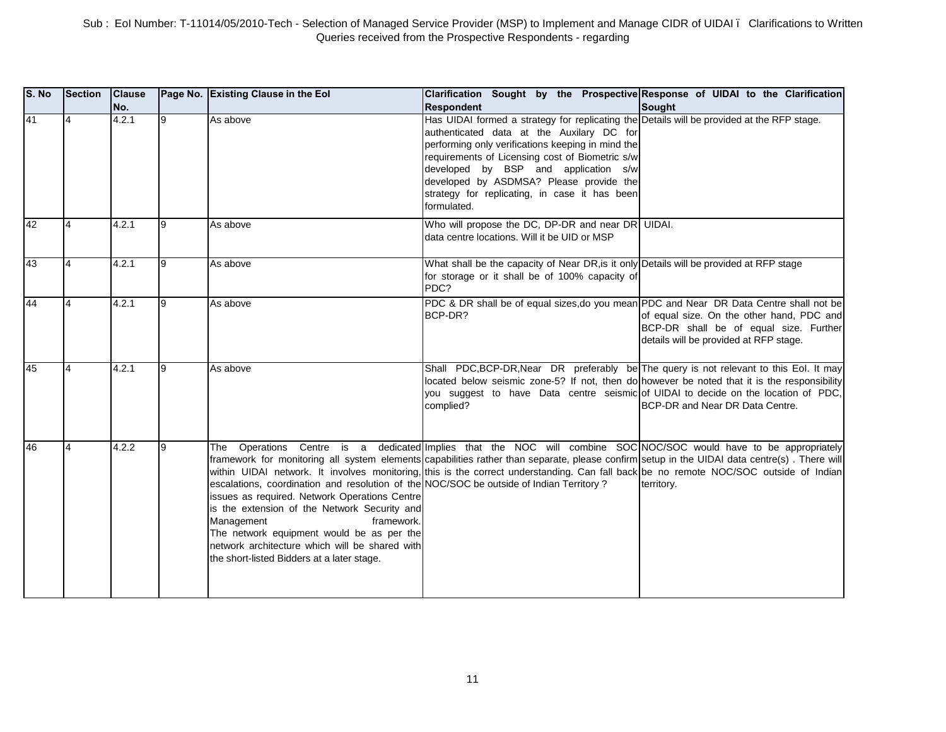| S. No | Section        | <b>Clause</b><br>No. |   | Page No. Existing Clause in the Eol                                                                                                                                                                                                                                                                                                                                      | Clarification Sought by the Prospective Response of UIDAI to the Clarification<br><b>Respondent</b>                                                                                                                                                                                                                                                                                                    | <b>Sought</b>                                                                                                                 |
|-------|----------------|----------------------|---|--------------------------------------------------------------------------------------------------------------------------------------------------------------------------------------------------------------------------------------------------------------------------------------------------------------------------------------------------------------------------|--------------------------------------------------------------------------------------------------------------------------------------------------------------------------------------------------------------------------------------------------------------------------------------------------------------------------------------------------------------------------------------------------------|-------------------------------------------------------------------------------------------------------------------------------|
| 41    |                | 4.2.1                | 9 | As above                                                                                                                                                                                                                                                                                                                                                                 | Has UIDAI formed a strategy for replicating the Details will be provided at the RFP stage.<br>authenticated data at the Auxilary DC for<br>performing only verifications keeping in mind the<br>requirements of Licensing cost of Biometric s/w<br>developed by BSP and application s/w<br>developed by ASDMSA? Please provide the<br>strategy for replicating, in case it has been<br>formulated.     |                                                                                                                               |
| 42    | $\overline{4}$ | 4.2.1                | 9 | As above                                                                                                                                                                                                                                                                                                                                                                 | Who will propose the DC, DP-DR and near DR UIDAI.<br>data centre locations. Will it be UID or MSP                                                                                                                                                                                                                                                                                                      |                                                                                                                               |
| 43    | 4              | 4.2.1                | 9 | As above                                                                                                                                                                                                                                                                                                                                                                 | What shall be the capacity of Near DR, is it only Details will be provided at RFP stage<br>for storage or it shall be of 100% capacity of<br>PDC?                                                                                                                                                                                                                                                      |                                                                                                                               |
| 44    | $\overline{4}$ | 4.2.1                | 9 | As above                                                                                                                                                                                                                                                                                                                                                                 | PDC & DR shall be of equal sizes, do you mean PDC and Near DR Data Centre shall not be<br>BCP-DR?                                                                                                                                                                                                                                                                                                      | of equal size. On the other hand, PDC and<br>BCP-DR shall be of equal size. Further<br>details will be provided at RFP stage. |
| 45    |                | 4.2.1                | 9 | As above                                                                                                                                                                                                                                                                                                                                                                 | Shall PDC, BCP-DR, Near DR preferably be The query is not relevant to this Eol. It may<br>located below seismic zone-5? If not, then do however be noted that it is the responsibility<br>you suggest to have Data centre seismic of UIDAI to decide on the location of PDC,<br>complied?                                                                                                              | BCP-DR and Near DR Data Centre.                                                                                               |
| 46    | $\overline{4}$ | 4.2.2                | 9 | The<br>escalations, coordination and resolution of the NOC/SOC be outside of Indian Territory?<br>issues as required. Network Operations Centre<br>is the extension of the Network Security and<br>Management<br>framework.<br>The network equipment would be as per the<br>network architecture which will be shared with<br>the short-listed Bidders at a later stage. | Operations Centre is a dedicated Implies that the NOC will combine SOC NOC/SOC would have to be appropriately<br>framework for monitoring all system elements capabilities rather than separate, please confirm setup in the UIDAI data centre(s). There will<br>within UIDAI network. It involves monitoring, this is the correct understanding. Can fall back be no remote NOC/SOC outside of Indian | territory.                                                                                                                    |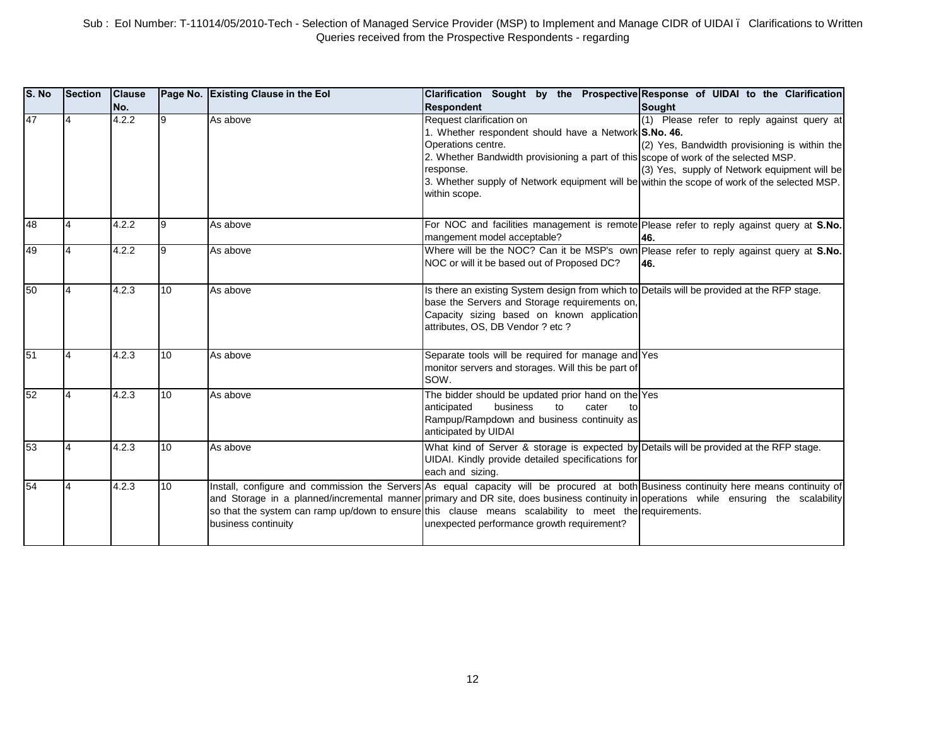| S. No | <b>Section</b> | <b>Clause</b><br>No. |    | Page No. Existing Clause in the Eol | Clarification Sought by the Prospective Response of UIDAI to the Clarification<br><b>Respondent</b>                                                                                                                                                                                                                                                                                                                                    | Sought                                                                                                                                      |
|-------|----------------|----------------------|----|-------------------------------------|----------------------------------------------------------------------------------------------------------------------------------------------------------------------------------------------------------------------------------------------------------------------------------------------------------------------------------------------------------------------------------------------------------------------------------------|---------------------------------------------------------------------------------------------------------------------------------------------|
| 47    |                | 4.2.2                | 9  | As above                            | Request clarification on<br>1. Whether respondent should have a Network S.No. 46.<br>Operations centre.<br>2. Whether Bandwidth provisioning a part of this scope of work of the selected MSP.<br>response.<br>3. Whether supply of Network equipment will be within the scope of work of the selected MSP.<br>within scope.                                                                                                           | (1) Please refer to reply against query at<br>(2) Yes, Bandwidth provisioning is within the<br>(3) Yes, supply of Network equipment will be |
| 48    | $\overline{4}$ | 4.2.2                | 9  | As above                            | For NOC and facilities management is remote Please refer to reply against query at S.No.<br>mangement model acceptable?                                                                                                                                                                                                                                                                                                                | 46.                                                                                                                                         |
| 49    | $\overline{4}$ | 4.2.2                | 9  | As above                            | Where will be the NOC? Can it be MSP's own Please refer to reply against query at S.No.<br>NOC or will it be based out of Proposed DC?                                                                                                                                                                                                                                                                                                 | 46.                                                                                                                                         |
| 50    | $\overline{4}$ | 4.2.3                | 10 | As above                            | Is there an existing System design from which to Details will be provided at the RFP stage.<br>base the Servers and Storage requirements on,<br>Capacity sizing based on known application<br>attributes, OS, DB Vendor ? etc ?                                                                                                                                                                                                        |                                                                                                                                             |
| 51    | 14             | 4.2.3                | 10 | As above                            | Separate tools will be required for manage and Yes<br>monitor servers and storages. Will this be part of<br>SOW.                                                                                                                                                                                                                                                                                                                       |                                                                                                                                             |
| 52    | $\overline{4}$ | 4.2.3                | 10 | As above                            | The bidder should be updated prior hand on the Yes<br>business<br>anticipated<br>to<br>cater<br>to<br>Rampup/Rampdown and business continuity as<br>anticipated by UIDAI                                                                                                                                                                                                                                                               |                                                                                                                                             |
| 53    | $\overline{4}$ | 4.2.3                | 10 | As above                            | What kind of Server & storage is expected by Details will be provided at the RFP stage.<br>UIDAI. Kindly provide detailed specifications for<br>each and sizing.                                                                                                                                                                                                                                                                       |                                                                                                                                             |
| 54    | 14             | 4.2.3                | 10 | business continuity                 | Install, configure and commission the Servers As equal capacity will be procured at both Business continuity here means continuity of<br>and Storage in a planned/incremental manner primary and DR site, does business continuity in operations while ensuring the scalability<br>so that the system can ramp up/down to ensure this clause means scalability to meet the requirements.<br>unexpected performance growth requirement? |                                                                                                                                             |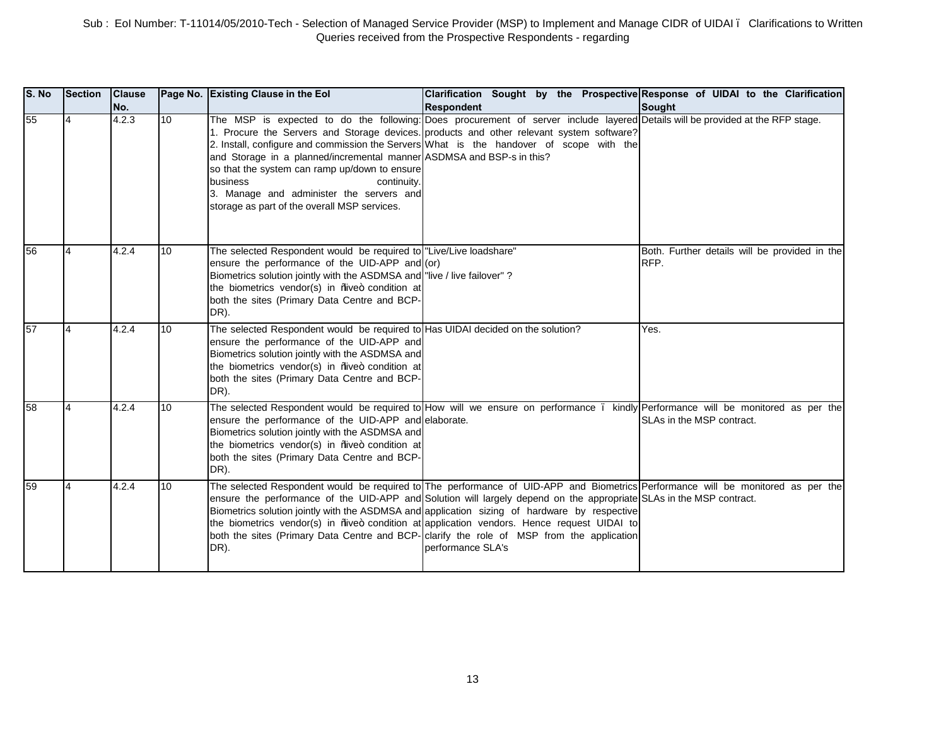| S. No | <b>Section</b> | <b>Clause</b><br>No. |    | Page No. Existing Clause in the Eol                                                                                                                                                                                                                                                                       | Clarification Sought by the Prospective Response of UIDAI to the Clarification<br><b>Respondent</b>                                                                                                                                                                                                                                                                                                                                                                                                                                                                   | <b>Sought</b>                                                                |
|-------|----------------|----------------------|----|-----------------------------------------------------------------------------------------------------------------------------------------------------------------------------------------------------------------------------------------------------------------------------------------------------------|-----------------------------------------------------------------------------------------------------------------------------------------------------------------------------------------------------------------------------------------------------------------------------------------------------------------------------------------------------------------------------------------------------------------------------------------------------------------------------------------------------------------------------------------------------------------------|------------------------------------------------------------------------------|
| 55    |                | 4.2.3                | 10 | and Storage in a planned/incremental manner ASDMSA and BSP-s in this?<br>so that the system can ramp up/down to ensure<br>business<br>continuity.<br>3. Manage and administer the servers and<br>storage as part of the overall MSP services.                                                             | The MSP is expected to do the following: Does procurement of server include layered Details will be provided at the RFP stage.<br>1. Procure the Servers and Storage devices. products and other relevant system software?<br>2. Install, configure and commission the Servers What is the handover of scope with the                                                                                                                                                                                                                                                 |                                                                              |
| 56    |                | 4.2.4                | 10 | The selected Respondent would be required to "Live/Live loadshare"<br>ensure the performance of the UID-APP and (or)<br>Biometrics solution jointly with the ASDMSA and "live / live failover" ?<br>the biometrics vendor(s) in %we+ condition at<br>both the sites (Primary Data Centre and BCP-<br>DR). |                                                                                                                                                                                                                                                                                                                                                                                                                                                                                                                                                                       | Both. Further details will be provided in the<br>RFP.                        |
| 57    |                | 4.2.4                | 10 | The selected Respondent would be required to Has UIDAI decided on the solution?<br>ensure the performance of the UID-APP and<br>Biometrics solution jointly with the ASDMSA and<br>the biometrics vendor(s) in %we+ condition at<br>both the sites (Primary Data Centre and BCP-<br>DR).                  |                                                                                                                                                                                                                                                                                                                                                                                                                                                                                                                                                                       | Yes.                                                                         |
| 58    |                | 4.2.4                | 10 | The selected Respondent would be required to How will we ensure on performance.<br>ensure the performance of the UID-APP and elaborate.<br>Biometrics solution jointly with the ASDMSA and<br>the biometrics vendor(s) in %we+ condition at<br>both the sites (Primary Data Centre and BCP-<br>DR).       |                                                                                                                                                                                                                                                                                                                                                                                                                                                                                                                                                                       | kindly Performance will be monitored as per the<br>SLAs in the MSP contract. |
| 59    |                | 4.2.4                | 10 | DR).                                                                                                                                                                                                                                                                                                      | The selected Respondent would be required to The performance of UID-APP and Biometrics Performance will be monitored as per the<br>ensure the performance of the UID-APP and Solution will largely depend on the appropriate SLAs in the MSP contract.<br>Biometrics solution jointly with the ASDMSA and application sizing of hardware by respective<br>the biometrics vendor(s) in ‰ve+ condition at application vendors. Hence request UIDAI to<br>both the sites (Primary Data Centre and BCP- clarify the role of MSP from the application<br>performance SLA's |                                                                              |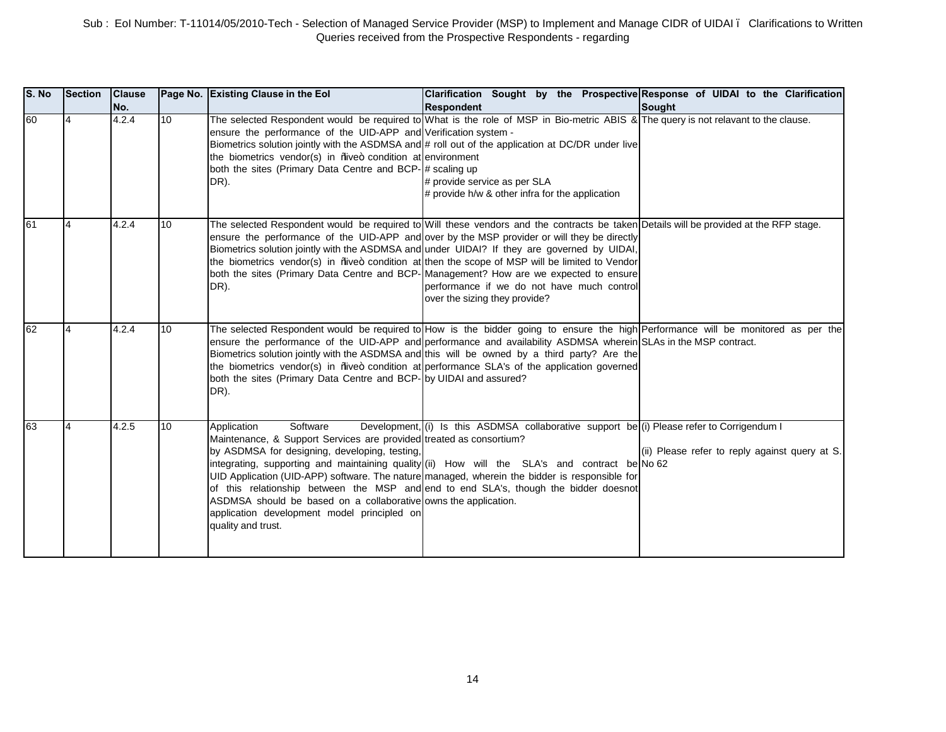| S. No | <b>Section</b> | <b>Clause</b><br>No. |                  | Page No. Existing Clause in the Eol                                                                                                                                                                                                                                                     | Clarification Sought by the Prospective Response of UIDAI to the Clarification<br><b>Respondent</b>                                                                                                                                                                                                                                                                                                                                                                                                                                                                                                           | Sought                                         |
|-------|----------------|----------------------|------------------|-----------------------------------------------------------------------------------------------------------------------------------------------------------------------------------------------------------------------------------------------------------------------------------------|---------------------------------------------------------------------------------------------------------------------------------------------------------------------------------------------------------------------------------------------------------------------------------------------------------------------------------------------------------------------------------------------------------------------------------------------------------------------------------------------------------------------------------------------------------------------------------------------------------------|------------------------------------------------|
| 60    |                | 4.2.4                | 10 <sup>10</sup> | ensure the performance of the UID-APP and Verification system -<br>the biometrics vendor(s) in <i>Nive</i> + condition at environment<br>both the sites (Primary Data Centre and BCP- # scaling up<br>DR).                                                                              | The selected Respondent would be required to What is the role of MSP in Bio-metric ABIS & The query is not relavant to the clause.<br>Biometrics solution jointly with the ASDMSA and # roll out of the application at DC/DR under live<br># provide service as per SLA<br># provide h/w & other infra for the application                                                                                                                                                                                                                                                                                    |                                                |
| 61    | 14             | 4.2.4                | 10               | DR).                                                                                                                                                                                                                                                                                    | The selected Respondent would be required to Will these vendors and the contracts be taken Details will be provided at the RFP stage.<br>ensure the performance of the UID-APP and over by the MSP provider or will they be directly<br>Biometrics solution jointly with the ASDMSA and under UIDAI? If they are governed by UIDAI,<br>the biometrics vendor(s) in ‰ve+ condition at then the scope of MSP will be limited to Vendor<br>both the sites (Primary Data Centre and BCP- Management? How are we expected to ensure<br>performance if we do not have much control<br>over the sizing they provide? |                                                |
| 62    |                | 4.2.4                | 10               | both the sites (Primary Data Centre and BCP-by UIDAI and assured?<br>DR).                                                                                                                                                                                                               | The selected Respondent would be required to How is the bidder going to ensure the high Performance will be monitored as per the<br>ensure the performance of the UID-APP and performance and availability ASDMSA wherein SLAs in the MSP contract.<br>Biometrics solution jointly with the ASDMSA and this will be owned by a third party? Are the<br>the biometrics vendor(s) in ‰ve+ condition at performance SLA's of the application governed                                                                                                                                                            |                                                |
| 63    | $\overline{4}$ | 4.2.5                | 10               | Software<br>Application<br>Maintenance, & Support Services are provided treated as consortium?<br>by ASDMSA for designing, developing, testing,<br>ASDMSA should be based on a collaborative owns the application.<br>application development model principled on<br>quality and trust. | Development, $(i)$ Is this ASDMSA collaborative support be (i) Please refer to Corrigendum I<br>integrating, supporting and maintaining quality (ii) How will the SLA's and contract be No 62<br>UID Application (UID-APP) software. The nature managed, wherein the bidder is responsible for<br>of this relationship between the MSP and end to end SLA's, though the bidder doesnot                                                                                                                                                                                                                        | (ii) Please refer to reply against query at S. |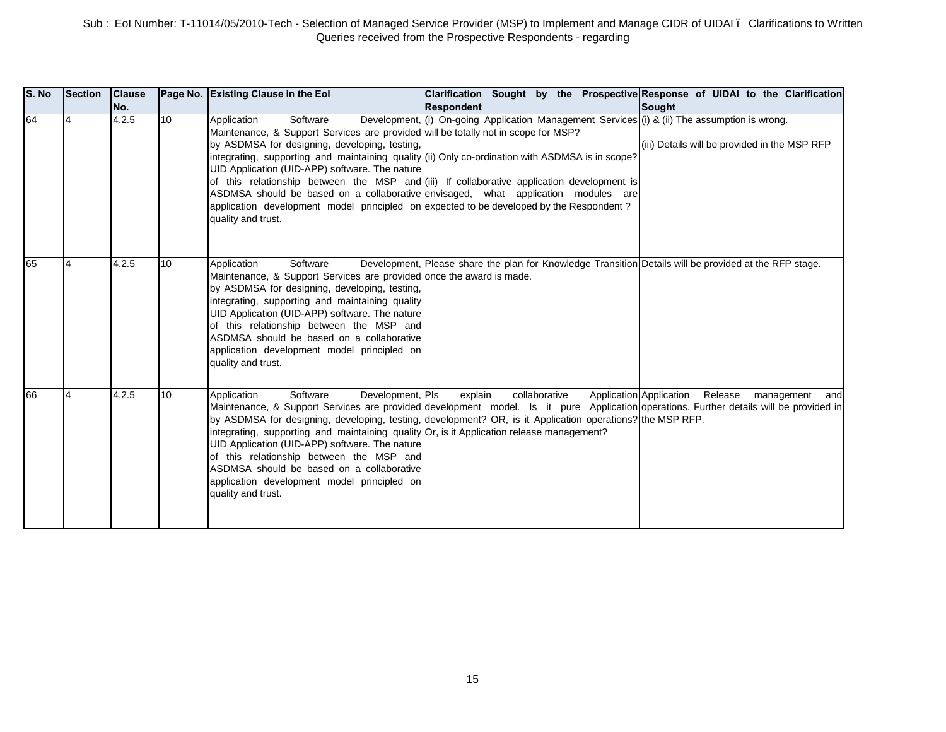| S. No | <b>Section</b> | <b>Clause</b><br>No. |    | Page No. Existing Clause in the Eol                                                                                                                                                                                                                                                                                                                                                                                 | Clarification Sought by the Prospective Response of UIDAI to the Clarification<br><b>Respondent</b>                                                                                                                                                                                                                                                                                  | Sought                                                          |
|-------|----------------|----------------------|----|---------------------------------------------------------------------------------------------------------------------------------------------------------------------------------------------------------------------------------------------------------------------------------------------------------------------------------------------------------------------------------------------------------------------|--------------------------------------------------------------------------------------------------------------------------------------------------------------------------------------------------------------------------------------------------------------------------------------------------------------------------------------------------------------------------------------|-----------------------------------------------------------------|
| 64    |                | 4.2.5                | 10 | Software<br>Application<br>Maintenance, & Support Services are provided will be totally not in scope for MSP?<br>by ASDMSA for designing, developing, testing,<br>UID Application (UID-APP) software. The nature<br>application development model principled on expected to be developed by the Respondent?<br>quality and trust.                                                                                   | Development, (i) On-going Application Management Services (i) & (ii) The assumption is wrong.<br>integrating, supporting and maintaining quality (ii) Only co-ordination with ASDMSA is in scope?<br>of this relationship between the MSP and (iii) If collaborative application development is<br>ASDMSA should be based on a collaborative envisaged, what application modules are | (iii) Details will be provided in the MSP RFP                   |
| 65    |                | 4.2.5                | 10 | Software<br>Application<br>Maintenance, & Support Services are provided once the award is made.<br>by ASDMSA for designing, developing, testing,<br>integrating, supporting and maintaining quality<br>UID Application (UID-APP) software. The nature<br>of this relationship between the MSP and<br>ASDMSA should be based on a collaborative<br>application development model principled on<br>quality and trust. | Development, Please share the plan for Knowledge Transition Details will be provided at the RFP stage.                                                                                                                                                                                                                                                                               |                                                                 |
| 66    |                | 4.2.5                | 10 | Software<br>Development, Pls<br>Application<br>integrating, supporting and maintaining quality Or, is it Application release management?<br>UID Application (UID-APP) software. The nature<br>of this relationship between the MSP and<br>ASDMSA should be based on a collaborative<br>application development model principled on<br>quality and trust.                                                            | explain<br>collaborative<br>Maintenance, & Support Services are provided development model. Is it pure Application operations. Further details will be provided in<br>by ASDMSA for designing, developing, testing, development? OR, is it Application operations? the MSP RFP.                                                                                                      | <b>Application Application</b><br>Release<br>management<br>andl |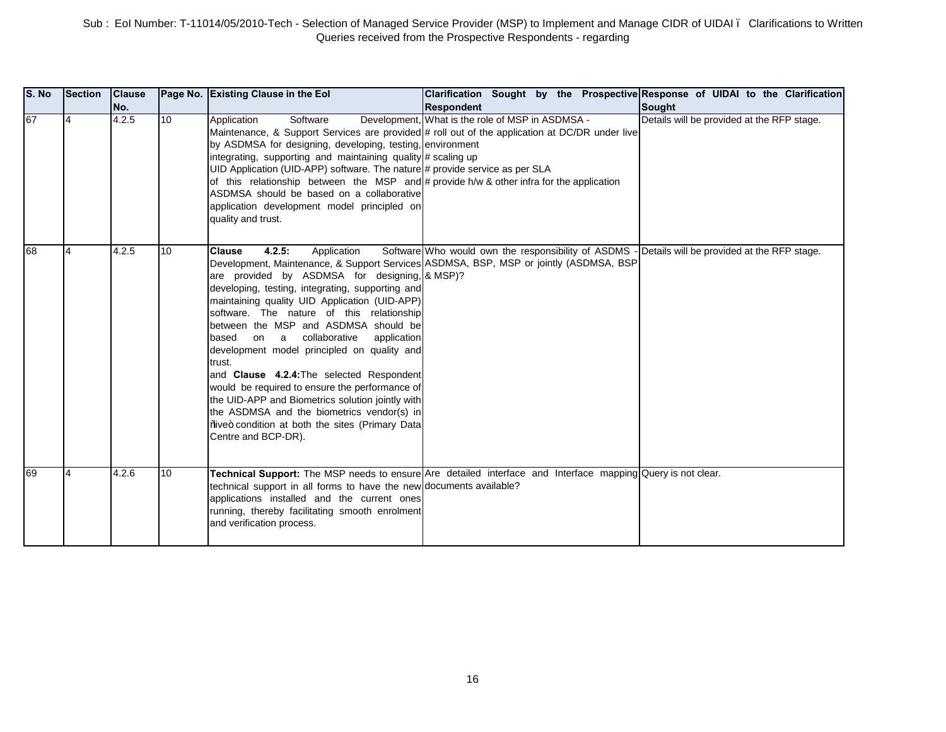| <b>S. No</b> | <b>Section</b>           | <b>Clause</b><br>No. |    | Page No. Existing Clause in the Eol                                                                                                                                                                                                                                                                                                                                                                                                                                                                                                                                                                                                                                    | Clarification Sought by the Prospective Response of UIDAI to the Clarification<br><b>Respondent</b>                                                                                      | Sought                                     |
|--------------|--------------------------|----------------------|----|------------------------------------------------------------------------------------------------------------------------------------------------------------------------------------------------------------------------------------------------------------------------------------------------------------------------------------------------------------------------------------------------------------------------------------------------------------------------------------------------------------------------------------------------------------------------------------------------------------------------------------------------------------------------|------------------------------------------------------------------------------------------------------------------------------------------------------------------------------------------|--------------------------------------------|
| 67           | $\overline{4}$           | 4.2.5                | 10 | Software<br>Application<br>by ASDMSA for designing, developing, testing, environment<br>integrating, supporting and maintaining quality # scaling up<br>UID Application (UID-APP) software. The nature # provide service as per SLA<br>of this relationship between the MSP and # provide $h/w$ & other infra for the application<br>ASDMSA should be based on a collaborative<br>application development model principled on<br>quality and trust.                                                                                                                                                                                                                    | Development, What is the role of MSP in ASDMSA -<br>Maintenance, & Support Services are provided # roll out of the application at DC/DR under live                                       | Details will be provided at the RFP stage. |
| 68           | $\overline{\mathcal{A}}$ | 4.2.5                | 10 | 4.2.5:<br>Application<br><b>Clause</b><br>are provided by ASDMSA for designing, & MSP)?<br>developing, testing, integrating, supporting and<br>maintaining quality UID Application (UID-APP)<br>software. The nature of this relationship<br>between the MSP and ASDMSA should be<br>collaborative<br>application<br>based<br>on a<br>development model principled on quality and<br>trust.<br>and Clause 4.2.4: The selected Respondent<br>would be required to ensure the performance of<br>the UID-APP and Biometrics solution jointly with<br>the ASDMSA and the biometrics vendor(s) in<br>%iwe+ condition at both the sites (Primary Data<br>Centre and BCP-DR). | Software Who would own the responsibility of ASDMS - Details will be provided at the RFP stage.<br>Development, Maintenance, & Support Services ASDMSA, BSP, MSP or jointly (ASDMSA, BSP |                                            |
| 69           |                          | 4.2.6                | 10 | technical support in all forms to have the new documents available?<br>applications installed and the current ones<br>running, thereby facilitating smooth enrolment<br>and verification process.                                                                                                                                                                                                                                                                                                                                                                                                                                                                      | Technical Support: The MSP needs to ensure Are detailed interface and Interface mapping Query is not clear.                                                                              |                                            |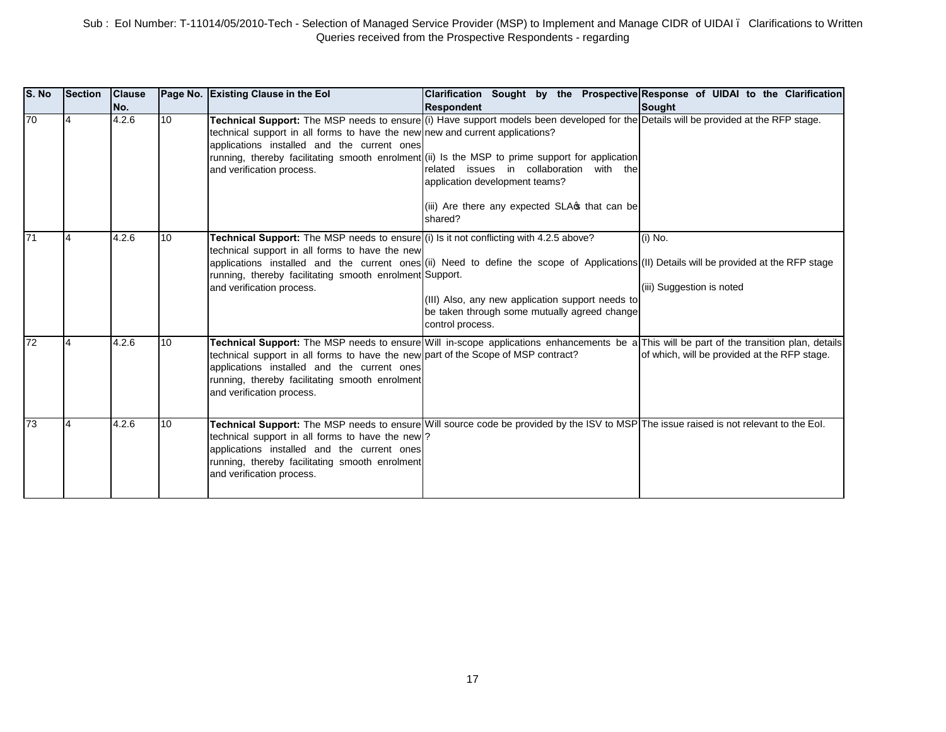| S. No | Section | <b>Clause</b><br>No. |    | Page No. Existing Clause in the Eol                                                                                                                                                                                              | <b>Clarification</b><br><b>Respondent</b>                                                                                                                                                                                                                                                                                                                                                     | Sought by the Prospective Response of UIDAI to the Clarification<br>Sought |
|-------|---------|----------------------|----|----------------------------------------------------------------------------------------------------------------------------------------------------------------------------------------------------------------------------------|-----------------------------------------------------------------------------------------------------------------------------------------------------------------------------------------------------------------------------------------------------------------------------------------------------------------------------------------------------------------------------------------------|----------------------------------------------------------------------------|
| 70    |         | 4.2.6                | 10 | technical support in all forms to have the new new and current applications?<br>applications installed and the current ones<br>and verification process.                                                                         | Technical Support: The MSP needs to ensure (i) Have support models been developed for the Details will be provided at the RFP stage.<br>running, thereby facilitating smooth enrolment (ii) Is the MSP to prime support for application<br>related issues in collaboration with the<br>application development teams?<br>(iii) Are there any expected SLA <sub>S</sub> that can be<br>shared? |                                                                            |
| I71   |         | 4.2.6                | 10 | Technical Support: The MSP needs to ensure (i) Is it not conflicting with 4.2.5 above?<br>technical support in all forms to have the new<br>running, thereby facilitating smooth enrolment Support.<br>and verification process. | applications installed and the current ones (ii) Need to define the scope of Applications (II) Details will be provided at the RFP stage<br>(III) Also, any new application support needs to<br>be taken through some mutually agreed change<br>control process.                                                                                                                              | (i) No.<br>(iii) Suggestion is noted                                       |
| 72    |         | 4.2.6                | 10 | technical support in all forms to have the new part of the Scope of MSP contract?<br>applications installed and the current ones<br>running, thereby facilitating smooth enrolment<br>and verification process.                  | Technical Support: The MSP needs to ensure Will in-scope applications enhancements be a This will be part of the transition plan, details                                                                                                                                                                                                                                                     | of which, will be provided at the RFP stage.                               |
| 73    |         | 4.2.6                | 10 | technical support in all forms to have the new ?<br>applications installed and the current ones<br>running, thereby facilitating smooth enrolment<br>and verification process.                                                   | Technical Support: The MSP needs to ensure Will source code be provided by the ISV to MSP The issue raised is not relevant to the Eol.                                                                                                                                                                                                                                                        |                                                                            |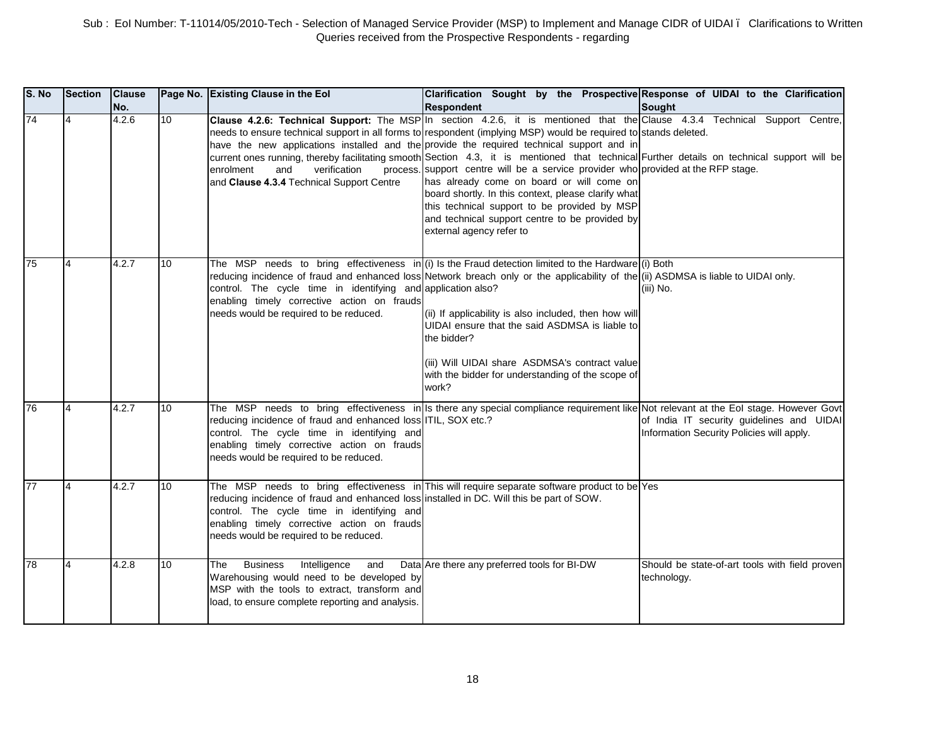| S. No | Section        | <b>Clause</b><br>No. |    | Page No. Existing Clause in the Eol                                                                                                                                                                                             | Clarification Sought by the Prospective Response of UIDAI to the Clarification<br><b>Respondent</b>                                                                                                                                                                                                                                                                                                                                                                                                                                                                                                                                                                                                                                                                                                              | <b>Sought</b>                                                                          |
|-------|----------------|----------------------|----|---------------------------------------------------------------------------------------------------------------------------------------------------------------------------------------------------------------------------------|------------------------------------------------------------------------------------------------------------------------------------------------------------------------------------------------------------------------------------------------------------------------------------------------------------------------------------------------------------------------------------------------------------------------------------------------------------------------------------------------------------------------------------------------------------------------------------------------------------------------------------------------------------------------------------------------------------------------------------------------------------------------------------------------------------------|----------------------------------------------------------------------------------------|
| 74    | 4              | 4.2.6                | 10 | verification<br>enrolment<br>and<br>and Clause 4.3.4 Technical Support Centre                                                                                                                                                   | Clause 4.2.6: Technical Support: The MSP In section 4.2.6, it is mentioned that the Clause 4.3.4 Technical Support Centre,<br>needs to ensure technical support in all forms to respondent (implying MSP) would be required to stands deleted.<br>have the new applications installed and the provide the required technical support and in<br>current ones running, thereby facilitating smooth Section 4.3, it is mentioned that technical Further details on technical support will be<br>process. support centre will be a service provider who provided at the RFP stage.<br>has already come on board or will come on<br>board shortly. In this context, please clarify what<br>this technical support to be provided by MSP<br>and technical support centre to be provided by<br>external agency refer to |                                                                                        |
| 75    |                | 4.2.7                | 10 | control. The cycle time in identifying and application also?<br>enabling timely corrective action on frauds<br>needs would be required to be reduced.                                                                           | The MSP needs to bring effectiveness in (i) Is the Fraud detection limited to the Hardware (i) Both<br>reducing incidence of fraud and enhanced loss Network breach only or the applicability of the (ii) ASDMSA is liable to UIDAI only.<br>(ii) If applicability is also included, then how will<br>UIDAI ensure that the said ASDMSA is liable to<br>the bidder?<br>(iii) Will UIDAI share ASDMSA's contract value<br>with the bidder for understanding of the scope of<br>work?                                                                                                                                                                                                                                                                                                                              | (iii) No.                                                                              |
| 76    | $\overline{4}$ | 4.2.7                | 10 | reducing incidence of fraud and enhanced loss ITIL, SOX etc.?<br>control. The cycle time in identifying and<br>enabling timely corrective action on frauds<br>needs would be required to be reduced.                            | The MSP needs to bring effectiveness in Is there any special compliance requirement like Not relevant at the Eol stage. However Govt                                                                                                                                                                                                                                                                                                                                                                                                                                                                                                                                                                                                                                                                             | of India IT security guidelines and UIDAI<br>Information Security Policies will apply. |
| 77    | 4              | 4.2.7                | 10 | reducing incidence of fraud and enhanced loss installed in DC. Will this be part of SOW.<br>control. The cycle time in identifying and<br>enabling timely corrective action on frauds<br>needs would be required to be reduced. | The MSP needs to bring effectiveness in This will require separate software product to be Yes                                                                                                                                                                                                                                                                                                                                                                                                                                                                                                                                                                                                                                                                                                                    |                                                                                        |
| 78    | $\overline{4}$ | 4.2.8                | 10 | Intelligence<br>The<br><b>Business</b><br>and<br>Warehousing would need to be developed by<br>MSP with the tools to extract, transform and<br>load, to ensure complete reporting and analysis.                                  | Data Are there any preferred tools for BI-DW                                                                                                                                                                                                                                                                                                                                                                                                                                                                                                                                                                                                                                                                                                                                                                     | Should be state-of-art tools with field proven<br>technology.                          |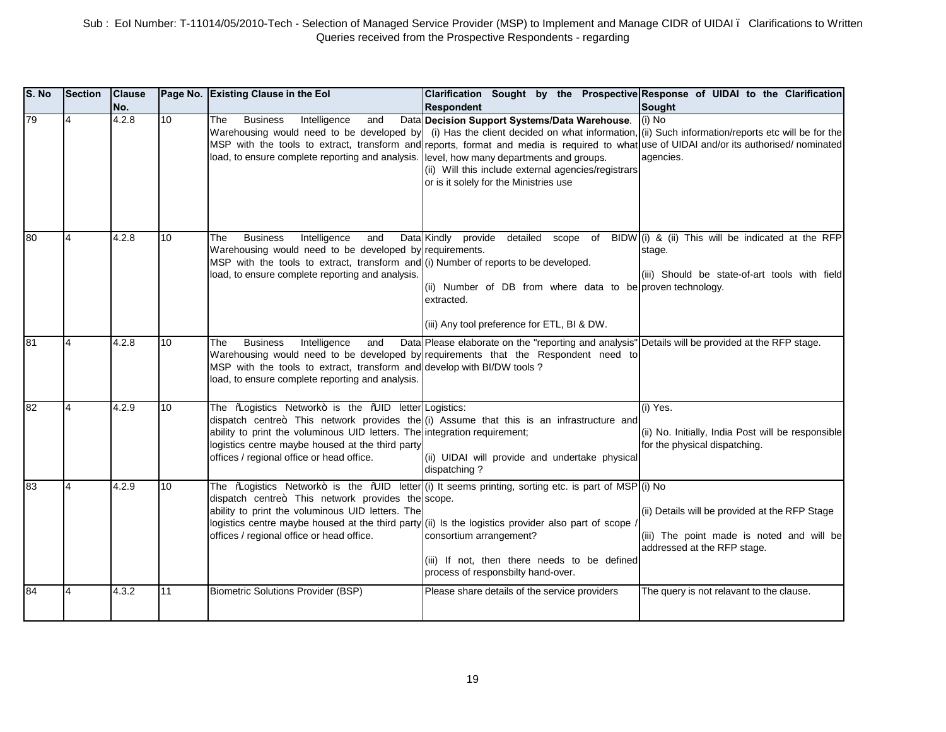| S. No | Section | <b>Clause</b><br>No. |                 | Page No. Existing Clause in the Eol                                                                                                                                                                                                                 | Clarification Sought by the Prospective Response of UIDAI to the Clarification<br><b>Respondent</b>                                                                                                                                                                                                                                                                                                                                       | <b>Sought</b>                                                                                                              |
|-------|---------|----------------------|-----------------|-----------------------------------------------------------------------------------------------------------------------------------------------------------------------------------------------------------------------------------------------------|-------------------------------------------------------------------------------------------------------------------------------------------------------------------------------------------------------------------------------------------------------------------------------------------------------------------------------------------------------------------------------------------------------------------------------------------|----------------------------------------------------------------------------------------------------------------------------|
| 79    | 4       | 4.2.8                | 10              | <b>Business</b><br>Intelligence<br>The<br>and<br>load, to ensure complete reporting and analysis. level, how many departments and groups.                                                                                                           | Data Decision Support Systems/Data Warehouse.<br>Warehousing would need to be developed by (i) Has the client decided on what information, (ii) Such information/reports etc will be for the<br>MSP with the tools to extract, transform and reports, format and media is required to what use of UIDAI and/or its authorised/ nominated<br>(ii) Will this include external agencies/registrars<br>or is it solely for the Ministries use | $(i)$ No<br>agencies.                                                                                                      |
| 80    |         | 4.2.8                | 10              | <b>Business</b><br>Intelligence<br>The<br>and<br>Warehousing would need to be developed by requirements.<br>MSP with the tools to extract, transform and (i) Number of reports to be developed.<br>load, to ensure complete reporting and analysis. | Data Kindly provide detailed scope of BIDW (i) & (ii) This will be indicated at the RFP<br>(ii) Number of DB from where data to be proven technology.<br>extracted.<br>(iii) Any tool preference for ETL, BI & DW.                                                                                                                                                                                                                        | stage.<br>(iii) Should be state-of-art tools with field                                                                    |
| 81    | 4       | 4.2.8                | 10 <sup>1</sup> | <b>Business</b><br>Intelligence<br>and<br>The<br>MSP with the tools to extract, transform and develop with BI/DW tools ?<br>load, to ensure complete reporting and analysis.                                                                        | Data Please elaborate on the "reporting and analysis" Details will be provided at the RFP stage.<br>Warehousing would need to be developed by requirements that the Respondent need to                                                                                                                                                                                                                                                    |                                                                                                                            |
| 82    | 4       | 4.2.9                | 10              | The %Logistics Network+ is the %LID letter Logistics:<br>ability to print the voluminous UID letters. The integration requirement;<br>logistics centre maybe housed at the third party<br>offices / regional office or head office.                 | dispatch centre+. This network provides the (i) Assume that this is an infrastructure and<br>(ii) UIDAI will provide and undertake physical<br>dispatching?                                                                                                                                                                                                                                                                               | (i) Yes.<br>(ii) No. Initially, India Post will be responsible<br>for the physical dispatching.                            |
| 83    | 4       | 4.2.9                | 10              | dispatch centre+. This network provides the scope.<br>ability to print the voluminous UID letters. The<br>offices / regional office or head office.                                                                                                 | The ‰ogistics Network+ is the ‰JID letter (i) It seems printing, sorting etc. is part of MSP (i) No<br>logistics centre maybe housed at the third party (ii) Is the logistics provider also part of scope /<br>consortium arrangement?<br>(iii) If not, then there needs to be defined<br>process of responsbilty hand-over.                                                                                                              | (ii) Details will be provided at the RFP Stage<br>(iii) The point made is noted and will be<br>addressed at the RFP stage. |
| 84    |         | 4.3.2                | 11              | Biometric Solutions Provider (BSP)                                                                                                                                                                                                                  | Please share details of the service providers                                                                                                                                                                                                                                                                                                                                                                                             | The query is not relavant to the clause.                                                                                   |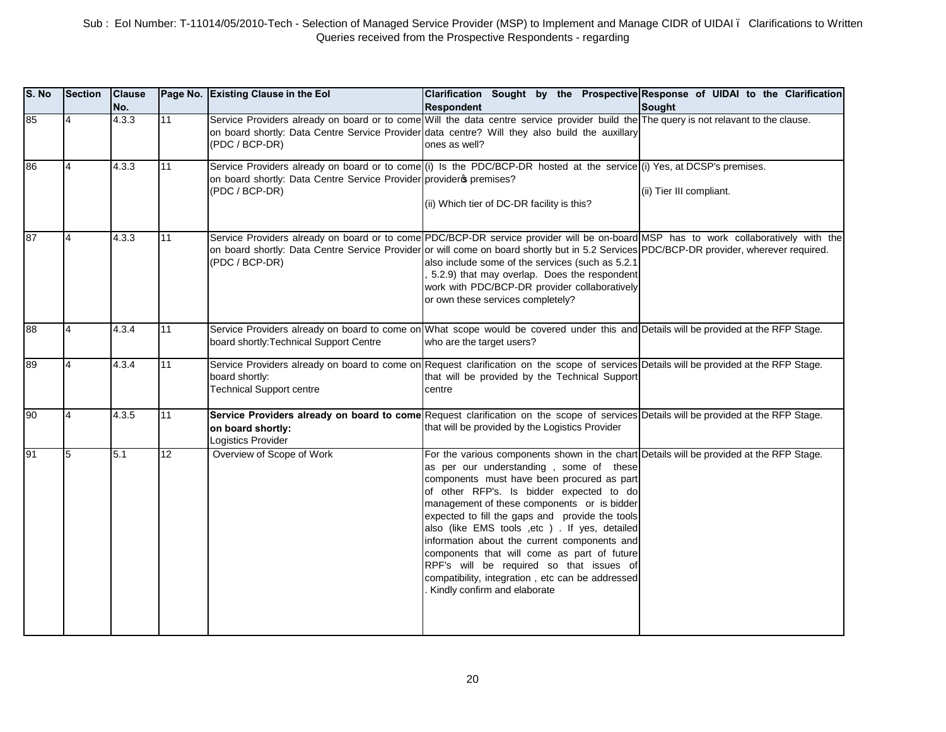| S. No | <b>Section</b> | <b>Clause</b><br>No. |    | Page No. Existing Clause in the Eol                                                 | Clarification Sought by the Prospective Response of UIDAI to the Clarification<br><b>Respondent</b>                                                                                                                                                                                                                                                                                                                                                                                                                                                                                                               | Sought                   |
|-------|----------------|----------------------|----|-------------------------------------------------------------------------------------|-------------------------------------------------------------------------------------------------------------------------------------------------------------------------------------------------------------------------------------------------------------------------------------------------------------------------------------------------------------------------------------------------------------------------------------------------------------------------------------------------------------------------------------------------------------------------------------------------------------------|--------------------------|
| 85    | $\overline{4}$ | 4.3.3                | 11 | (PDC / BCP-DR)                                                                      | Service Providers already on board or to come Will the data centre service provider build the The query is not relavant to the clause.<br>on board shortly: Data Centre Service Provider data centre? Will they also build the auxillary<br>ones as well?                                                                                                                                                                                                                                                                                                                                                         |                          |
| 86    | $\overline{4}$ | 4.3.3                | 11 | on board shortly: Data Centre Service Provider provider premises?<br>(PDC / BCP-DR) | Service Providers already on board or to come (i) Is the PDC/BCP-DR hosted at the service (i) Yes, at DCSP's premises.<br>(ii) Which tier of DC-DR facility is this?                                                                                                                                                                                                                                                                                                                                                                                                                                              | (ii) Tier III compliant. |
| 87    | $\overline{4}$ | 4.3.3                | 11 | (PDC / BCP-DR)                                                                      | Service Providers already on board or to come PDC/BCP-DR service provider will be on-board MSP has to work collaboratively with the<br>on board shortly: Data Centre Service Provider or will come on board shortly but in 5.2 Services PDC/BCP-DR provider, wherever required.<br>also include some of the services (such as 5.2.1<br>5.2.9) that may overlap. Does the respondent<br>work with PDC/BCP-DR provider collaboratively<br>or own these services completely?                                                                                                                                         |                          |
| 88    | $\overline{4}$ | 4.3.4                | 11 | board shortly: Technical Support Centre                                             | Service Providers already on board to come on What scope would be covered under this and Details will be provided at the RFP Stage.<br>who are the target users?                                                                                                                                                                                                                                                                                                                                                                                                                                                  |                          |
| 89    | $\overline{4}$ | 4.3.4                | 11 | board shortly:<br><b>Technical Support centre</b>                                   | Service Providers already on board to come on Request clarification on the scope of services Details will be provided at the RFP Stage.<br>that will be provided by the Technical Support<br>centre                                                                                                                                                                                                                                                                                                                                                                                                               |                          |
| 90    | $\overline{4}$ | 4.3.5                | 11 | on board shortly:<br>Logistics Provider                                             | Service Providers already on board to come Request clarification on the scope of services Details will be provided at the RFP Stage.<br>that will be provided by the Logistics Provider                                                                                                                                                                                                                                                                                                                                                                                                                           |                          |
| 91    | 5              | 5.1                  | 12 | Overview of Scope of Work                                                           | For the various components shown in the chart Details will be provided at the RFP Stage.<br>as per our understanding, some of these<br>components must have been procured as part<br>of other RFP's. Is bidder expected to do<br>management of these components or is bidder<br>expected to fill the gaps and provide the tools<br>also (like EMS tools , etc ) . If yes, detailed<br>information about the current components and<br>components that will come as part of future<br>RPF's will be required so that issues of<br>compatibility, integration, etc can be addressed<br>Kindly confirm and elaborate |                          |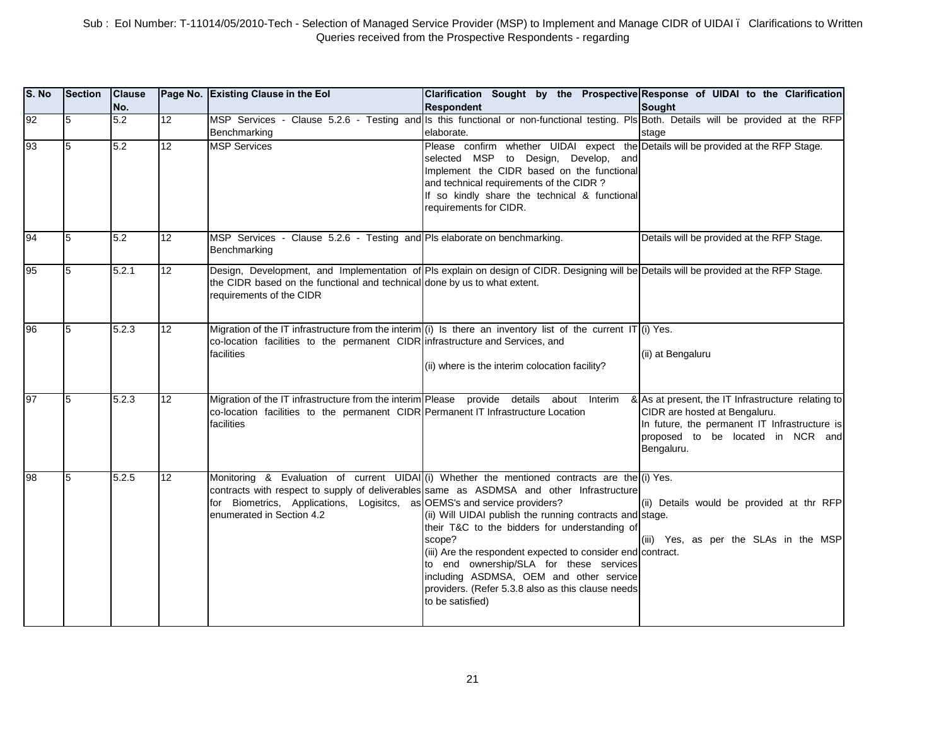| S. No | Section | <b>Clause</b><br>No. |                 | Page No. Existing Clause in the Eol                                                                                                                                                         | Clarification Sought by the Prospective Response of UIDAI to the Clarification<br><b>Respondent</b>                                                                                                                                                                                                                                                                                                                                                                                                                                            | <b>Sought</b>                                                                                                                                                                           |
|-------|---------|----------------------|-----------------|---------------------------------------------------------------------------------------------------------------------------------------------------------------------------------------------|------------------------------------------------------------------------------------------------------------------------------------------------------------------------------------------------------------------------------------------------------------------------------------------------------------------------------------------------------------------------------------------------------------------------------------------------------------------------------------------------------------------------------------------------|-----------------------------------------------------------------------------------------------------------------------------------------------------------------------------------------|
| 92    | 5       | 5.2                  | 12              | Benchmarking                                                                                                                                                                                | MSP Services - Clause 5.2.6 - Testing and Is this functional or non-functional testing. PIs Both. Details will be provided at the RFP<br>elaborate.                                                                                                                                                                                                                                                                                                                                                                                            | stage                                                                                                                                                                                   |
| 93    | 5       | 5.2                  | $\overline{12}$ | <b>MSP Services</b>                                                                                                                                                                         | Please confirm whether UIDAI expect the Details will be provided at the RFP Stage.<br>selected MSP<br>to Design, Develop, and<br>Implement the CIDR based on the functional<br>and technical requirements of the CIDR?<br>If so kindly share the technical & functional<br>requirements for CIDR.                                                                                                                                                                                                                                              |                                                                                                                                                                                         |
| 94    | 5       | 5.2                  | 12              | MSP Services - Clause 5.2.6 - Testing and Pls elaborate on benchmarking.<br>Benchmarking                                                                                                    |                                                                                                                                                                                                                                                                                                                                                                                                                                                                                                                                                | Details will be provided at the RFP Stage.                                                                                                                                              |
| 95    | 5       | 5.2.1                | 12 <sup>2</sup> | the CIDR based on the functional and technical done by us to what extent.<br>requirements of the CIDR                                                                                       | Design, Development, and Implementation of PIs explain on design of CIDR. Designing will be Details will be provided at the RFP Stage.                                                                                                                                                                                                                                                                                                                                                                                                         |                                                                                                                                                                                         |
| 96    | 5       | 5.2.3                | 12              | co-location facilities to the permanent CIDR infrastructure and Services, and<br>facilities                                                                                                 | Migration of the IT infrastructure from the interim (i) Is there an inventory list of the current IT (i) Yes.<br>(ii) where is the interim colocation facility?                                                                                                                                                                                                                                                                                                                                                                                | (ii) at Bengaluru                                                                                                                                                                       |
| 97    | 15      | 5.2.3                | 12              | Migration of the IT infrastructure from the interim Please provide details about Interim<br>co-location facilities to the permanent CIDR Permanent IT Infrastructure Location<br>facilities |                                                                                                                                                                                                                                                                                                                                                                                                                                                                                                                                                | & As at present, the IT Infrastructure relating to<br>CIDR are hosted at Bengaluru.<br>In future, the permanent IT Infrastructure is<br>proposed to be located in NCR and<br>Bengaluru. |
| 98    | 5       | 5.2.5                | 12              | for Biometrics, Applications, Logisitcs, as OEMS's and service providers?<br>enumerated in Section 4.2                                                                                      | Monitoring & Evaluation of current UIDAI (i) Whether the mentioned contracts are the (i) Yes.<br>contracts with respect to supply of deliverables same as ASDMSA and other Infrastructure<br>(ii) Will UIDAI publish the running contracts and stage.<br>their T&C to the bidders for understanding of<br>scope?<br>(iii) Are the respondent expected to consider end contract.<br>to end ownership/SLA for these services<br>including ASDMSA, OEM and other service<br>providers. (Refer 5.3.8 also as this clause needs<br>to be satisfied) | (ii) Details would be provided at thr RFP<br>(iii) Yes, as per the SLAs in the MSP                                                                                                      |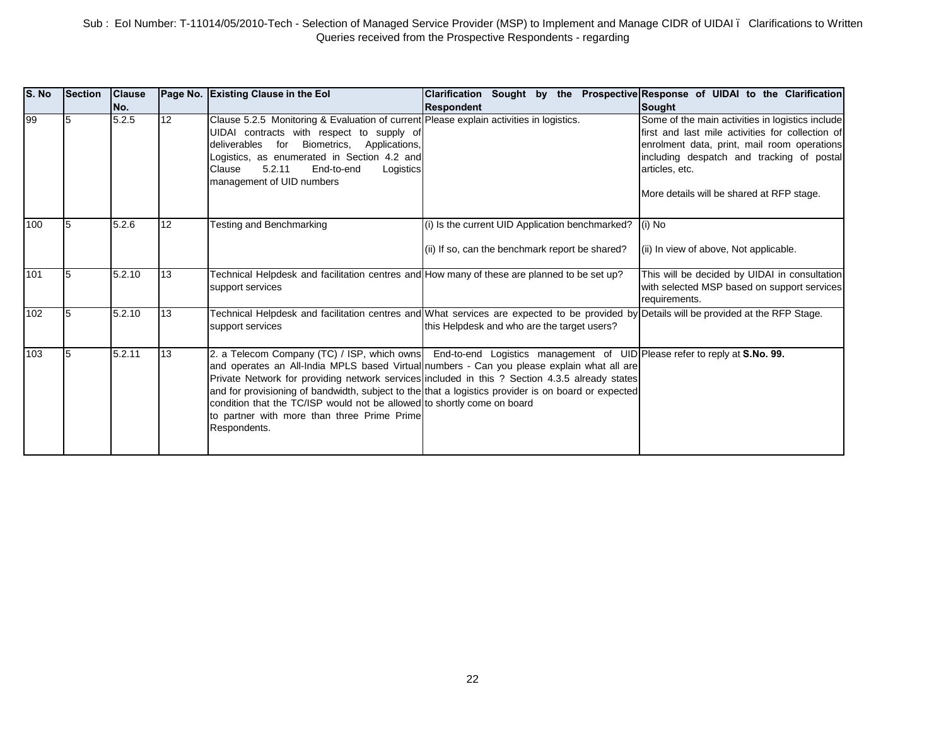| S. No | Section | <b>Clause</b><br>No. |    | Page No. Existing Clause in the Eol                                                                                                                                                                                                                                                                                 | <b>Clarification</b><br><b>Respondent</b>                                                                                                                                                                                                                                                                                                                                                                                    | Sought by the Prospective Response of UIDAI to the Clarification<br><b>Sought</b>                                                                                                                                                                               |
|-------|---------|----------------------|----|---------------------------------------------------------------------------------------------------------------------------------------------------------------------------------------------------------------------------------------------------------------------------------------------------------------------|------------------------------------------------------------------------------------------------------------------------------------------------------------------------------------------------------------------------------------------------------------------------------------------------------------------------------------------------------------------------------------------------------------------------------|-----------------------------------------------------------------------------------------------------------------------------------------------------------------------------------------------------------------------------------------------------------------|
| 99    |         | 5.2.5                | 12 | Clause 5.2.5 Monitoring & Evaluation of current Please explain activities in logistics.<br>UIDAI contracts with respect to supply of<br>deliverables<br>for Biometrics,<br>Applications,<br>Logistics, as enumerated in Section 4.2 and<br>5.2.11<br>End-to-end<br>Clause<br>Logistics<br>management of UID numbers |                                                                                                                                                                                                                                                                                                                                                                                                                              | Some of the main activities in logistics include<br>first and last mile activities for collection of<br>enrolment data, print, mail room operations<br>including despatch and tracking of postal<br>articles, etc.<br>More details will be shared at RFP stage. |
| 100   |         | 5.2.6                | 12 | Testing and Benchmarking                                                                                                                                                                                                                                                                                            | (i) Is the current UID Application benchmarked? $(i)$ No<br>(ii) If so, can the benchmark report be shared?                                                                                                                                                                                                                                                                                                                  | (ii) In view of above, Not applicable.                                                                                                                                                                                                                          |
| 101   | I5      | 5.2.10               | 13 | Technical Helpdesk and facilitation centres and How many of these are planned to be set up?<br>support services                                                                                                                                                                                                     |                                                                                                                                                                                                                                                                                                                                                                                                                              | This will be decided by UIDAI in consultation<br>with selected MSP based on support services<br>requirements.                                                                                                                                                   |
| 102   |         | 5.2.10               | 13 | support services                                                                                                                                                                                                                                                                                                    | Technical Helpdesk and facilitation centres and What services are expected to be provided by Details will be provided at the RFP Stage.<br>this Helpdesk and who are the target users?                                                                                                                                                                                                                                       |                                                                                                                                                                                                                                                                 |
| 103   |         | 5.2.11               | 13 | condition that the TC/ISP would not be allowed to shortly come on board<br>to partner with more than three Prime Prime<br>Respondents.                                                                                                                                                                              | 2. a Telecom Company (TC) / ISP, which owns End-to-end Logistics management of UID Please refer to reply at S.No. 99.<br>and operates an All-India MPLS based Virtual numbers - Can you please explain what all are<br>Private Network for providing network services included in this ? Section 4.3.5 already states<br>and for provisioning of bandwidth, subject to the that a logistics provider is on board or expected |                                                                                                                                                                                                                                                                 |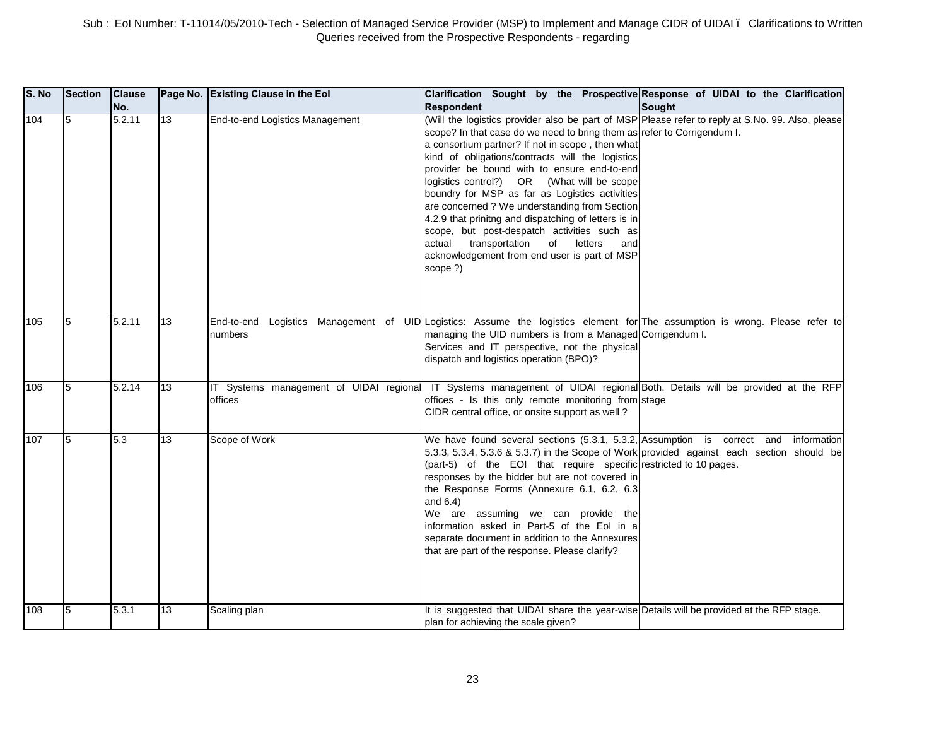| S. No | <b>Section</b> | <b>Clause</b><br>INo. |                 | Page No. Existing Clause in the Eol                | Clarification Sought by the Prospective Response of UIDAI to the Clarification<br><b>Respondent</b>                                                                                                                                                                                                                                                                                                                                                                                                                                                                                                                                                                                                     | <b>Sought</b> |
|-------|----------------|-----------------------|-----------------|----------------------------------------------------|---------------------------------------------------------------------------------------------------------------------------------------------------------------------------------------------------------------------------------------------------------------------------------------------------------------------------------------------------------------------------------------------------------------------------------------------------------------------------------------------------------------------------------------------------------------------------------------------------------------------------------------------------------------------------------------------------------|---------------|
| 104   | 5              | 5.2.11                | 13              | End-to-end Logistics Management                    | (Will the logistics provider also be part of MSP Please refer to reply at S.No. 99. Also, please<br>scope? In that case do we need to bring them as refer to Corrigendum I.<br>a consortium partner? If not in scope, then what<br>kind of obligations/contracts will the logistics<br>provider be bound with to ensure end-to-end<br>logistics control?) OR (What will be scope<br>boundry for MSP as far as Logistics activities<br>are concerned ? We understanding from Section<br>4.2.9 that prinitng and dispatching of letters is in<br>scope, but post-despatch activities such as<br>of letters<br>actual<br>transportation<br>and<br>acknowledgement from end user is part of MSP<br>scope ?) |               |
| 105   | 5              | 5.2.11                | 13              | Logistics Management of<br>End-to-end<br>numbers   | UID Logistics: Assume the logistics element for The assumption is wrong. Please refer to<br>managing the UID numbers is from a Managed Corrigendum I.<br>Services and IT perspective, not the physical<br>dispatch and logistics operation (BPO)?                                                                                                                                                                                                                                                                                                                                                                                                                                                       |               |
| 106   | 5              | 5.2.14                | 13              | IT Systems management of UIDAI regional<br>offices | IT Systems management of UIDAI regional Both. Details will be provided at the RFP<br>offices - Is this only remote monitoring from stage<br>CIDR central office, or onsite support as well?                                                                                                                                                                                                                                                                                                                                                                                                                                                                                                             |               |
| 107   | 5              | 5.3                   | $\overline{13}$ | Scope of Work                                      | We have found several sections (5.3.1, 5.3.2, Assumption is correct and information<br>5.3.3, 5.3.4, 5.3.6 & 5.3.7) in the Scope of Work provided against each section should be<br>(part-5) of the EOI that require specific restricted to 10 pages.<br>responses by the bidder but are not covered in<br>the Response Forms (Annexure 6.1, 6.2, 6.3<br>and $6.4$ )<br>We are assuming we can provide the<br>information asked in Part-5 of the Eol in a<br>separate document in addition to the Annexures<br>that are part of the response. Please clarify?                                                                                                                                           |               |
| 108   | 5              | 5.3.1                 | 13              | Scaling plan                                       | It is suggested that UIDAI share the year-wise Details will be provided at the RFP stage.<br>plan for achieving the scale given?                                                                                                                                                                                                                                                                                                                                                                                                                                                                                                                                                                        |               |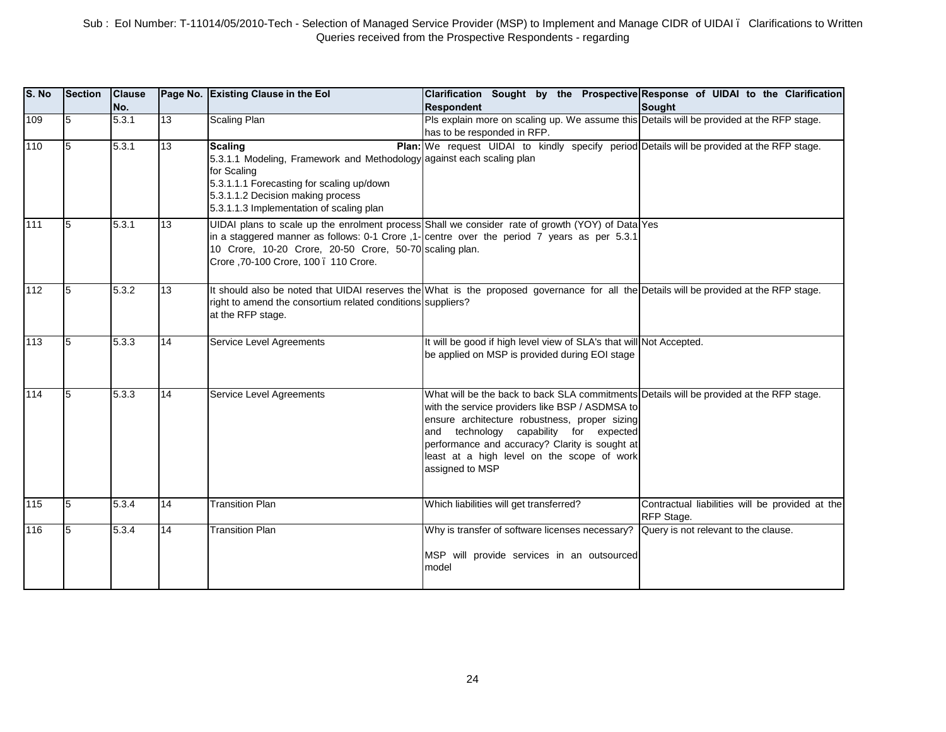| S. No | Section | <b>Clause</b><br>No. |                 | Page No. Existing Clause in the Eol                                                                                                                                                                                           | Clarification Sought by the Prospective Response of UIDAI to the Clarification<br>Respondent                                                                                                                                                                                                                                                              | Sought                                                        |
|-------|---------|----------------------|-----------------|-------------------------------------------------------------------------------------------------------------------------------------------------------------------------------------------------------------------------------|-----------------------------------------------------------------------------------------------------------------------------------------------------------------------------------------------------------------------------------------------------------------------------------------------------------------------------------------------------------|---------------------------------------------------------------|
| 109   | 5       | 5.3.1                | 13              | <b>Scaling Plan</b>                                                                                                                                                                                                           | Pls explain more on scaling up. We assume this Details will be provided at the RFP stage.<br>has to be responded in RFP.                                                                                                                                                                                                                                  |                                                               |
| 110   | 5       | 5.3.1                | 13              | Scaling<br>5.3.1.1 Modeling, Framework and Methodology against each scaling plan<br>for Scaling<br>5.3.1.1.1 Forecasting for scaling up/down<br>5.3.1.1.2 Decision making process<br>5.3.1.1.3 Implementation of scaling plan | Plan: We request UIDAI to kindly specify period Details will be provided at the RFP stage.                                                                                                                                                                                                                                                                |                                                               |
| 111   | 15      | 5.3.1                | 13              | 10 Crore, 10-20 Crore, 20-50 Crore, 50-70 scaling plan.<br>Crore, 70-100 Crore, 100. 110 Crore.                                                                                                                               | UIDAI plans to scale up the enrolment process Shall we consider rate of growth (YOY) of Data Yes<br>in a staggered manner as follows: 0-1 Crore ,1- centre over the period 7 years as per 5.3.1                                                                                                                                                           |                                                               |
| 112   | 15      | 5.3.2                | 13              | right to amend the consortium related conditions suppliers?<br>at the RFP stage.                                                                                                                                              | It should also be noted that UIDAI reserves the What is the proposed governance for all the Details will be provided at the RFP stage.                                                                                                                                                                                                                    |                                                               |
| 113   | 15      | 5.3.3                | 14              | Service Level Agreements                                                                                                                                                                                                      | It will be good if high level view of SLA's that will Not Accepted.<br>be applied on MSP is provided during EOI stage                                                                                                                                                                                                                                     |                                                               |
| 114   | 15      | 5.3.3                | 14              | Service Level Agreements                                                                                                                                                                                                      | What will be the back to back SLA commitments Details will be provided at the RFP stage.<br>with the service providers like BSP / ASDMSA to<br>ensure architecture robustness, proper sizing<br>and technology capability for expected<br>performance and accuracy? Clarity is sought at<br>least at a high level on the scope of work<br>assigned to MSP |                                                               |
| 115   | 5       | 5.3.4                | 14              | <b>Transition Plan</b>                                                                                                                                                                                                        | Which liabilities will get transferred?                                                                                                                                                                                                                                                                                                                   | Contractual liabilities will be provided at the<br>RFP Stage. |
| 116   | 5       | 5.3.4                | $\overline{14}$ | <b>Transition Plan</b>                                                                                                                                                                                                        | Why is transfer of software licenses necessary?<br>MSP will provide services in an outsourced<br>model                                                                                                                                                                                                                                                    | Query is not relevant to the clause.                          |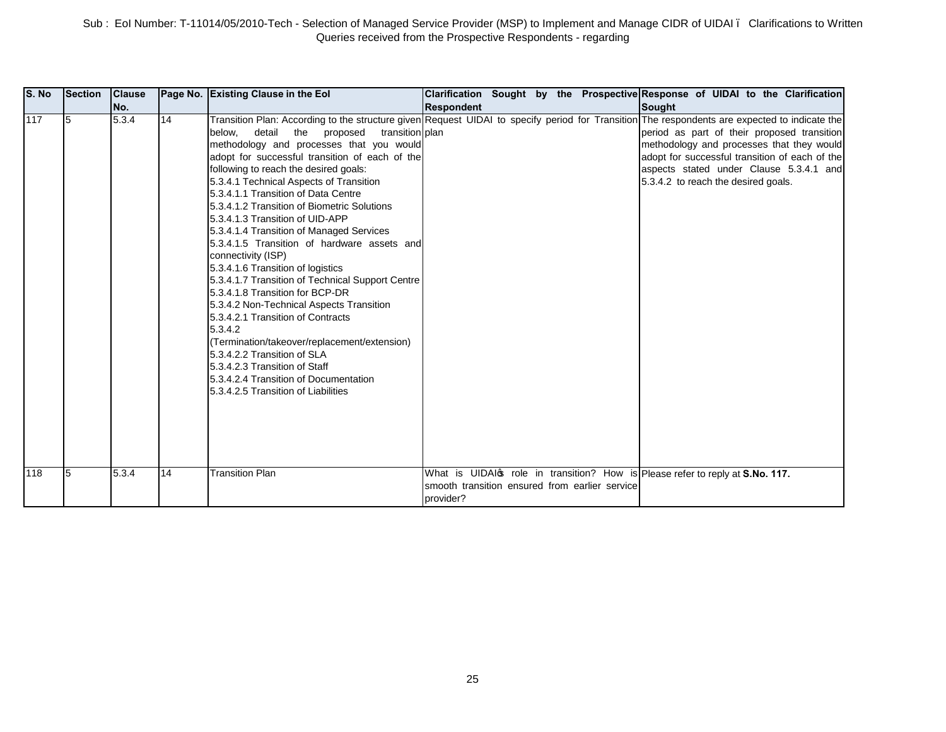| S. No      | <b>Section</b> | <b>Clause</b>  |          | Page No. Existing Clause in the Eol                                                                                                                                                                                                                                                                                                                                                                                                                                                                                                                                                                                                                                                                                                                                                                                                                                                                                                                                                                                                                                                   |                                                             |  | Clarification Sought by the Prospective Response of UIDAI to the Clarification                                                                                                                                                                                                                                  |
|------------|----------------|----------------|----------|---------------------------------------------------------------------------------------------------------------------------------------------------------------------------------------------------------------------------------------------------------------------------------------------------------------------------------------------------------------------------------------------------------------------------------------------------------------------------------------------------------------------------------------------------------------------------------------------------------------------------------------------------------------------------------------------------------------------------------------------------------------------------------------------------------------------------------------------------------------------------------------------------------------------------------------------------------------------------------------------------------------------------------------------------------------------------------------|-------------------------------------------------------------|--|-----------------------------------------------------------------------------------------------------------------------------------------------------------------------------------------------------------------------------------------------------------------------------------------------------------------|
|            |                | No.            |          |                                                                                                                                                                                                                                                                                                                                                                                                                                                                                                                                                                                                                                                                                                                                                                                                                                                                                                                                                                                                                                                                                       | <b>Respondent</b>                                           |  | Sought                                                                                                                                                                                                                                                                                                          |
| 117<br>118 | I5<br>5        | 5.3.4<br>5.3.4 | 14<br>14 | Transition Plan: According to the structure given Request UIDAI to specify period for Transition The respondents are expected to indicate the<br>detail<br>transition plan<br>below.<br>the<br>proposed<br>methodology and processes that you would<br>adopt for successful transition of each of the<br>following to reach the desired goals:<br>5.3.4.1 Technical Aspects of Transition<br>5.3.4.1.1 Transition of Data Centre<br>5.3.4.1.2 Transition of Biometric Solutions<br>5.3.4.1.3 Transition of UID-APP<br>5.3.4.1.4 Transition of Managed Services<br>5.3.4.1.5 Transition of hardware assets and<br>connectivity (ISP)<br>5.3.4.1.6 Transition of logistics<br>5.3.4.1.7 Transition of Technical Support Centre<br>5.3.4.1.8 Transition for BCP-DR<br>5.3.4.2 Non-Technical Aspects Transition<br>5.3.4.2.1 Transition of Contracts<br>5.3.4.2<br>(Termination/takeover/replacement/extension)<br>5.3.4.2.2 Transition of SLA<br>5.3.4.2.3 Transition of Staff<br>5.3.4.2.4 Transition of Documentation<br>5.3.4.2.5 Transition of Liabilities<br><b>Transition Plan</b> |                                                             |  | period as part of their proposed transition<br>methodology and processes that they would<br>adopt for successful transition of each of the<br>aspects stated under Clause 5.3.4.1 and<br>5.3.4.2 to reach the desired goals.<br>What is UIDAI of role in transition? How is Please refer to reply at S.No. 117. |
|            |                |                |          |                                                                                                                                                                                                                                                                                                                                                                                                                                                                                                                                                                                                                                                                                                                                                                                                                                                                                                                                                                                                                                                                                       | smooth transition ensured from earlier service<br>provider? |  |                                                                                                                                                                                                                                                                                                                 |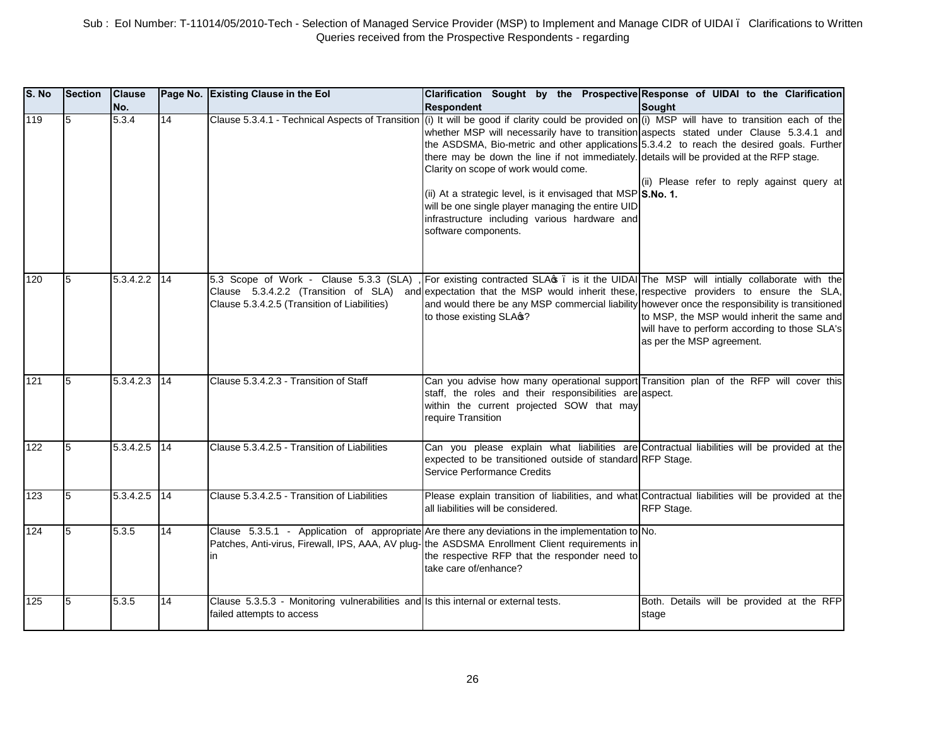| S. No | <b>Section</b> | <b>Clause</b><br>No. |    | Page No. Existing Clause in the Eol                                                                              | Clarification Sought by the Prospective Response of UIDAI to the Clarification<br><b>Respondent</b>                                                                                                                                                                                                                                                                                                                                                                                                                                                                                                                                                                         | Sought                                                                                                                   |
|-------|----------------|----------------------|----|------------------------------------------------------------------------------------------------------------------|-----------------------------------------------------------------------------------------------------------------------------------------------------------------------------------------------------------------------------------------------------------------------------------------------------------------------------------------------------------------------------------------------------------------------------------------------------------------------------------------------------------------------------------------------------------------------------------------------------------------------------------------------------------------------------|--------------------------------------------------------------------------------------------------------------------------|
| 119   | 5              | 5.3.4                | 14 |                                                                                                                  | Clause 5.3.4.1 - Technical Aspects of Transition (i) It will be good if clarity could be provided on (i) MSP will have to transition each of the<br>whether MSP will necessarily have to transition aspects stated under Clause 5.3.4.1 and<br>the ASDSMA, Bio-metric and other applications 5.3.4.2 to reach the desired goals. Further<br>there may be down the line if not immediately. details will be provided at the RFP stage.<br>Clarity on scope of work would come.<br>(ii) At a strategic level, is it envisaged that MSP S.No. 1.<br>will be one single player managing the entire UID<br>infrastructure including various hardware and<br>software components. | (ii) Please refer to reply against query at                                                                              |
| 120   | 5              | 5.3.4.2.2            | 14 | Clause 5.3.4.2.5 (Transition of Liabilities)                                                                     | 5.3 Scope of Work - Clause 5.3.3 (SLA), For existing contracted SLA . is it the UIDAI The MSP will intially collaborate with the<br>Clause 5.3.4.2.2 (Transition of SLA) and expectation that the MSP would inherit these, respective providers to ensure the SLA,<br>and would there be any MSP commercial liability however once the responsibility is transitioned<br>to those existing SLA $$$ ?                                                                                                                                                                                                                                                                        | to MSP, the MSP would inherit the same and<br>will have to perform according to those SLA's<br>as per the MSP agreement. |
| 121   | 5              | 5.3.4.2.3            | 14 | Clause 5.3.4.2.3 - Transition of Staff                                                                           | Can you advise how many operational support Transition plan of the RFP will cover this<br>staff, the roles and their responsibilities are aspect.<br>within the current projected SOW that may<br>require Transition                                                                                                                                                                                                                                                                                                                                                                                                                                                        |                                                                                                                          |
| 122   | 5              | 5.3.4.2.5            | 14 | Clause 5.3.4.2.5 - Transition of Liabilities                                                                     | Can you please explain what liabilities are Contractual liabilities will be provided at the<br>expected to be transitioned outside of standard RFP Stage.<br><b>Service Performance Credits</b>                                                                                                                                                                                                                                                                                                                                                                                                                                                                             |                                                                                                                          |
| 123   | 5              | 5.3.4.2.5            | 14 | Clause 5.3.4.2.5 - Transition of Liabilities                                                                     | Please explain transition of liabilities, and what Contractual liabilities will be provided at the<br>all liabilities will be considered.                                                                                                                                                                                                                                                                                                                                                                                                                                                                                                                                   | RFP Stage.                                                                                                               |
| 124   | 5              | 5.3.5                | 14 | in                                                                                                               | Clause 5.3.5.1 - Application of appropriate Are there any deviations in the implementation to No.<br>Patches, Anti-virus, Firewall, IPS, AAA, AV plug-1the ASDSMA Enrollment Client requirements in<br>the respective RFP that the responder need to<br>take care of/enhance?                                                                                                                                                                                                                                                                                                                                                                                               |                                                                                                                          |
| 125   | 5              | 5.3.5                | 14 | Clause 5.3.5.3 - Monitoring vulnerabilities and Is this internal or external tests.<br>failed attempts to access |                                                                                                                                                                                                                                                                                                                                                                                                                                                                                                                                                                                                                                                                             | Both. Details will be provided at the RFP<br>stage                                                                       |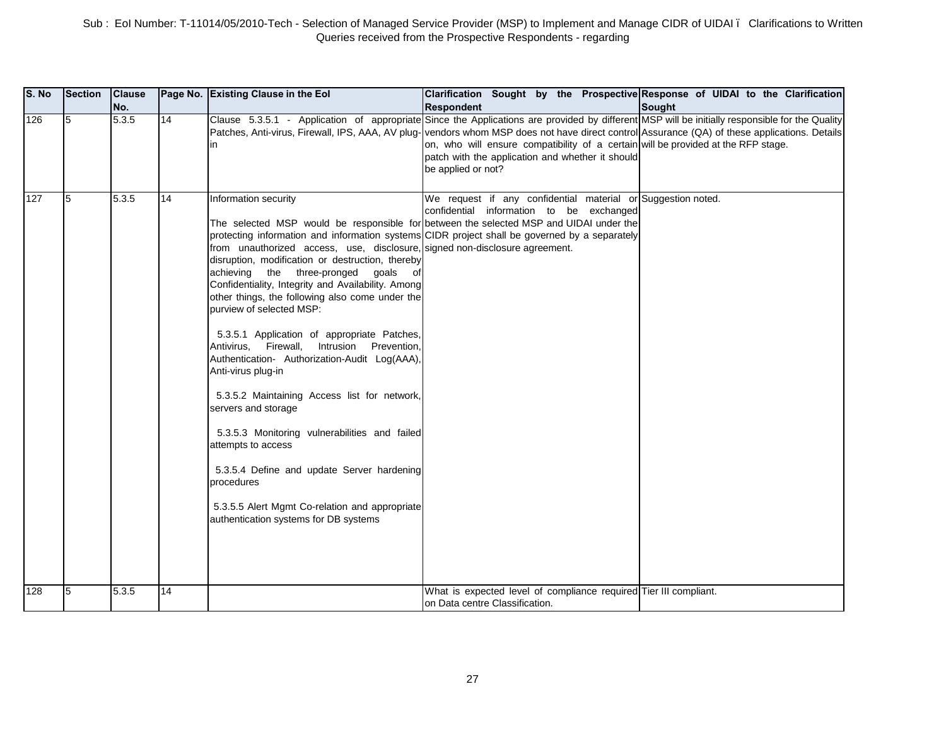| S. No | <b>Section</b> | <b>Clause</b><br>No. |    | Page No. Existing Clause in the Eol                                                                                                                                                                                                                                                                                                                                                                                                                                                                                                                                                                                                                                                                                                                                                                              | Clarification Sought by the Prospective Response of UIDAI to the Clarification<br><b>Respondent</b>                                                                                                                                                                                                                                                                                                                                                           | <b>Sought</b> |
|-------|----------------|----------------------|----|------------------------------------------------------------------------------------------------------------------------------------------------------------------------------------------------------------------------------------------------------------------------------------------------------------------------------------------------------------------------------------------------------------------------------------------------------------------------------------------------------------------------------------------------------------------------------------------------------------------------------------------------------------------------------------------------------------------------------------------------------------------------------------------------------------------|---------------------------------------------------------------------------------------------------------------------------------------------------------------------------------------------------------------------------------------------------------------------------------------------------------------------------------------------------------------------------------------------------------------------------------------------------------------|---------------|
| 126   | 5              | 5.3.5                | 14 | in                                                                                                                                                                                                                                                                                                                                                                                                                                                                                                                                                                                                                                                                                                                                                                                                               | Clause 5.3.5.1 - Application of appropriate Since the Applications are provided by different MSP will be initially responsible for the Quality<br>Patches, Anti-virus, Firewall, IPS, AAA, AV plug-vendors whom MSP does not have direct control Assurance (QA) of these applications. Details<br>on, who will ensure compatibility of a certain will be provided at the RFP stage.<br>patch with the application and whether it should<br>be applied or not? |               |
| 127   | 5              | 5.3.5                | 14 | Information security<br>from unauthorized access, use, disclosure, signed non-disclosure agreement.<br>disruption, modification or destruction, thereby<br>achieving the three-pronged goals<br>of<br>Confidentiality, Integrity and Availability. Among<br>other things, the following also come under the<br>purview of selected MSP:<br>5.3.5.1 Application of appropriate Patches,<br>Antivirus, Firewall, Intrusion Prevention,<br>Authentication- Authorization-Audit Log(AAA),<br>Anti-virus plug-in<br>5.3.5.2 Maintaining Access list for network,<br>servers and storage<br>5.3.5.3 Monitoring vulnerabilities and failed<br>attempts to access<br>5.3.5.4 Define and update Server hardening<br>procedures<br>5.3.5.5 Alert Mgmt Co-relation and appropriate<br>authentication systems for DB systems | We request if any confidential material or Suggestion noted.<br>confidential information to be exchanged<br>The selected MSP would be responsible for between the selected MSP and UIDAI under the<br>protecting information and information systems CIDR project shall be governed by a separately                                                                                                                                                           |               |
| 128   | 5              | 5.3.5                | 14 |                                                                                                                                                                                                                                                                                                                                                                                                                                                                                                                                                                                                                                                                                                                                                                                                                  | What is expected level of compliance required Tier III compliant.                                                                                                                                                                                                                                                                                                                                                                                             |               |
|       |                |                      |    |                                                                                                                                                                                                                                                                                                                                                                                                                                                                                                                                                                                                                                                                                                                                                                                                                  | on Data centre Classification.                                                                                                                                                                                                                                                                                                                                                                                                                                |               |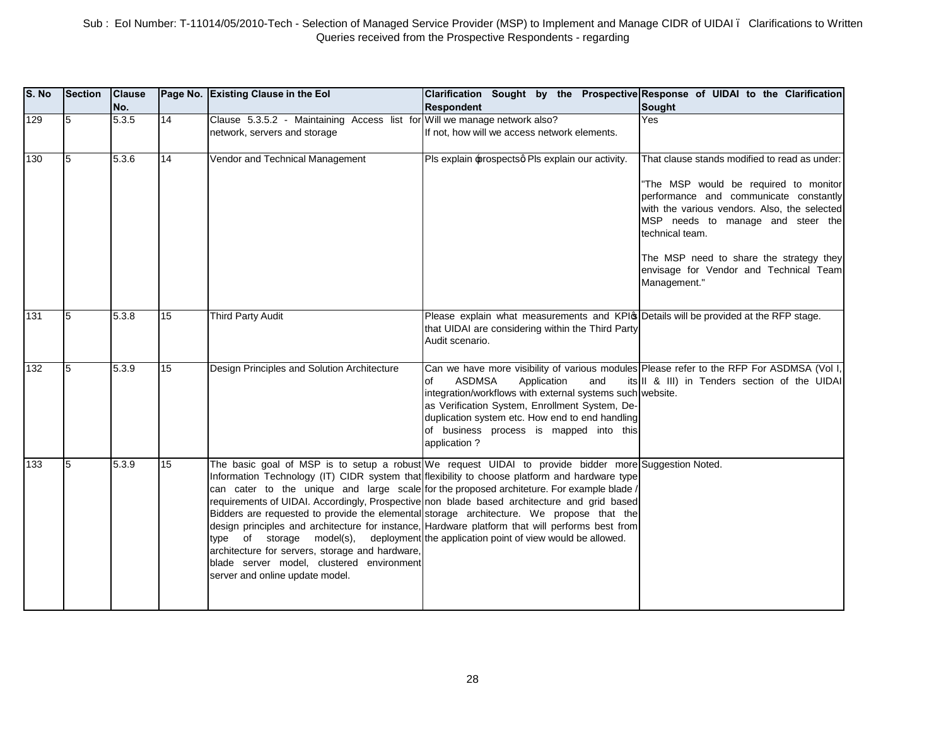| S. No | <b>Section</b> | <b>Clause</b><br>No. |                 | Page No. Existing Clause in the Eol                                                                                                                                                                                     | Clarification Sought by the Prospective Response of UIDAI to the Clarification<br><b>Respondent</b>                                                                                                                                                                                                                                                                                                                                                                                                                                                                                              | <b>Sought</b>                                                                                                                                                                                                                                                                                                                                 |
|-------|----------------|----------------------|-----------------|-------------------------------------------------------------------------------------------------------------------------------------------------------------------------------------------------------------------------|--------------------------------------------------------------------------------------------------------------------------------------------------------------------------------------------------------------------------------------------------------------------------------------------------------------------------------------------------------------------------------------------------------------------------------------------------------------------------------------------------------------------------------------------------------------------------------------------------|-----------------------------------------------------------------------------------------------------------------------------------------------------------------------------------------------------------------------------------------------------------------------------------------------------------------------------------------------|
| 129   | l5             | 5.3.5                | 14              | Clause 5.3.5.2 - Maintaining Access list for Will we manage network also?<br>network, servers and storage                                                                                                               | If not, how will we access network elements.                                                                                                                                                                                                                                                                                                                                                                                                                                                                                                                                                     | <b>Yes</b>                                                                                                                                                                                                                                                                                                                                    |
| 130   | 15             | 5.3.6                | 14              | Vendor and Technical Management                                                                                                                                                                                         | Pls explain prospectsq Pls explain our activity.                                                                                                                                                                                                                                                                                                                                                                                                                                                                                                                                                 | That clause stands modified to read as under:<br>"The MSP would be required to monitor<br>performance and communicate constantly<br>with the various vendors. Also, the selected<br>MSP needs to manage and steer the<br>technical team.<br>The MSP need to share the strategy they<br>envisage for Vendor and Technical Team<br>Management." |
| 131   | 5              | 5.3.8                | 15              | Third Party Audit                                                                                                                                                                                                       | Please explain what measurements and KPIG Details will be provided at the RFP stage.<br>that UIDAI are considering within the Third Party<br>Audit scenario.                                                                                                                                                                                                                                                                                                                                                                                                                                     |                                                                                                                                                                                                                                                                                                                                               |
| 132   | 5              | 5.3.9                | $\overline{15}$ | Design Principles and Solution Architecture                                                                                                                                                                             | Can we have more visibility of various modules Please refer to the RFP For ASDMSA (Vol I,<br><b>ASDMSA</b><br>Application<br>and<br>of<br>integration/workflows with external systems such website.<br>as Verification System, Enrollment System, De-<br>duplication system etc. How end to end handling<br>of business process is mapped into this<br>application?                                                                                                                                                                                                                              | its II & III) in Tenders section of the UIDAI                                                                                                                                                                                                                                                                                                 |
| 133   | 15             | 5.3.9                | 15              | type of storage model(s), deployment the application point of view would be allowed.<br>architecture for servers, storage and hardware,<br>blade server model, clustered environment<br>server and online update model. | The basic goal of MSP is to setup a robust We request UIDAI to provide bidder more Suggestion Noted.<br>Information Technology (IT) CIDR system that flexibility to choose platform and hardware type<br>can cater to the unique and large scale for the proposed architeture. For example blade /<br>requirements of UIDAI. Accordingly, Prospective non blade based architecture and grid based<br>Bidders are requested to provide the elemental storage architecture. We propose that the<br>design principles and architecture for instance, Hardware platform that will performs best from |                                                                                                                                                                                                                                                                                                                                               |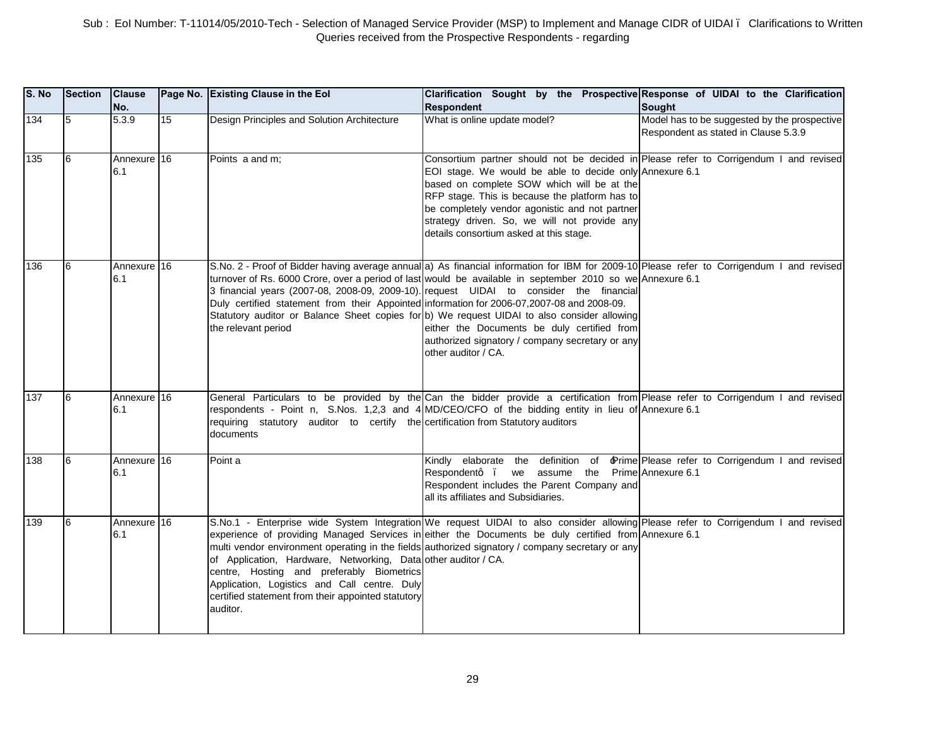| S. No | <b>Section</b> | <b>Clause</b><br>No. |    | Page No. Existing Clause in the Eol                                                                                                                                                                                           | Clarification Sought by the Prospective Response of UIDAI to the Clarification<br><b>Respondent</b>                                                                                                                                                                                                                                                                                                                                                                                                                                                                      | <b>Sought</b>                                                                        |
|-------|----------------|----------------------|----|-------------------------------------------------------------------------------------------------------------------------------------------------------------------------------------------------------------------------------|--------------------------------------------------------------------------------------------------------------------------------------------------------------------------------------------------------------------------------------------------------------------------------------------------------------------------------------------------------------------------------------------------------------------------------------------------------------------------------------------------------------------------------------------------------------------------|--------------------------------------------------------------------------------------|
| 134   | 5              | 5.3.9                | 15 | Design Principles and Solution Architecture                                                                                                                                                                                   | What is online update model?                                                                                                                                                                                                                                                                                                                                                                                                                                                                                                                                             | Model has to be suggested by the prospective<br>Respondent as stated in Clause 5.3.9 |
| 135   | l6             | Annexure 16<br>6.1   |    | Points a and m;                                                                                                                                                                                                               | Consortium partner should not be decided in Please refer to Corrigendum I and revised<br>EOI stage. We would be able to decide only Annexure 6.1<br>based on complete SOW which will be at the<br>RFP stage. This is because the platform has to<br>be completely vendor agonistic and not partner<br>strategy driven. So, we will not provide any<br>details consortium asked at this stage.                                                                                                                                                                            |                                                                                      |
| 136   | 6              | Annexure 16<br>6.1   |    | Duly certified statement from their Appointed information for 2006-07,2007-08 and 2008-09.<br>the relevant period                                                                                                             | S.No. 2 - Proof of Bidder having average annual a) As financial information for IBM for 2009-10 Please refer to Corrigendum I and revised<br>turnover of Rs. 6000 Crore, over a period of last would be available in september 2010 so we Annexure 6.1<br>3 financial years (2007-08, 2008-09, 2009-10). request UIDAI to consider the financial<br>Statutory auditor or Balance Sheet copies for b) We request UIDAI to also consider allowing<br>either the Documents be duly certified from<br>authorized signatory / company secretary or any<br>other auditor / CA. |                                                                                      |
| 137   | l6             | Annexure 16<br>6.1   |    | requiring statutory auditor to certify the certification from Statutory auditors<br>documents                                                                                                                                 | General Particulars to be provided by the Can the bidder provide a certification from Please refer to Corrigendum I and revised<br>respondents - Point n, S.Nos. 1,2,3 and 4 MD/CEO/CFO of the bidding entity in lieu of Annexure 6.1                                                                                                                                                                                                                                                                                                                                    |                                                                                      |
| 138   | l6             | Annexure 16<br>6.1   |    | Point a                                                                                                                                                                                                                       | Kindly elaborate the definition of Prime Please refer to Corrigendum I and revised<br>we assume the Prime Annexure 6.1<br>Respondentq .<br>Respondent includes the Parent Company and<br>all its affiliates and Subsidiaries.                                                                                                                                                                                                                                                                                                                                            |                                                                                      |
| 139   | 6              | Annexure 16<br>6.1   |    | of Application, Hardware, Networking, Data other auditor / CA.<br>centre, Hosting and preferably Biometrics<br>Application, Logistics and Call centre. Duly<br>certified statement from their appointed statutory<br>auditor. | S.No.1 - Enterprise wide System Integration We request UIDAI to also consider allowing Please refer to Corrigendum I and revised<br>experience of providing Managed Services in either the Documents be duly certified from Annexure 6.1<br>multi vendor environment operating in the fields authorized signatory / company secretary or any                                                                                                                                                                                                                             |                                                                                      |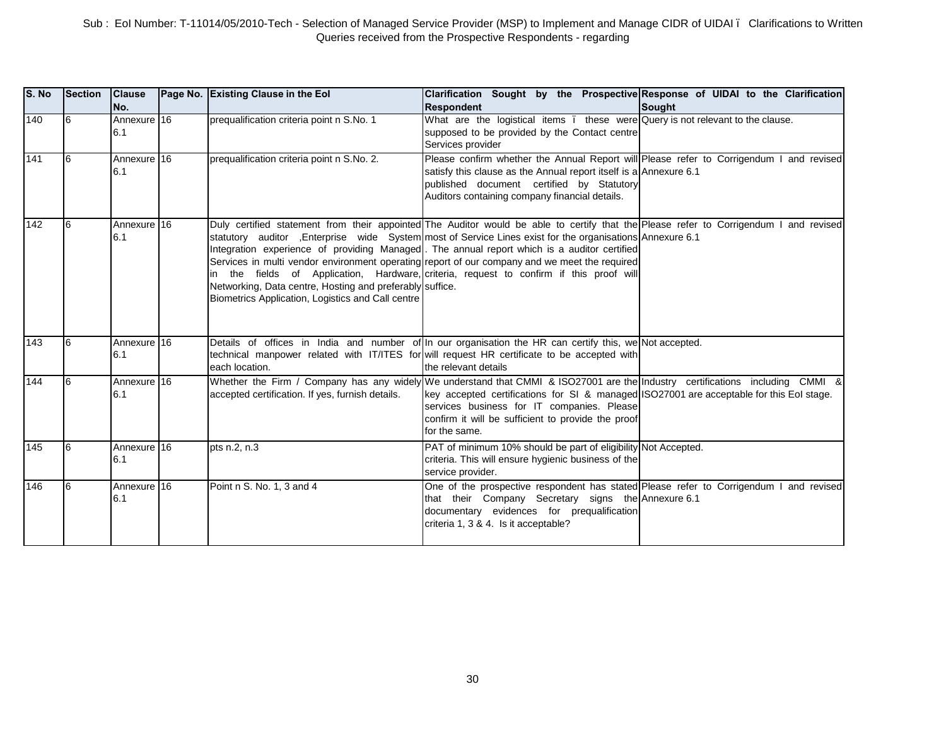| S. No | <b>Section</b> | <b>Clause</b><br>No. | Page No. Existing Clause in the Eol                                                                           | Clarification Sought by the Prospective Response of UIDAI to the Clarification<br><b>Respondent</b>                                                                                                                                                                                                                                                                                                                                                                                                                                         | Sought |
|-------|----------------|----------------------|---------------------------------------------------------------------------------------------------------------|---------------------------------------------------------------------------------------------------------------------------------------------------------------------------------------------------------------------------------------------------------------------------------------------------------------------------------------------------------------------------------------------------------------------------------------------------------------------------------------------------------------------------------------------|--------|
| 140   | l6             | Annexure 16<br>6.1   | prequalification criteria point n S.No. 1                                                                     | What are the logistical items. these were Query is not relevant to the clause.<br>supposed to be provided by the Contact centre<br>Services provider                                                                                                                                                                                                                                                                                                                                                                                        |        |
| 141   | 16             | Annexure 16<br>6.1   | prequalification criteria point n S.No. 2.                                                                    | Please confirm whether the Annual Report will Please refer to Corrigendum I and revised<br>satisfy this clause as the Annual report itself is a Annexure 6.1<br>published document certified by Statutory<br>Auditors containing company financial details.                                                                                                                                                                                                                                                                                 |        |
| 142   |                | Annexure 16<br>6.1   | Networking, Data centre, Hosting and preferably suffice.<br>Biometrics Application, Logistics and Call centre | Duly certified statement from their appointed The Auditor would be able to certify that the Please refer to Corrigendum I and revised<br>statutory auditor Enterprise wide System most of Service Lines exist for the organisations Annexure 6.1<br>Integration experience of providing Managed. The annual report which is a auditor certified<br>Services in multi vendor environment operating report of our company and we meet the required<br>in the fields of Application, Hardware, criteria, request to confirm if this proof will |        |
| 143   | l6             | Annexure 16<br>6.1   | each location.                                                                                                | Details of offices in India and number of In our organisation the HR can certify this, we Not accepted.<br>technical manpower related with IT/ITES for will request HR certificate to be accepted with<br>the relevant details                                                                                                                                                                                                                                                                                                              |        |
| 144   | l6             | Annexure 16<br>6.1   | accepted certification. If yes, furnish details.                                                              | Whether the Firm / Company has any widely We understand that CMMI & ISO27001 are the Industry certifications including CMMI &<br>key accepted certifications for SI & managed ISO27001 are acceptable for this EoI stage.<br>services business for IT companies. Please<br>confirm it will be sufficient to provide the proof<br>for the same.                                                                                                                                                                                              |        |
| 145   |                | Annexure 16<br>6.1   | pts n.2, n.3                                                                                                  | PAT of minimum 10% should be part of eligibility Not Accepted.<br>criteria. This will ensure hygienic business of the<br>service provider.                                                                                                                                                                                                                                                                                                                                                                                                  |        |
| 146   | 16             | Annexure 16<br>6.1   | Point n S. No. 1, 3 and 4                                                                                     | One of the prospective respondent has stated Please refer to Corrigendum I and revised<br>that their Company Secretary signs the Annexure 6.1<br>documentary evidences for prequalification<br>criteria 1, 3 & 4. Is it acceptable?                                                                                                                                                                                                                                                                                                         |        |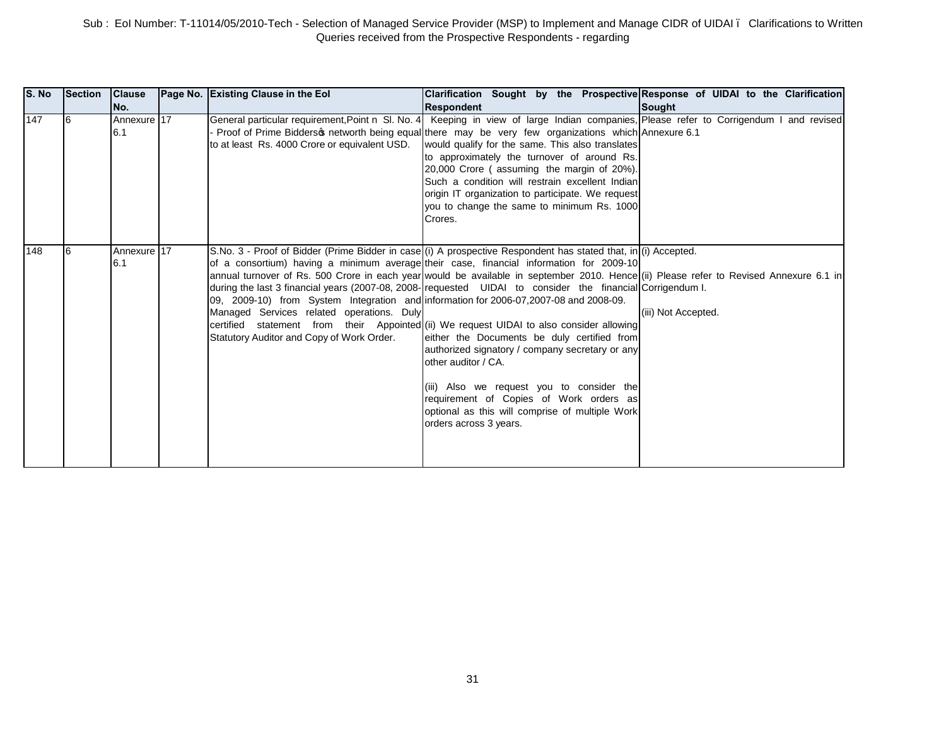| S. No | Section | <b>Clause</b><br>No. | Page No. Existing Clause in the Eol                                                                                                                                              | Clarification Sought by the Prospective Response of UIDAI to the Clarification<br><b>Respondent</b>                                                                                                                                                                                                                                                                                                                                                                                                                                                                                                                                                                                                                                                                                                                                                         | Sought              |
|-------|---------|----------------------|----------------------------------------------------------------------------------------------------------------------------------------------------------------------------------|-------------------------------------------------------------------------------------------------------------------------------------------------------------------------------------------------------------------------------------------------------------------------------------------------------------------------------------------------------------------------------------------------------------------------------------------------------------------------------------------------------------------------------------------------------------------------------------------------------------------------------------------------------------------------------------------------------------------------------------------------------------------------------------------------------------------------------------------------------------|---------------------|
| 147   | 16      | Annexure 17<br>6.1   | to at least Rs. 4000 Crore or equivalent USD.                                                                                                                                    | General particular requirement, Point n SI. No. 4 Keeping in view of large Indian companies, Please refer to Corrigendum I and revised<br>Proof of Prime Bidders of networth being equal there may be very few organizations which Annexure 6.1<br>would qualify for the same. This also translates<br>to approximately the turnover of around Rs.<br>20,000 Crore (assuming the margin of 20%).<br>Such a condition will restrain excellent Indian<br>origin IT organization to participate. We request<br>you to change the same to minimum Rs. 1000<br>Crores.                                                                                                                                                                                                                                                                                           |                     |
| 148   | 16      | Annexure 17<br>6.1   | 09, 2009-10) from System Integration and information for 2006-07, 2007-08 and 2008-09.<br>Managed Services related operations. Duly<br>Statutory Auditor and Copy of Work Order. | S.No. 3 - Proof of Bidder (Prime Bidder in case (i) A prospective Respondent has stated that, in (i) Accepted.<br>of a consortium) having a minimum average their case, financial information for 2009-10<br>annual turnover of Rs. 500 Crore in each year would be available in september 2010. Hence (ii) Please refer to Revised Annexure 6.1 in<br>during the last 3 financial years (2007-08, 2008- requested UIDAI to consider the financial Corrigendum I.<br>certified statement from their Appointed (ii) We request UIDAI to also consider allowing<br>either the Documents be duly certified from<br>authorized signatory / company secretary or any<br>other auditor / CA.<br>(iii) Also we request you to consider the<br>requirement of Copies of Work orders as<br>optional as this will comprise of multiple Work<br>orders across 3 years. | (iii) Not Accepted. |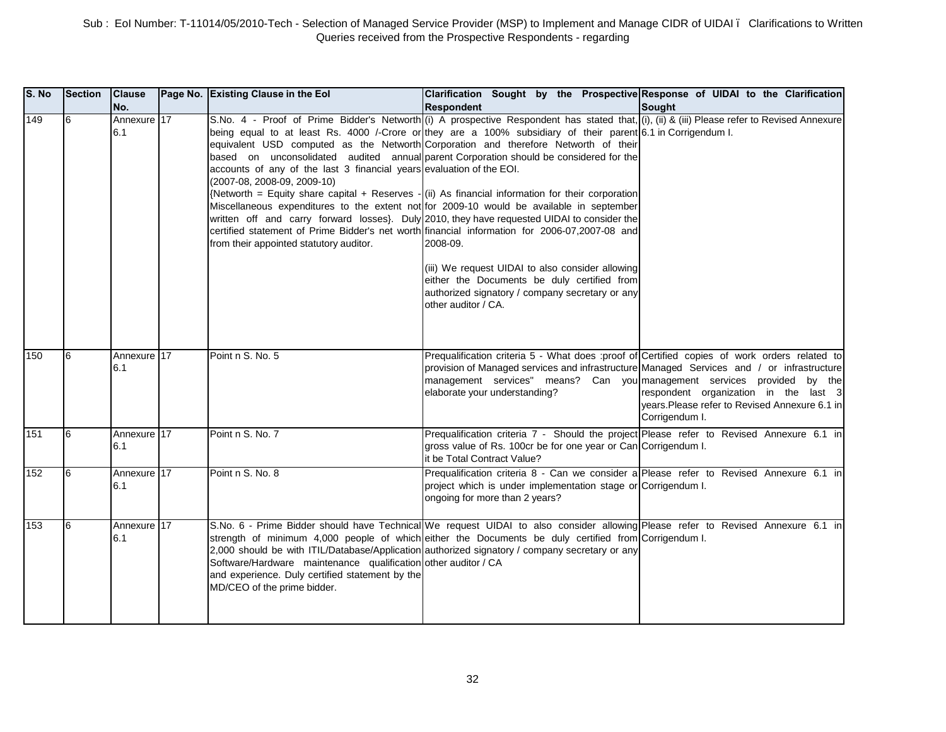| S. No | <b>Section</b> | <b>Clause</b><br>No. | Page No. Existing Clause in the Eol                                                                                                              | Clarification Sought by the Prospective Response of UIDAI to the Clarification<br><b>Respondent</b>                                                                                                                                                                                                                                                                                                                                                                                                                                                                                                                                                                                                                                                                                                                                                                                                                                                                                                                                    | Sought                                                                                                    |
|-------|----------------|----------------------|--------------------------------------------------------------------------------------------------------------------------------------------------|----------------------------------------------------------------------------------------------------------------------------------------------------------------------------------------------------------------------------------------------------------------------------------------------------------------------------------------------------------------------------------------------------------------------------------------------------------------------------------------------------------------------------------------------------------------------------------------------------------------------------------------------------------------------------------------------------------------------------------------------------------------------------------------------------------------------------------------------------------------------------------------------------------------------------------------------------------------------------------------------------------------------------------------|-----------------------------------------------------------------------------------------------------------|
| 149   | 6              | Annexure 17<br>6.1   | accounts of any of the last 3 financial years evaluation of the EOI.<br>(2007-08, 2008-09, 2009-10)<br>from their appointed statutory auditor.   | S.No. 4 - Proof of Prime Bidder's Networth (i) A prospective Respondent has stated that, (i), (ii) & (iii) Please refer to Revised Annexure<br>being equal to at least Rs. 4000 /-Crore or they are a 100% subsidiary of their parent 6.1 in Corrigendum I.<br>equivalent USD computed as the Networth Corporation and therefore Networth of their<br>based on unconsolidated audited annual parent Corporation should be considered for the<br>{Networth = Equity share capital + Reserves - (ii) As financial information for their corporation<br>Miscellaneous expenditures to the extent not for 2009-10 would be available in september<br>written off and carry forward losses}. Duly 2010, they have requested UIDAI to consider the<br>certified statement of Prime Bidder's net worth financial information for 2006-07,2007-08 and<br>2008-09.<br>(iii) We request UIDAI to also consider allowing<br>either the Documents be duly certified from<br>authorized signatory / company secretary or any<br>other auditor / CA. |                                                                                                           |
| 150   | 6              | Annexure 17<br>6.1   | Point n S. No. 5                                                                                                                                 | Prequalification criteria 5 - What does :proof of Certified copies of work orders related to<br>provision of Managed services and infrastructure Managed Services and / or infrastructure<br>management services" means? Can you management services provided by the<br>elaborate your understanding?                                                                                                                                                                                                                                                                                                                                                                                                                                                                                                                                                                                                                                                                                                                                  | respondent organization in the last 3<br>years. Please refer to Revised Annexure 6.1 in<br>Corrigendum I. |
| 151   | l6             | Annexure 17<br>6.1   | Point n S. No. 7                                                                                                                                 | Prequalification criteria 7 - Should the project Please refer to Revised Annexure 6.1 in<br>gross value of Rs. 100cr be for one year or Can Corrigendum I.<br>it be Total Contract Value?                                                                                                                                                                                                                                                                                                                                                                                                                                                                                                                                                                                                                                                                                                                                                                                                                                              |                                                                                                           |
| 152   | 6              | Annexure 17<br>6.1   | Point n S. No. 8                                                                                                                                 | Prequalification criteria 8 - Can we consider a Please refer to Revised Annexure 6.1 in<br>project which is under implementation stage or Corrigendum I.<br>ongoing for more than 2 years?                                                                                                                                                                                                                                                                                                                                                                                                                                                                                                                                                                                                                                                                                                                                                                                                                                             |                                                                                                           |
| 153   | 6              | Annexure 17<br>6.1   | Software/Hardware maintenance qualification other auditor / CA<br>and experience. Duly certified statement by the<br>MD/CEO of the prime bidder. | S.No. 6 - Prime Bidder should have Technical We request UIDAI to also consider allowing Please refer to Revised Annexure 6.1 in<br>strength of minimum 4,000 people of which either the Documents be duly certified from Corrigendum I.<br>2,000 should be with ITIL/Database/Application authorized signatory / company secretary or any                                                                                                                                                                                                                                                                                                                                                                                                                                                                                                                                                                                                                                                                                              |                                                                                                           |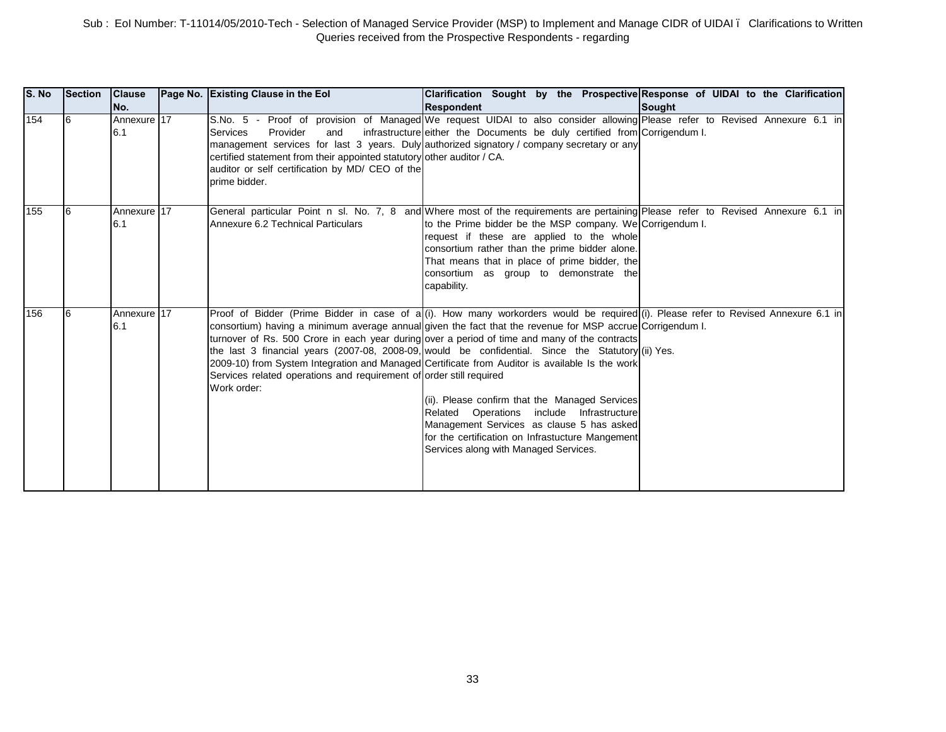| S. No | Section | <b>Clause</b><br>No. | Page No. Existing Clause in the Eol                                                                                                                                              | Clarification Sought by the Prospective Response of UIDAI to the Clarification<br><b>Respondent</b>                                                                                                                                                                                                                                                                                                                                                                                                                                                                                                                                                                                                                                                                                               | <b>Sought</b> |
|-------|---------|----------------------|----------------------------------------------------------------------------------------------------------------------------------------------------------------------------------|---------------------------------------------------------------------------------------------------------------------------------------------------------------------------------------------------------------------------------------------------------------------------------------------------------------------------------------------------------------------------------------------------------------------------------------------------------------------------------------------------------------------------------------------------------------------------------------------------------------------------------------------------------------------------------------------------------------------------------------------------------------------------------------------------|---------------|
| 154   | 16      | Annexure 17<br>6.1   | Provider<br><b>Services</b><br>and<br>certified statement from their appointed statutory other auditor / CA.<br>auditor or self certification by MD/ CEO of the<br>prime bidder. | S.No. 5 - Proof of provision of Managed We request UIDAI to also consider allowing Please refer to Revised Annexure 6.1 in<br>infrastructure either the Documents be duly certified from Corrigendum I.<br>management services for last 3 years. Duly authorized signatory / company secretary or any                                                                                                                                                                                                                                                                                                                                                                                                                                                                                             |               |
| 155   |         | Annexure 17<br>6.1   | Annexure 6.2 Technical Particulars                                                                                                                                               | General particular Point n sl. No. 7, 8 and Where most of the requirements are pertaining Please refer to Revised Annexure 6.1 in<br>to the Prime bidder be the MSP company. We Corrigendum I.<br>request if these are applied to the whole<br>consortium rather than the prime bidder alone.<br>That means that in place of prime bidder, the<br>consortium as group to demonstrate the<br>capability.                                                                                                                                                                                                                                                                                                                                                                                           |               |
| 156   | 16      | Annexure 17<br>6.1   | Services related operations and requirement of order still required<br>Work order:                                                                                               | Proof of Bidder (Prime Bidder in case of a (i). How many workorders would be required (i). Please refer to Revised Annexure 6.1 in<br>consortium) having a minimum average annual given the fact that the revenue for MSP accrue Corrigendum I.<br>turnover of Rs. 500 Crore in each year during over a period of time and many of the contracts<br>the last 3 financial years (2007-08, 2008-09, would be confidential. Since the Statutory (ii) Yes.<br>2009-10) from System Integration and Managed Certificate from Auditor is available Is the work<br>(ii). Please confirm that the Managed Services<br>Related Operations include Infrastructure<br>Management Services as clause 5 has asked<br>for the certification on Infrastucture Mangement<br>Services along with Managed Services. |               |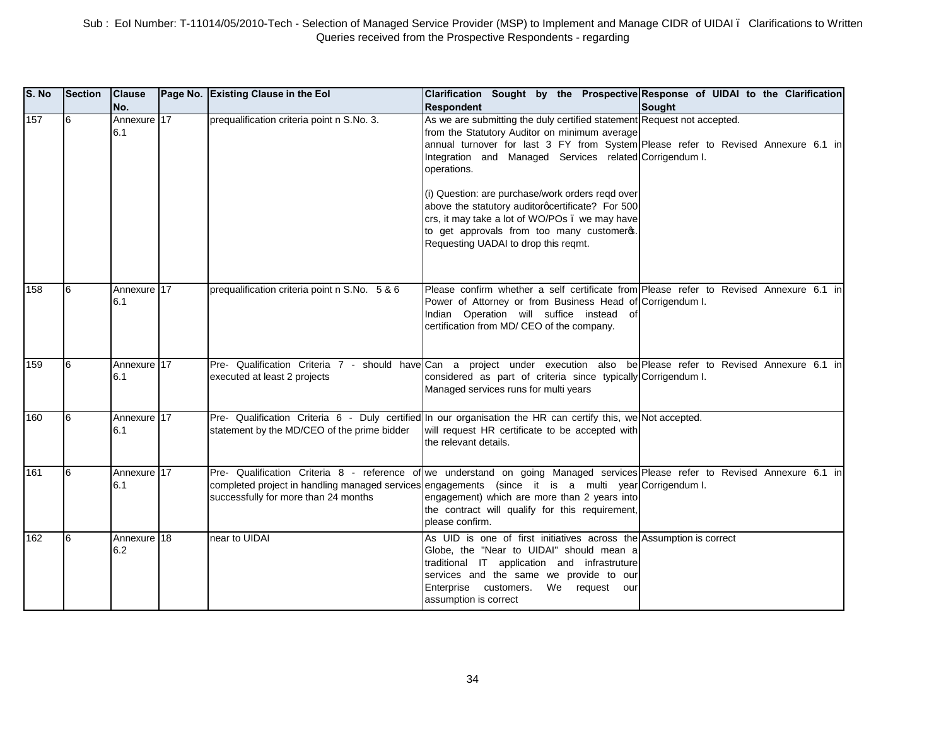| S. No | <b>Section</b> | <b>Clause</b><br>No. | Page No. Existing Clause in the Eol           | Clarification Sought by the Prospective Response of UIDAI to the Clarification<br><b>Respondent</b>                                                                                                                                                                                                                                                                                                                                                                                                                                     | Sought |
|-------|----------------|----------------------|-----------------------------------------------|-----------------------------------------------------------------------------------------------------------------------------------------------------------------------------------------------------------------------------------------------------------------------------------------------------------------------------------------------------------------------------------------------------------------------------------------------------------------------------------------------------------------------------------------|--------|
| 157   | 6              | Annexure 17<br>6.1   | prequalification criteria point n S.No. 3.    | As we are submitting the duly certified statement Request not accepted.<br>from the Statutory Auditor on minimum average<br>annual turnover for last 3 FY from System Please refer to Revised Annexure 6.1 in<br>Integration and Managed Services related Corrigendum I.<br>operations.<br>(i) Question: are purchase/work orders regd over<br>above the statutory auditorgcertificate? For 500<br>crs, it may take a lot of WO/POs . we may have<br>to get approvals from too many customeros.<br>Requesting UADAI to drop this reqmt. |        |
| 158   | 6              | Annexure 17<br>6.1   | prequalification criteria point n S.No. 5 & 6 | Please confirm whether a self certificate from Please refer to Revised Annexure 6.1 in<br>Power of Attorney or from Business Head of Corrigendum I.<br>Indian Operation will suffice instead<br>ofl<br>certification from MD/ CEO of the company.                                                                                                                                                                                                                                                                                       |        |
| 159   | 6              | Annexure 17<br>6.1   | executed at least 2 projects                  | Pre- Qualification Criteria 7 - should have Can a project under execution also be Please refer to Revised Annexure 6.1 in<br>considered as part of criteria since typically Corrigendum I.<br>Managed services runs for multi years                                                                                                                                                                                                                                                                                                     |        |
| 160   | 6              | Annexure 17<br>6.1   | statement by the MD/CEO of the prime bidder   | Pre- Qualification Criteria 6 - Duly certified In our organisation the HR can certify this, we Not accepted.<br>will request HR certificate to be accepted with<br>the relevant details.                                                                                                                                                                                                                                                                                                                                                |        |
| 161   | 6              | Annexure 17<br>6.1   | successfully for more than 24 months          | Pre- Qualification Criteria 8 - reference of we understand on going Managed services Please refer to Revised Annexure 6.1 in<br>completed project in handling managed services engagements (since it is a multi year Corrigendum I.<br>engagement) which are more than 2 years into<br>the contract will qualify for this requirement,<br>please confirm.                                                                                                                                                                               |        |
| 162   | 6              | Annexure 18<br>6.2   | near to UIDAI                                 | As UID is one of first initiatives across the Assumption is correct<br>Globe, the "Near to UIDAI" should mean a<br>traditional IT application and infrastruture<br>services and the same we provide to our<br>Enterprise customers.<br>We request<br>our<br>assumption is correct                                                                                                                                                                                                                                                       |        |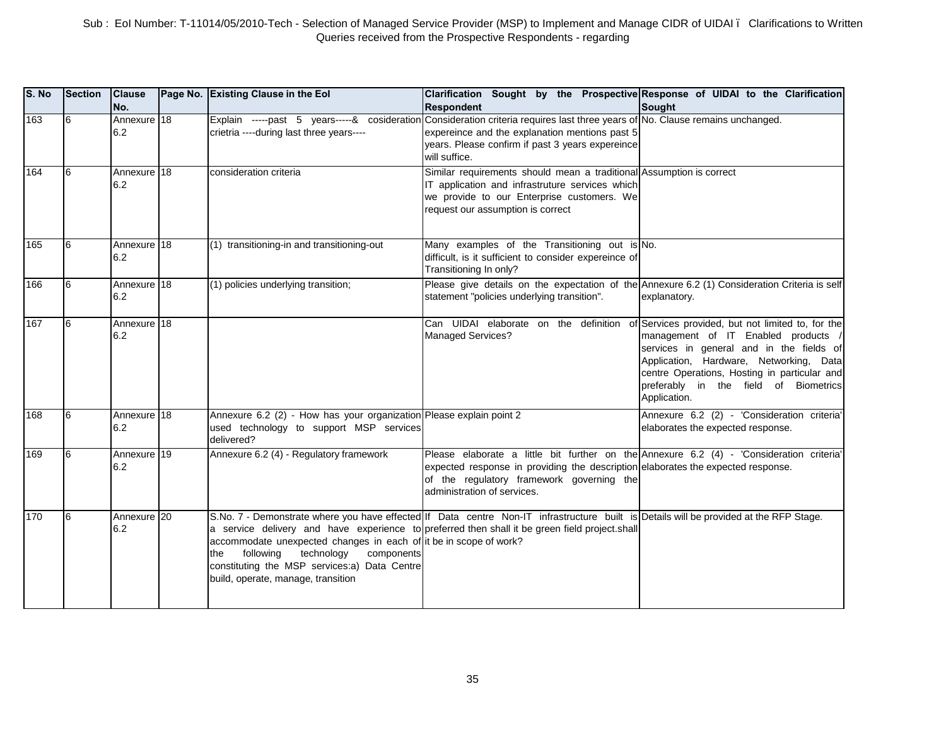| S. No | <b>Section</b> | <b>Clause</b><br>No. | Page No. Existing Clause in the Eol                                                                                                                                                                     | Clarification Sought by the Prospective Response of UIDAI to the Clarification<br><b>Respondent</b>                                                                                                                                                      | <b>Sought</b>                                                                                                                                                                                                                       |
|-------|----------------|----------------------|---------------------------------------------------------------------------------------------------------------------------------------------------------------------------------------------------------|----------------------------------------------------------------------------------------------------------------------------------------------------------------------------------------------------------------------------------------------------------|-------------------------------------------------------------------------------------------------------------------------------------------------------------------------------------------------------------------------------------|
| 163   | 6              | Annexure 18<br>6.2   | crietria ----during last three years----                                                                                                                                                                | Explain -----past 5 years-----& cosideration Consideration criteria requires last three years of No. Clause remains unchanged.<br>expereince and the explanation mentions past 5<br>years. Please confirm if past 3 years expereince<br>will suffice.    |                                                                                                                                                                                                                                     |
| 164   | l6             | Annexure 18<br>6.2   | consideration criteria                                                                                                                                                                                  | Similar requirements should mean a traditional Assumption is correct<br>IT application and infrastruture services which<br>we provide to our Enterprise customers. We<br>request our assumption is correct                                               |                                                                                                                                                                                                                                     |
| 165   | 6              | Annexure 18<br>6.2   | (1) transitioning-in and transitioning-out                                                                                                                                                              | Many examples of the Transitioning out is No.<br>difficult, is it sufficient to consider expereince of<br>Transitioning In only?                                                                                                                         |                                                                                                                                                                                                                                     |
| 166   | l6             | Annexure 18<br>6.2   | (1) policies underlying transition;                                                                                                                                                                     | Please give details on the expectation of the Annexure 6.2 (1) Consideration Criteria is self<br>statement "policies underlying transition".                                                                                                             | explanatory.                                                                                                                                                                                                                        |
| 167   | 16             | Annexure 18<br>6.2   |                                                                                                                                                                                                         | Can UIDAI elaborate on the definition of Services provided, but not limited to, for the<br><b>Managed Services?</b>                                                                                                                                      | management of IT Enabled products /<br>services in general and in the fields of<br>Application, Hardware, Networking, Data<br>centre Operations, Hosting in particular and<br>preferably in the field of Biometrics<br>Application. |
| 168   | l6             | Annexure 18<br>6.2   | Annexure 6.2 (2) - How has your organization Please explain point 2<br>used technology to support MSP services<br>delivered?                                                                            |                                                                                                                                                                                                                                                          | Annexure 6.2 (2) - 'Consideration criteria'<br>elaborates the expected response.                                                                                                                                                    |
| 169   | 6              | Annexure 19<br>6.2   | Annexure 6.2 (4) - Regulatory framework                                                                                                                                                                 | Please elaborate a little bit further on the Annexure 6.2 (4) - 'Consideration criteria'<br>expected response in providing the description elaborates the expected response.<br>of the regulatory framework governing the<br>administration of services. |                                                                                                                                                                                                                                     |
| 170   | l6             | Annexure 20<br>6.2   | accommodate unexpected changes in each of it be in scope of work?<br>following<br>technology<br>components<br>the<br>constituting the MSP services:a) Data Centre<br>build, operate, manage, transition | S.No. 7 - Demonstrate where you have effected If Data centre Non-IT infrastructure built is Details will be provided at the RFP Stage.<br>a service delivery and have experience to preferred then shall it be green field project.shall                 |                                                                                                                                                                                                                                     |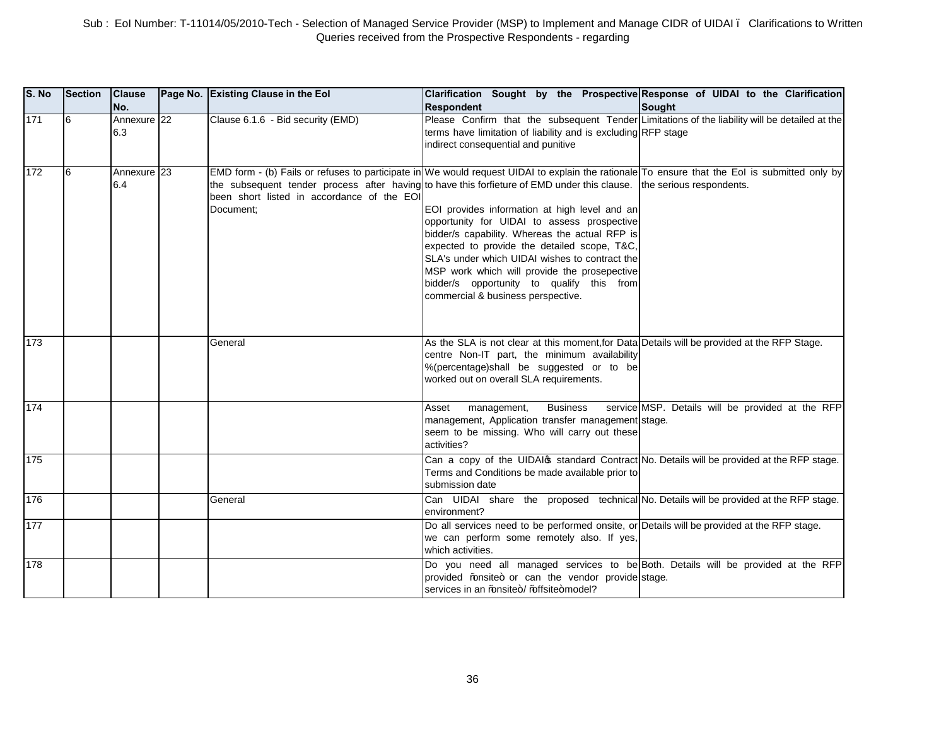| S. No | <b>Section</b> | <b>Clause</b><br>INo. | Page No. Existing Clause in the Eol                     | Clarification Sought by the Prospective Response of UIDAI to the Clarification<br><b>Respondent</b>                                                                                                                                                                                                                                                                                                                                                                                                                                                                                                                                                           | <b>Sought</b>                                    |
|-------|----------------|-----------------------|---------------------------------------------------------|---------------------------------------------------------------------------------------------------------------------------------------------------------------------------------------------------------------------------------------------------------------------------------------------------------------------------------------------------------------------------------------------------------------------------------------------------------------------------------------------------------------------------------------------------------------------------------------------------------------------------------------------------------------|--------------------------------------------------|
| 171   | l6             | Annexure 22<br>6.3    | Clause 6.1.6 - Bid security (EMD)                       | Please Confirm that the subsequent Tender Limitations of the liability will be detailed at the<br>terms have limitation of liability and is excluding RFP stage<br>indirect consequential and punitive                                                                                                                                                                                                                                                                                                                                                                                                                                                        |                                                  |
| 172   | 6              | Annexure 23<br>6.4    | been short listed in accordance of the EOI<br>Document: | EMD form - (b) Fails or refuses to participate in We would request UIDAI to explain the rationale To ensure that the EoI is submitted only by<br>the subsequent tender process after having to have this forfieture of EMD under this clause. the serious respondents.<br>EOI provides information at high level and an<br>opportunity for UIDAI to assess prospective<br>bidder/s capability. Whereas the actual RFP is<br>expected to provide the detailed scope, T&C,<br>SLA's under which UIDAI wishes to contract the<br>MSP work which will provide the prosepective<br>bidder/s opportunity to qualify this from<br>commercial & business perspective. |                                                  |
| 173   |                |                       | General                                                 | As the SLA is not clear at this moment, for Data Details will be provided at the RFP Stage.<br>centre Non-IT part, the minimum availability<br>%(percentage)shall be suggested or to be<br>worked out on overall SLA requirements.                                                                                                                                                                                                                                                                                                                                                                                                                            |                                                  |
| 174   |                |                       |                                                         | <b>Business</b><br>Asset<br>management,<br>management, Application transfer management stage.<br>seem to be missing. Who will carry out these<br>activities?                                                                                                                                                                                                                                                                                                                                                                                                                                                                                                  | service MSP. Details will be provided at the RFP |
| 175   |                |                       |                                                         | Can a copy of the UIDAI of standard Contract No. Details will be provided at the RFP stage.<br>Terms and Conditions be made available prior to<br>submission date                                                                                                                                                                                                                                                                                                                                                                                                                                                                                             |                                                  |
| 176   |                |                       | General                                                 | Can UIDAI share the proposed technical No. Details will be provided at the RFP stage.<br>environment?                                                                                                                                                                                                                                                                                                                                                                                                                                                                                                                                                         |                                                  |
| 177   |                |                       |                                                         | Do all services need to be performed onsite, or Details will be provided at the RFP stage.<br>we can perform some remotely also. If yes,<br>which activities.                                                                                                                                                                                                                                                                                                                                                                                                                                                                                                 |                                                  |
| 178   |                |                       |                                                         | Do you need all managed services to be Both. Details will be provided at the RFP<br>provided % nsite+ or can the vendor provide stage.<br>services in an % ansite+/ % offsite+model?                                                                                                                                                                                                                                                                                                                                                                                                                                                                          |                                                  |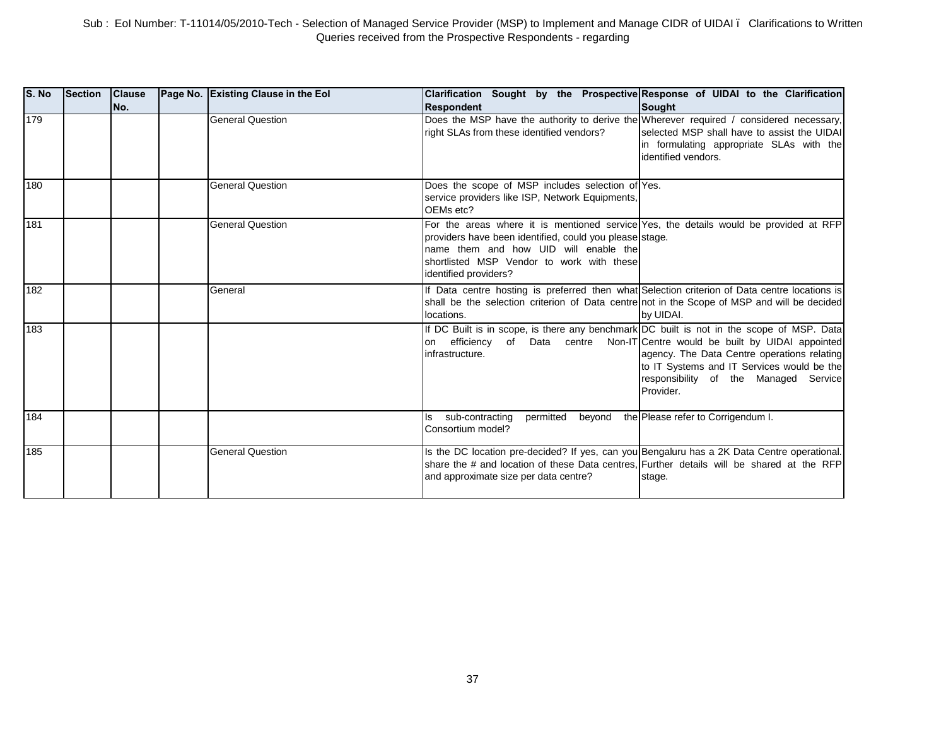| S. No | Section | <b>Clause</b><br>No. | Page No. Existing Clause in the Eol | Clarification Sought by the Prospective Response of UIDAI to the Clarification<br><b>Respondent</b>                                                                                                                                                             | Sought                                                                                                                                          |
|-------|---------|----------------------|-------------------------------------|-----------------------------------------------------------------------------------------------------------------------------------------------------------------------------------------------------------------------------------------------------------------|-------------------------------------------------------------------------------------------------------------------------------------------------|
| 179   |         |                      | <b>General Question</b>             | Does the MSP have the authority to derive the Wherever required / considered necessary,<br>right SLAs from these identified vendors?                                                                                                                            | selected MSP shall have to assist the UIDAI<br>in formulating appropriate SLAs with the<br>identified vendors.                                  |
| 180   |         |                      | <b>General Question</b>             | Does the scope of MSP includes selection of Yes.<br>service providers like ISP, Network Equipments,<br>OEMs etc?                                                                                                                                                |                                                                                                                                                 |
| 181   |         |                      | <b>General Question</b>             | For the areas where it is mentioned service Yes, the details would be provided at RFP<br>providers have been identified, could you please stage.<br>name them and how UID will enable the<br>shortlisted MSP Vendor to work with these<br>identified providers? |                                                                                                                                                 |
| 182   |         |                      | General                             | If Data centre hosting is preferred then what Selection criterion of Data centre locations is<br>shall be the selection criterion of Data centrenot in the Scope of MSP and will be decided<br>locations.                                                       | by UIDAI.                                                                                                                                       |
| 183   |         |                      |                                     | If DC Built is in scope, is there any benchmark DC built is not in the scope of MSP. Data<br>on efficiency of Data centre Non-IT Centre would be built by UIDAI appointed<br>infrastructure.                                                                    | agency. The Data Centre operations relating<br>to IT Systems and IT Services would be the<br>responsibility of the Managed Service<br>Provider. |
| 184   |         |                      |                                     | permitted<br>sub-contracting<br>beyond<br>ls.<br>Consortium model?                                                                                                                                                                                              | the Please refer to Corrigendum I.                                                                                                              |
| 185   |         |                      | <b>General Question</b>             | Is the DC location pre-decided? If yes, can you Bengaluru has a 2K Data Centre operational.<br>share the # and location of these Data centres, Further details will be shared at the RFP<br>and approximate size per data centre?                               | stage.                                                                                                                                          |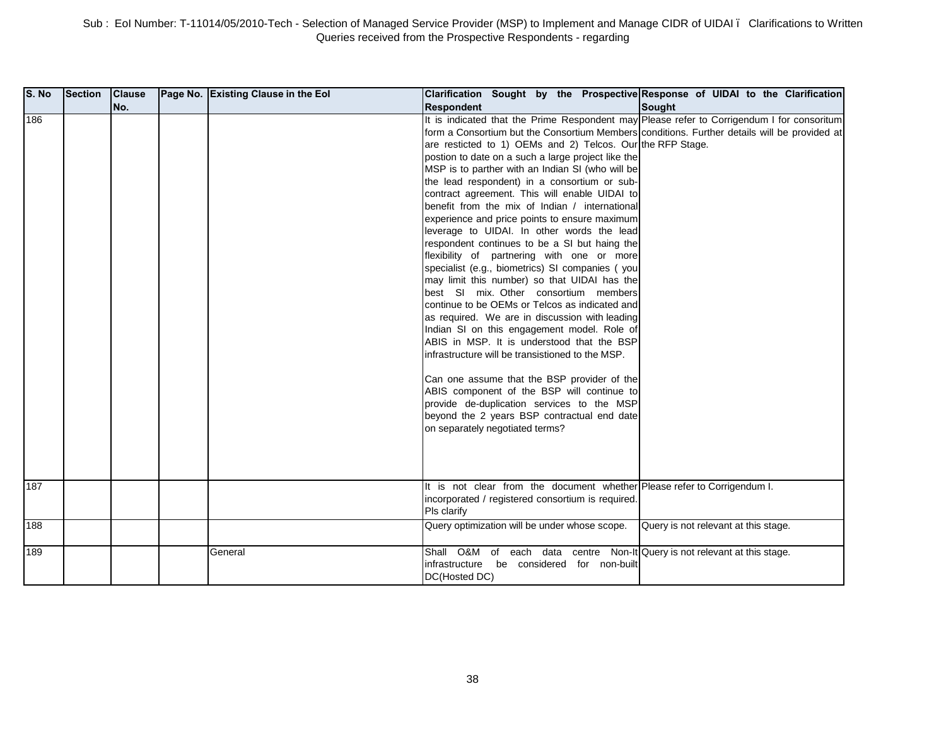| S. No | <b>Section</b> | <b>Clause</b> | Page No. Existing Clause in the Eol | Clarification Sought by the Prospective Response of UIDAI to the Clarification                                                                                                                                                                                                                                                                                                                                                                                                                                                                                                                                                                                                                                                                                                                                                                                                                                                                                                                                                                                                                                                                                                                                                                                                                                                                    |                                      |
|-------|----------------|---------------|-------------------------------------|---------------------------------------------------------------------------------------------------------------------------------------------------------------------------------------------------------------------------------------------------------------------------------------------------------------------------------------------------------------------------------------------------------------------------------------------------------------------------------------------------------------------------------------------------------------------------------------------------------------------------------------------------------------------------------------------------------------------------------------------------------------------------------------------------------------------------------------------------------------------------------------------------------------------------------------------------------------------------------------------------------------------------------------------------------------------------------------------------------------------------------------------------------------------------------------------------------------------------------------------------------------------------------------------------------------------------------------------------|--------------------------------------|
|       |                | No.           |                                     | <b>Respondent</b>                                                                                                                                                                                                                                                                                                                                                                                                                                                                                                                                                                                                                                                                                                                                                                                                                                                                                                                                                                                                                                                                                                                                                                                                                                                                                                                                 | <b>Sought</b>                        |
| 186   |                |               |                                     | It is indicated that the Prime Respondent may Please refer to Corrigendum I for consoritum<br>form a Consortium but the Consortium Members conditions. Further details will be provided at<br>are resticted to 1) OEMs and 2) Telcos. Our the RFP Stage.<br>postion to date on a such a large project like the<br>MSP is to parther with an Indian SI (who will be<br>the lead respondent) in a consortium or sub-<br>contract agreement. This will enable UIDAI to<br>benefit from the mix of Indian / international<br>experience and price points to ensure maximum<br>leverage to UIDAI. In other words the lead<br>respondent continues to be a SI but haing the<br>flexibility of partnering with one or more<br>specialist (e.g., biometrics) SI companies (you<br>may limit this number) so that UIDAI has the<br>best SI mix. Other consortium members<br>continue to be OEMs or Telcos as indicated and<br>as required. We are in discussion with leading<br>Indian SI on this engagement model. Role of<br>ABIS in MSP. It is understood that the BSP<br>infrastructure will be transistioned to the MSP.<br>Can one assume that the BSP provider of the<br>ABIS component of the BSP will continue to<br>provide de-duplication services to the MSP<br>beyond the 2 years BSP contractual end date<br>on separately negotiated terms? |                                      |
| 187   |                |               |                                     | It is not clear from the document whether Please refer to Corrigendum I.<br>incorporated / registered consortium is required.<br>Pls clarify                                                                                                                                                                                                                                                                                                                                                                                                                                                                                                                                                                                                                                                                                                                                                                                                                                                                                                                                                                                                                                                                                                                                                                                                      |                                      |
| 188   |                |               |                                     | Query optimization will be under whose scope.                                                                                                                                                                                                                                                                                                                                                                                                                                                                                                                                                                                                                                                                                                                                                                                                                                                                                                                                                                                                                                                                                                                                                                                                                                                                                                     | Query is not relevant at this stage. |
| 189   |                |               | General                             | Shall O&M of each data centre Non-It Query is not relevant at this stage.<br>infrastructure<br>be considered for non-built<br>DC(Hosted DC)                                                                                                                                                                                                                                                                                                                                                                                                                                                                                                                                                                                                                                                                                                                                                                                                                                                                                                                                                                                                                                                                                                                                                                                                       |                                      |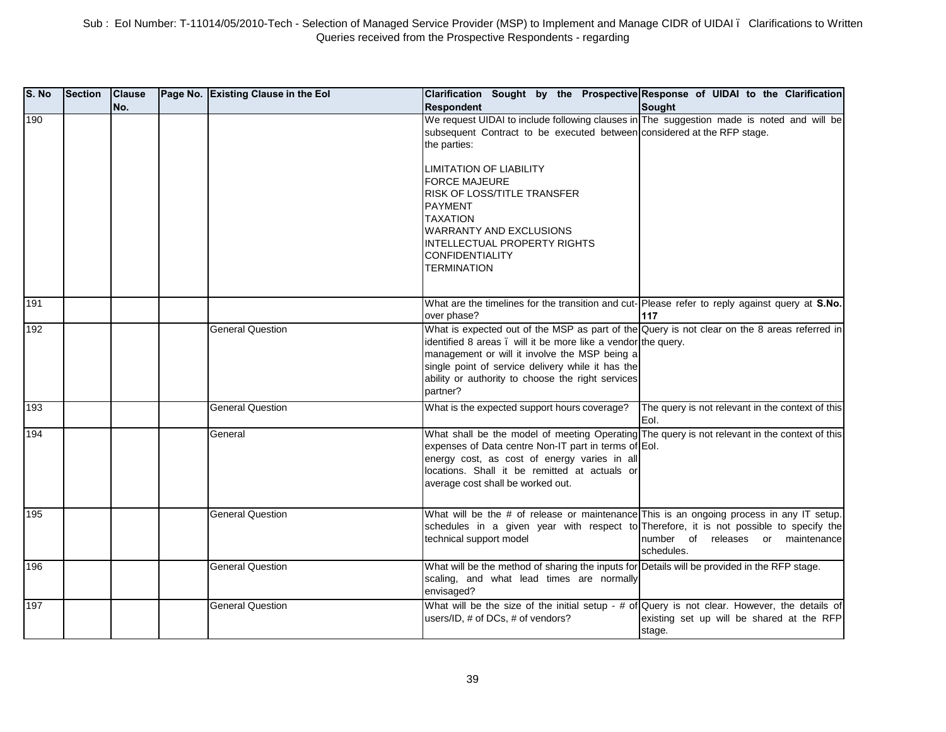| S. No | <b>Section</b> | <b>Clause</b><br>No. | Page No. Existing Clause in the Eol | Clarification Sought by the Prospective Response of UIDAI to the Clarification<br><b>Respondent</b>                                                                                                                                                                                                                                                                                                                    | <b>Sought</b>                                            |
|-------|----------------|----------------------|-------------------------------------|------------------------------------------------------------------------------------------------------------------------------------------------------------------------------------------------------------------------------------------------------------------------------------------------------------------------------------------------------------------------------------------------------------------------|----------------------------------------------------------|
| 190   |                |                      |                                     | We request UIDAI to include following clauses in The suggestion made is noted and will be<br>subsequent Contract to be executed between considered at the RFP stage.<br>the parties:<br>LIMITATION OF LIABILITY<br>FORCE MAJEURE<br>RISK OF LOSS/TITLE TRANSFER<br><b>PAYMENT</b><br><b>TAXATION</b><br><b>WARRANTY AND EXCLUSIONS</b><br>INTELLECTUAL PROPERTY RIGHTS<br><b>CONFIDENTIALITY</b><br><b>TERMINATION</b> |                                                          |
|       |                |                      |                                     |                                                                                                                                                                                                                                                                                                                                                                                                                        |                                                          |
| 191   |                |                      |                                     | What are the timelines for the transition and cut-Please refer to reply against query at S.No.<br>over phase?                                                                                                                                                                                                                                                                                                          | 117                                                      |
| 192   |                |                      | <b>General Question</b>             | What is expected out of the MSP as part of the Query is not clear on the 8 areas referred in<br>identified 8 areas. will it be more like a vendor the query.<br>management or will it involve the MSP being a<br>single point of service delivery while it has the<br>ability or authority to choose the right services<br>partner?                                                                                    |                                                          |
| 193   |                |                      | <b>General Question</b>             | What is the expected support hours coverage?                                                                                                                                                                                                                                                                                                                                                                           | The query is not relevant in the context of this<br>Eol. |
| 194   |                |                      | General                             | What shall be the model of meeting Operating The query is not relevant in the context of this<br>expenses of Data centre Non-IT part in terms of Eol.<br>energy cost, as cost of energy varies in all<br>locations. Shall it be remitted at actuals or<br>average cost shall be worked out.                                                                                                                            |                                                          |
| 195   |                |                      | <b>General Question</b>             | What will be the # of release or maintenance This is an ongoing process in any IT setup.<br>schedules in a given year with respect to Therefore, it is not possible to specify the<br>technical support model                                                                                                                                                                                                          | number of releases or maintenance<br>schedules.          |
| 196   |                |                      | <b>General Question</b>             | What will be the method of sharing the inputs for Details will be provided in the RFP stage.<br>scaling, and what lead times are normally<br>envisaged?                                                                                                                                                                                                                                                                |                                                          |
| 197   |                |                      | <b>General Question</b>             | What will be the size of the initial setup - # of Query is not clear. However, the details of<br>users/ID, # of DCs, # of vendors?                                                                                                                                                                                                                                                                                     | existing set up will be shared at the RFP<br>stage.      |